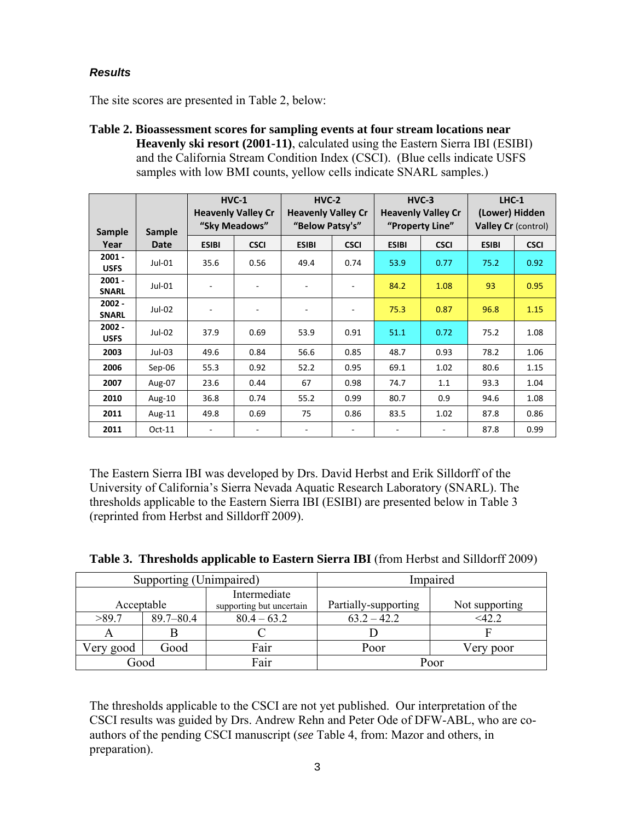### *Results*

The site scores are presented in Table 2, below:

**Table 2. Bioassessment scores for sampling events at four stream locations near Heavenly ski resort (2001-11)**, calculated using the Eastern Sierra IBI (ESIBI) and the California Stream Condition Index (CSCI). (Blue cells indicate USFS samples with low BMI counts, yellow cells indicate SNARL samples.)

|                          |             | $HVC-1$<br><b>Heavenly Valley Cr</b><br>"Sky Meadows" |                          | $HVC-2$<br><b>Heavenly Valley Cr</b><br>"Below Patsy's" |             | $HVC-3$<br><b>Heavenly Valley Cr</b><br>"Property Line" |             | $LHC-1$<br>(Lower) Hidden<br><b>Valley Cr (control)</b> |             |
|--------------------------|-------------|-------------------------------------------------------|--------------------------|---------------------------------------------------------|-------------|---------------------------------------------------------|-------------|---------------------------------------------------------|-------------|
| <b>Sample</b>            | Sample      |                                                       |                          |                                                         |             |                                                         |             |                                                         |             |
| Year                     | <b>Date</b> | <b>ESIBI</b>                                          | <b>CSCI</b>              | <b>ESIBI</b>                                            | <b>CSCI</b> | <b>ESIBI</b>                                            | <b>CSCI</b> | <b>ESIBI</b>                                            | <b>CSCI</b> |
| $2001 -$<br><b>USFS</b>  | $Jul-01$    | 35.6                                                  | 0.56                     | 49.4                                                    | 0.74        | 53.9                                                    | 0.77        | 75.2                                                    | 0.92        |
| $2001 -$<br><b>SNARL</b> | $Jul-01$    |                                                       |                          |                                                         |             | 84.2                                                    | 1.08        | 93                                                      | 0.95        |
| $2002 -$<br><b>SNARL</b> | Jul-02      | ۰                                                     | $\overline{\phantom{0}}$ |                                                         |             | 75.3                                                    | 0.87        | 96.8                                                    | 1.15        |
| $2002 -$<br><b>USFS</b>  | Jul-02      | 37.9                                                  | 0.69                     | 53.9                                                    | 0.91        | 51.1                                                    | 0.72        | 75.2                                                    | 1.08        |
| 2003                     | $Jul-03$    | 49.6                                                  | 0.84                     | 56.6                                                    | 0.85        | 48.7                                                    | 0.93        | 78.2                                                    | 1.06        |
| 2006                     | $Sep-06$    | 55.3                                                  | 0.92                     | 52.2                                                    | 0.95        | 69.1                                                    | 1.02        | 80.6                                                    | 1.15        |
| 2007                     | Aug-07      | 23.6                                                  | 0.44                     | 67                                                      | 0.98        | 74.7                                                    | 1.1         | 93.3                                                    | 1.04        |
| 2010                     | Aug- $10$   | 36.8                                                  | 0.74                     | 55.2                                                    | 0.99        | 80.7                                                    | 0.9         | 94.6                                                    | 1.08        |
| 2011                     | Aug-11      | 49.8                                                  | 0.69                     | 75                                                      | 0.86        | 83.5                                                    | 1.02        | 87.8                                                    | 0.86        |
| 2011                     | $Oct-11$    |                                                       |                          |                                                         |             |                                                         |             | 87.8                                                    | 0.99        |

The Eastern Sierra IBI was developed by Drs. David Herbst and Erik Silldorff of the University of California's Sierra Nevada Aquatic Research Laboratory (SNARL). The thresholds applicable to the Eastern Sierra IBI (ESIBI) are presented below in Table 3 (reprinted from Herbst and Silldorff 2009).

|            | Supporting (Unimpaired) |                                          | Impaired             |                |  |
|------------|-------------------------|------------------------------------------|----------------------|----------------|--|
| Acceptable |                         | Intermediate<br>supporting but uncertain | Partially-supporting | Not supporting |  |
| >89.7      | $89.7 - 80.4$           | $80.4 - 63.2$                            | $63.2 - 42.2$        | $<$ 42.2       |  |
|            |                         |                                          |                      |                |  |
| Very good  | Good                    | Fair                                     | Poor                 | Very poor      |  |
| Good       |                         | Fair                                     |                      | Poor           |  |

|  | Table 3. Thresholds applicable to Eastern Sierra IBI (from Herbst and Silldorff 2009) |  |  |  |  |  |  |  |
|--|---------------------------------------------------------------------------------------|--|--|--|--|--|--|--|
|--|---------------------------------------------------------------------------------------|--|--|--|--|--|--|--|

The thresholds applicable to the CSCI are not yet published. Our interpretation of the CSCI results was guided by Drs. Andrew Rehn and Peter Ode of DFW-ABL, who are coauthors of the pending CSCI manuscript (*see* Table 4, from: Mazor and others, in preparation).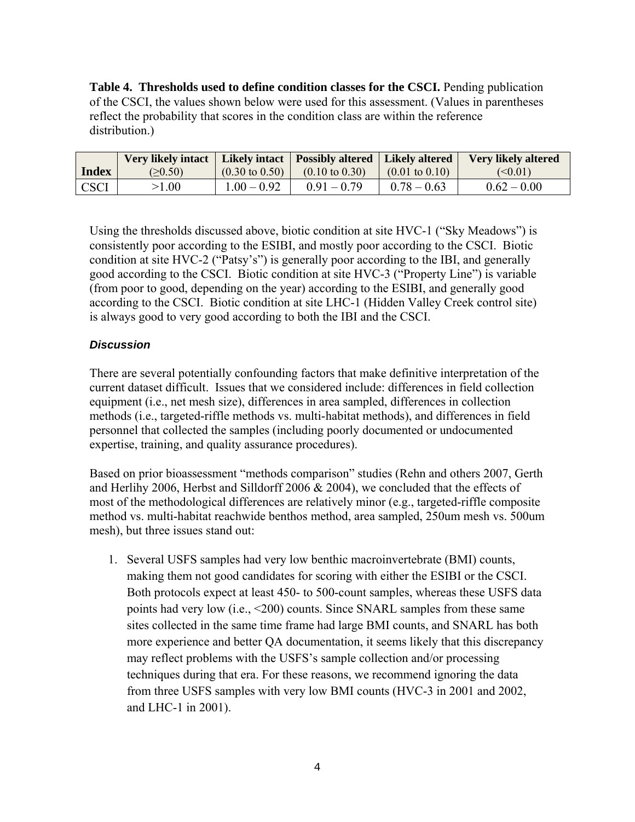**Table 4. Thresholds used to define condition classes for the CSCI.** Pending publication of the CSCI, the values shown below were used for this assessment. (Values in parentheses reflect the probability that scores in the condition class are within the reference distribution.)

|              | Very likely intact   Likely intact   Possibly altered   Likely altered |                           |                           |                           | <b>Very likely altered</b> |
|--------------|------------------------------------------------------------------------|---------------------------|---------------------------|---------------------------|----------------------------|
| <b>Index</b> | (>0.50)                                                                | $(0.30 \text{ to } 0.50)$ | $(0.10 \text{ to } 0.30)$ | $(0.01 \text{ to } 0.10)$ | $\leq 0.01$                |
| <b>CSCI</b>  | >1.00                                                                  | $1.00 - 0.92$             | $0.91 - 0.79$             | $0.78 - 0.63$             | $0.62 - 0.00$              |

Using the thresholds discussed above, biotic condition at site HVC-1 ("Sky Meadows") is consistently poor according to the ESIBI, and mostly poor according to the CSCI. Biotic condition at site HVC-2 ("Patsy's") is generally poor according to the IBI, and generally good according to the CSCI. Biotic condition at site HVC-3 ("Property Line") is variable (from poor to good, depending on the year) according to the ESIBI, and generally good according to the CSCI. Biotic condition at site LHC-1 (Hidden Valley Creek control site) is always good to very good according to both the IBI and the CSCI.

### *Discussion*

There are several potentially confounding factors that make definitive interpretation of the current dataset difficult. Issues that we considered include: differences in field collection equipment (i.e., net mesh size), differences in area sampled, differences in collection methods (i.e., targeted-riffle methods vs. multi-habitat methods), and differences in field personnel that collected the samples (including poorly documented or undocumented expertise, training, and quality assurance procedures).

Based on prior bioassessment "methods comparison" studies (Rehn and others 2007, Gerth and Herlihy 2006, Herbst and Silldorff 2006 & 2004), we concluded that the effects of most of the methodological differences are relatively minor (e.g., targeted-riffle composite method vs. multi-habitat reachwide benthos method, area sampled, 250um mesh vs. 500um mesh), but three issues stand out:

1. Several USFS samples had very low benthic macroinvertebrate (BMI) counts, making them not good candidates for scoring with either the ESIBI or the CSCI. Both protocols expect at least 450- to 500-count samples, whereas these USFS data points had very low (i.e., <200) counts. Since SNARL samples from these same sites collected in the same time frame had large BMI counts, and SNARL has both more experience and better QA documentation, it seems likely that this discrepancy may reflect problems with the USFS's sample collection and/or processing techniques during that era. For these reasons, we recommend ignoring the data from three USFS samples with very low BMI counts (HVC-3 in 2001 and 2002, and LHC-1 in 2001).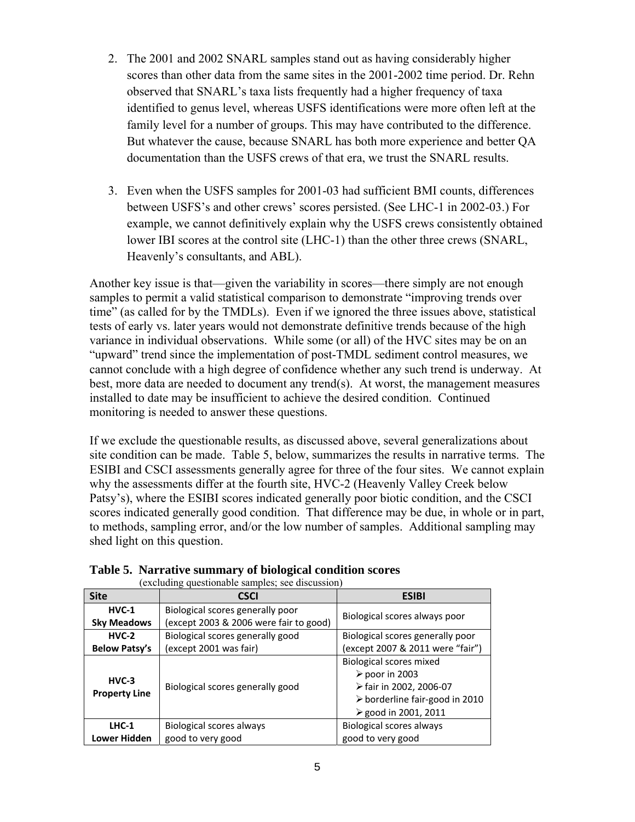- 2. The 2001 and 2002 SNARL samples stand out as having considerably higher scores than other data from the same sites in the 2001-2002 time period. Dr. Rehn observed that SNARL's taxa lists frequently had a higher frequency of taxa identified to genus level, whereas USFS identifications were more often left at the family level for a number of groups. This may have contributed to the difference. But whatever the cause, because SNARL has both more experience and better QA documentation than the USFS crews of that era, we trust the SNARL results.
- 3. Even when the USFS samples for 2001-03 had sufficient BMI counts, differences between USFS's and other crews' scores persisted. (See LHC-1 in 2002-03.) For example, we cannot definitively explain why the USFS crews consistently obtained lower IBI scores at the control site (LHC-1) than the other three crews (SNARL, Heavenly's consultants, and ABL).

Another key issue is that—given the variability in scores—there simply are not enough samples to permit a valid statistical comparison to demonstrate "improving trends over time" (as called for by the TMDLs). Even if we ignored the three issues above, statistical tests of early vs. later years would not demonstrate definitive trends because of the high variance in individual observations. While some (or all) of the HVC sites may be on an "upward" trend since the implementation of post-TMDL sediment control measures, we cannot conclude with a high degree of confidence whether any such trend is underway. At best, more data are needed to document any trend(s). At worst, the management measures installed to date may be insufficient to achieve the desired condition. Continued monitoring is needed to answer these questions.

If we exclude the questionable results, as discussed above, several generalizations about site condition can be made. Table 5, below, summarizes the results in narrative terms. The ESIBI and CSCI assessments generally agree for three of the four sites. We cannot explain why the assessments differ at the fourth site, HVC-2 (Heavenly Valley Creek below Patsy's), where the ESIBI scores indicated generally poor biotic condition, and the CSCI scores indicated generally good condition. That difference may be due, in whole or in part, to methods, sampling error, and/or the low number of samples. Additional sampling may shed light on this question.

|                                 | (excluding questionable samples; see discussion)                           |                                                                                                                                                                    |  |  |  |  |  |  |
|---------------------------------|----------------------------------------------------------------------------|--------------------------------------------------------------------------------------------------------------------------------------------------------------------|--|--|--|--|--|--|
| <b>Site</b>                     | <b>CSCI</b>                                                                | <b>ESIBI</b>                                                                                                                                                       |  |  |  |  |  |  |
| $HVC-1$<br><b>Sky Meadows</b>   | Biological scores generally poor<br>(except 2003 & 2006 were fair to good) | Biological scores always poor                                                                                                                                      |  |  |  |  |  |  |
| $HVC-2$                         | Biological scores generally good                                           | Biological scores generally poor                                                                                                                                   |  |  |  |  |  |  |
| <b>Below Patsy's</b>            | (except 2001 was fair)                                                     | (except 2007 & 2011 were "fair")                                                                                                                                   |  |  |  |  |  |  |
| $HVC-3$<br><b>Property Line</b> | Biological scores generally good                                           | <b>Biological scores mixed</b><br>$\triangleright$ poor in 2003<br>≻fair in 2002, 2006-07<br>$\triangleright$ borderline fair-good in 2010<br>≽ good in 2001, 2011 |  |  |  |  |  |  |
| LHC-1                           | Biological scores always                                                   | <b>Biological scores always</b>                                                                                                                                    |  |  |  |  |  |  |
| Lower Hidden                    | good to very good                                                          | good to very good                                                                                                                                                  |  |  |  |  |  |  |

| Table 5. Narrative summary of biological condition scores |  |  |  |                                                      |  |  |
|-----------------------------------------------------------|--|--|--|------------------------------------------------------|--|--|
|                                                           |  |  |  | $\sqrt{1}$ 1 1 $\sqrt{1}$ 1 1 1 1 1 1 1 1 $\sqrt{1}$ |  |  |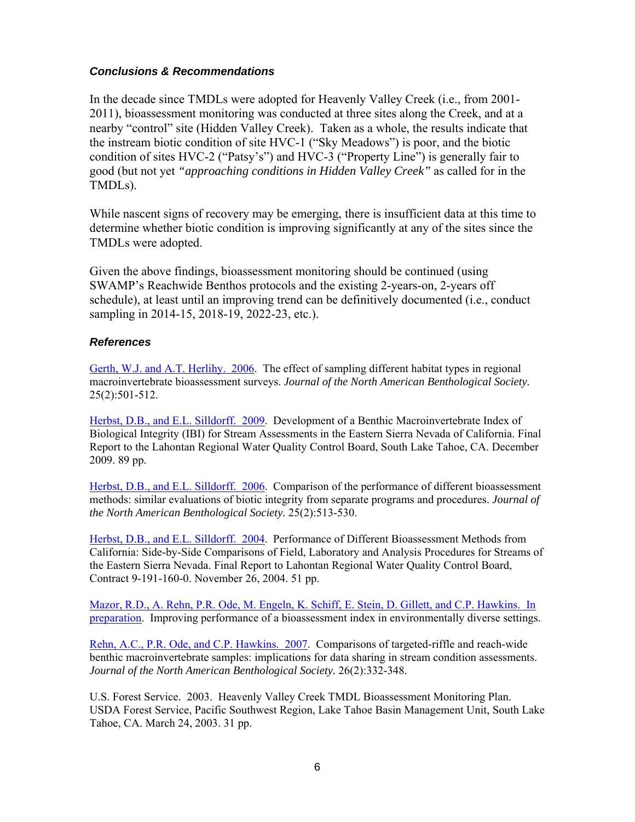### *Conclusions & Recommendations*

In the decade since TMDLs were adopted for Heavenly Valley Creek (i.e., from 2001- 2011), bioassessment monitoring was conducted at three sites along the Creek, and at a nearby "control" site (Hidden Valley Creek). Taken as a whole, the results indicate that the instream biotic condition of site HVC-1 ("Sky Meadows") is poor, and the biotic condition of sites HVC-2 ("Patsy's") and HVC-3 ("Property Line") is generally fair to good (but not yet *"approaching conditions in Hidden Valley Creek"* as called for in the TMDLs).

While nascent signs of recovery may be emerging, there is insufficient data at this time to determine whether biotic condition is improving significantly at any of the sites since the TMDLs were adopted.

Given the above findings, bioassessment monitoring should be continued (using SWAMP's Reachwide Benthos protocols and the existing 2-years-on, 2-years off schedule), at least until an improving trend can be definitively documented (i.e., conduct sampling in 2014-15, 2018-19, 2022-23, etc.).

### *References*

Gerth, W.J. and A.T. Herlihy. 2006. The effect of sampling different habitat types in regional macroinvertebrate bioassessment surveys. *Journal of the North American Benthological Society.* 25(2):501-512.

Herbst, D.B., and E.L. Silldorff. 2009. Development of a Benthic Macroinvertebrate Index of Biological Integrity (IBI) for Stream Assessments in the Eastern Sierra Nevada of California. Final Report to the Lahontan Regional Water Quality Control Board, South Lake Tahoe, CA. December 2009. 89 pp.

Herbst, D.B., and E.L. Silldorff. 2006. Comparison of the performance of different bioassessment methods: similar evaluations of biotic integrity from separate programs and procedures. *Journal of the North American Benthological Society.* 25(2):513-530.

Herbst, D.B., and E.L. Silldorff. 2004. Performance of Different Bioassessment Methods from California: Side-by-Side Comparisons of Field, Laboratory and Analysis Procedures for Streams of the Eastern Sierra Nevada. Final Report to Lahontan Regional Water Quality Control Board, Contract 9-191-160-0. November 26, 2004. 51 pp.

Mazor, R.D., A. Rehn, P.R. Ode, M. Engeln, K. Schiff, E. Stein, D. Gillett, and C.P. Hawkins. In preparation. Improving performance of a bioassessment index in environmentally diverse settings.

Rehn, A.C., P.R. Ode, and C.P. Hawkins. 2007. Comparisons of targeted-riffle and reach-wide benthic macroinvertebrate samples: implications for data sharing in stream condition assessments. *Journal of the North American Benthological Society.* 26(2):332-348.

U.S. Forest Service. 2003. Heavenly Valley Creek TMDL Bioassessment Monitoring Plan. USDA Forest Service, Pacific Southwest Region, Lake Tahoe Basin Management Unit, South Lake Tahoe, CA. March 24, 2003. 31 pp.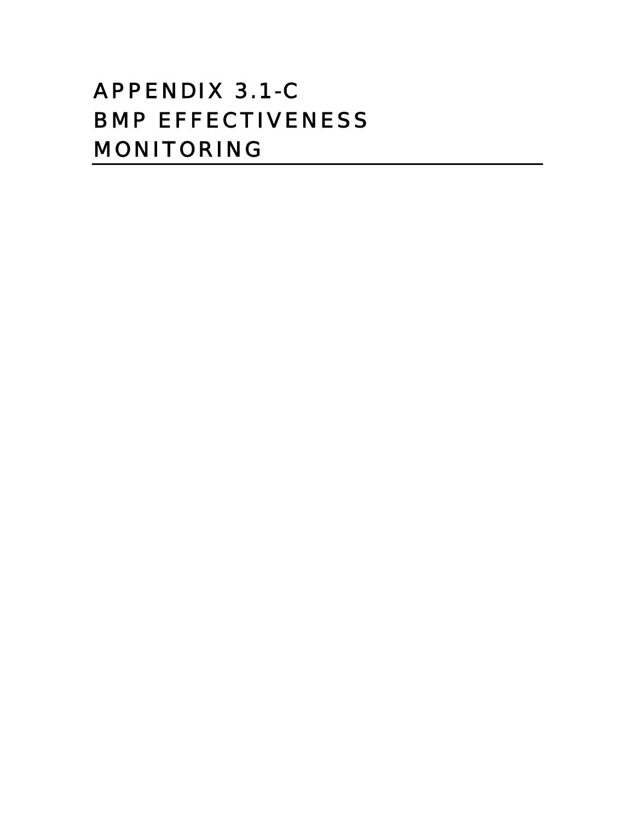# APPENDIX 3.1-C BMP EFFECTIVENESS MONITORING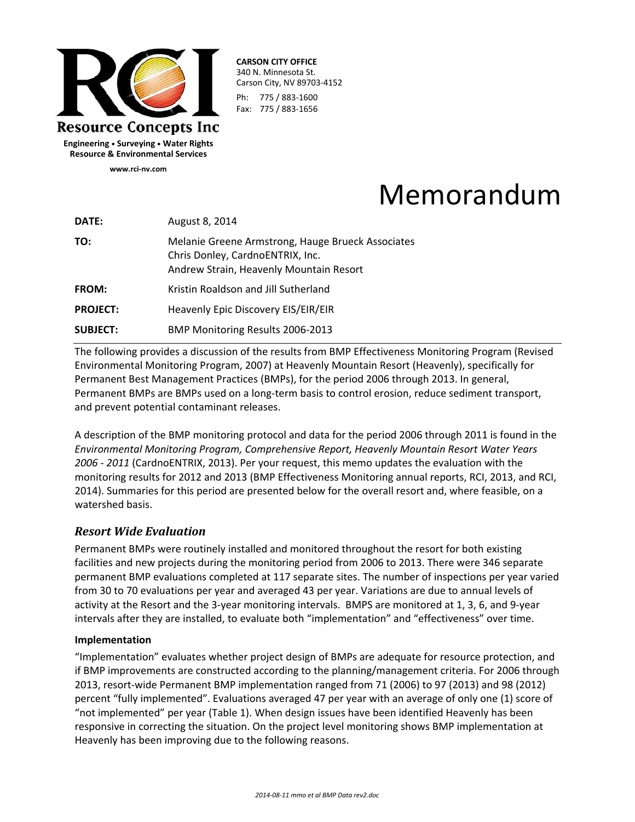

**CARSON CITY OFFICE** 340 N. Minnesota St. Carson City, NV 89703‐4152 Ph: 775 / 883‐1600 Fax: 775 / 883‐1656

**Engineering • Surveying • Water Rights Resource & Environmental Services www.rci‐nv.com**

Memorandum

| DATE:           | August 8, 2014                                                                                                                   |
|-----------------|----------------------------------------------------------------------------------------------------------------------------------|
| TO:             | Melanie Greene Armstrong, Hauge Brueck Associates<br>Chris Donley, CardnoENTRIX, Inc.<br>Andrew Strain, Heavenly Mountain Resort |
| FROM:           | Kristin Roaldson and Jill Sutherland                                                                                             |
| <b>PROJECT:</b> | Heavenly Epic Discovery EIS/EIR/EIR                                                                                              |
| <b>SUBJECT:</b> | BMP Monitoring Results 2006-2013                                                                                                 |

The following provides a discussion of the results from BMP Effectiveness Monitoring Program (Revised Environmental Monitoring Program, 2007) at Heavenly Mountain Resort (Heavenly), specifically for Permanent Best Management Practices (BMPs), for the period 2006 through 2013. In general, Permanent BMPs are BMPs used on a long‐term basis to control erosion, reduce sediment transport, and prevent potential contaminant releases.

A description of the BMP monitoring protocol and data for the period 2006 through 2011 is found in the *Environmental Monitoring Program, Comprehensive Report, Heavenly Mountain Resort Water Years 2006 ‐ 2011* (CardnoENTRIX, 2013). Per your request, this memo updates the evaluation with the monitoring results for 2012 and 2013 (BMP Effectiveness Monitoring annual reports, RCI, 2013, and RCI, 2014). Summaries for this period are presented below for the overall resort and, where feasible, on a watershed basis.

### *Resort Wide Evaluation*

Permanent BMPs were routinely installed and monitored throughout the resort for both existing facilities and new projects during the monitoring period from 2006 to 2013. There were 346 separate permanent BMP evaluations completed at 117 separate sites. The number of inspections per year varied from 30 to 70 evaluations per year and averaged 43 per year. Variations are due to annual levels of activity at the Resort and the 3‐year monitoring intervals. BMPS are monitored at 1, 3, 6, and 9‐year intervals after they are installed, to evaluate both "implementation" and "effectiveness" over time.

### **Implementation**

"Implementation" evaluates whether project design of BMPs are adequate for resource protection, and if BMP improvements are constructed according to the planning/management criteria. For 2006 through 2013, resort‐wide Permanent BMP implementation ranged from 71 (2006) to 97 (2013) and 98 (2012) percent "fully implemented". Evaluations averaged 47 per year with an average of only one (1) score of "not implemented" per year (Table 1). When design issues have been identified Heavenly has been responsive in correcting the situation. On the project level monitoring shows BMP implementation at Heavenly has been improving due to the following reasons.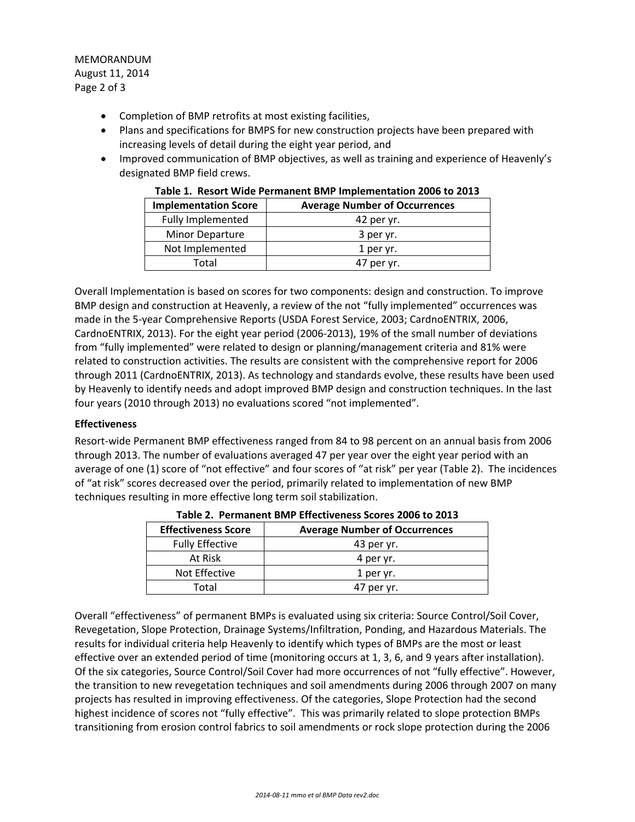MEMORANDUM August 11, 2014 Page 2 of 3

- Completion of BMP retrofits at most existing facilities,
- Plans and specifications for BMPS for new construction projects have been prepared with increasing levels of detail during the eight year period, and
- Improved communication of BMP objectives, as well as training and experience of Heavenly's designated BMP field crews.

| <b>Implementation Score</b> | <b>Average Number of Occurrences</b> |
|-----------------------------|--------------------------------------|
| <b>Fully Implemented</b>    | 42 per yr.                           |
| <b>Minor Departure</b>      | 3 per yr.                            |
| Not Implemented             | 1 per yr.                            |
| Total                       | 47 per yr.                           |

|  | Table 1. Resort Wide Permanent BMP Implementation 2006 to 2013 |  |  |  |  |  |
|--|----------------------------------------------------------------|--|--|--|--|--|
|--|----------------------------------------------------------------|--|--|--|--|--|

Overall Implementation is based on scores for two components: design and construction. To improve BMP design and construction at Heavenly, a review of the not "fully implemented" occurrences was made in the 5‐year Comprehensive Reports (USDA Forest Service, 2003; CardnoENTRIX, 2006, CardnoENTRIX, 2013). For the eight year period (2006‐2013), 19% of the small number of deviations from "fully implemented" were related to design or planning/management criteria and 81% were related to construction activities. The results are consistent with the comprehensive report for 2006 through 2011 (CardnoENTRIX, 2013). As technology and standards evolve, these results have been used by Heavenly to identify needs and adopt improved BMP design and construction techniques. In the last four years (2010 through 2013) no evaluations scored "not implemented".

### **Effectiveness**

Resort-wide Permanent BMP effectiveness ranged from 84 to 98 percent on an annual basis from 2006 through 2013. The number of evaluations averaged 47 per year over the eight year period with an average of one (1) score of "not effective" and four scores of "at risk" per year (Table 2). The incidences of "at risk" scores decreased over the period, primarily related to implementation of new BMP techniques resulting in more effective long term soil stabilization.

| <b>Effectiveness Score</b> | <b>Average Number of Occurrences</b> |  |  |  |  |
|----------------------------|--------------------------------------|--|--|--|--|
| <b>Fully Effective</b>     | 43 per yr.                           |  |  |  |  |
| At Risk                    | 4 per yr.                            |  |  |  |  |
| Not Effective              | 1 per yr.                            |  |  |  |  |
| Total                      | 47 per yr.                           |  |  |  |  |

|  |  | Table 2. Permanent BMP Effectiveness Scores 2006 to 2013 |
|--|--|----------------------------------------------------------|
|--|--|----------------------------------------------------------|

Overall "effectiveness" of permanent BMPs is evaluated using six criteria: Source Control/Soil Cover, Revegetation, Slope Protection, Drainage Systems/Infiltration, Ponding, and Hazardous Materials. The results for individual criteria help Heavenly to identify which types of BMPs are the most or least effective over an extended period of time (monitoring occurs at 1, 3, 6, and 9 years after installation). Of the six categories, Source Control/Soil Cover had more occurrences of not "fully effective". However, the transition to new revegetation techniques and soil amendments during 2006 through 2007 on many projects has resulted in improving effectiveness. Of the categories, Slope Protection had the second highest incidence of scores not "fully effective". This was primarily related to slope protection BMPs transitioning from erosion control fabrics to soil amendments or rock slope protection during the 2006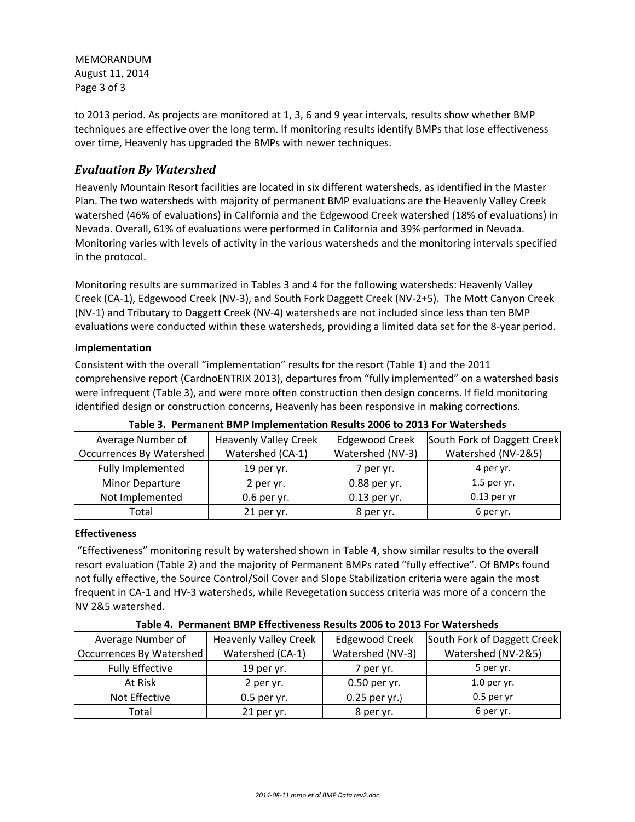MEMORANDUM August 11, 2014 Page 3 of 3

to 2013 period. As projects are monitored at 1, 3, 6 and 9 year intervals, results show whether BMP techniques are effective over the long term. If monitoring results identify BMPs that lose effectiveness over time, Heavenly has upgraded the BMPs with newer techniques.

### *Evaluation By Watershed*

Heavenly Mountain Resort facilities are located in six different watersheds, as identified in the Master Plan. The two watersheds with majority of permanent BMP evaluations are the Heavenly Valley Creek watershed (46% of evaluations) in California and the Edgewood Creek watershed (18% of evaluations) in Nevada. Overall, 61% of evaluations were performed in California and 39% performed in Nevada. Monitoring varies with levels of activity in the various watersheds and the monitoring intervals specified in the protocol.

Monitoring results are summarized in Tables 3 and 4 for the following watersheds: Heavenly Valley Creek (CA‐1), Edgewood Creek (NV‐3), and South Fork Daggett Creek (NV‐2+5). The Mott Canyon Creek (NV‐1) and Tributary to Daggett Creek (NV‐4) watersheds are not included since less than ten BMP evaluations were conducted within these watersheds, providing a limited data set for the 8‐year period.

### **Implementation**

Consistent with the overall "implementation" results for the resort (Table 1) and the 2011 comprehensive report (CardnoENTRIX 2013), departures from "fully implemented" on a watershed basis were infrequent (Table 3), and were more often construction then design concerns. If field monitoring identified design or construction concerns, Heavenly has been responsive in making corrections.

| Average Number of               | <b>Heavenly Valley Creek</b> | <b>Edgewood Creek</b> | South Fork of Daggett Creek |
|---------------------------------|------------------------------|-----------------------|-----------------------------|
| <b>Occurrences By Watershed</b> | Watershed (CA-1)             | Watershed (NV-3)      | Watershed (NV-2&5)          |
| <b>Fully Implemented</b>        | 19 per yr.                   | 7 per yr.             | 4 per yr.                   |
| <b>Minor Departure</b>          | 2 per yr.                    | 0.88 per yr.          | $1.5$ per yr.               |
| Not Implemented                 | $0.6$ per yr.                | $0.13$ per yr.        | $0.13$ per yr               |
| Total                           | 21 per yr.                   | 8 per yr.             | 6 per yr.                   |

**Table 3. Permanent BMP Implementation Results 2006 to 2013 For Watersheds**

### **Effectiveness**

"Effectiveness" monitoring result by watershed shown in Table 4, show similar results to the overall resort evaluation (Table 2) and the majority of Permanent BMPs rated "fully effective". Of BMPs found not fully effective, the Source Control/Soil Cover and Slope Stabilization criteria were again the most frequent in CA‐1 and HV‐3 watersheds, while Revegetation success criteria was more of a concern the NV 2&5 watershed.

|                          | כשטווכ דו די כווועווכות טוזון בווכנווזכווכטט ווכטטונט בטטט נט בטבט ו טו זזענכוטווכטט |                       |                             |
|--------------------------|--------------------------------------------------------------------------------------|-----------------------|-----------------------------|
| Average Number of        | <b>Heavenly Valley Creek</b>                                                         | <b>Edgewood Creek</b> | South Fork of Daggett Creek |
| Occurrences By Watershed | Watershed (CA-1)                                                                     | Watershed (NV-3)      | Watershed (NV-2&5)          |
| <b>Fully Effective</b>   | 19 per $yr$ .                                                                        | 7 per yr.             | 5 per yr.                   |
| At Risk                  | 2 per yr.                                                                            | 0.50 per yr.          | $1.0$ per yr.               |
| Not Effective            | $0.5$ per yr.                                                                        | $0.25$ per yr.)       | $0.5$ per yr                |
| Total                    | 21 per yr.                                                                           | 8 per yr.             | 6 per yr.                   |

### **Table 4. Permanent BMP Effectiveness Results 2006 to 2013 For Watersheds**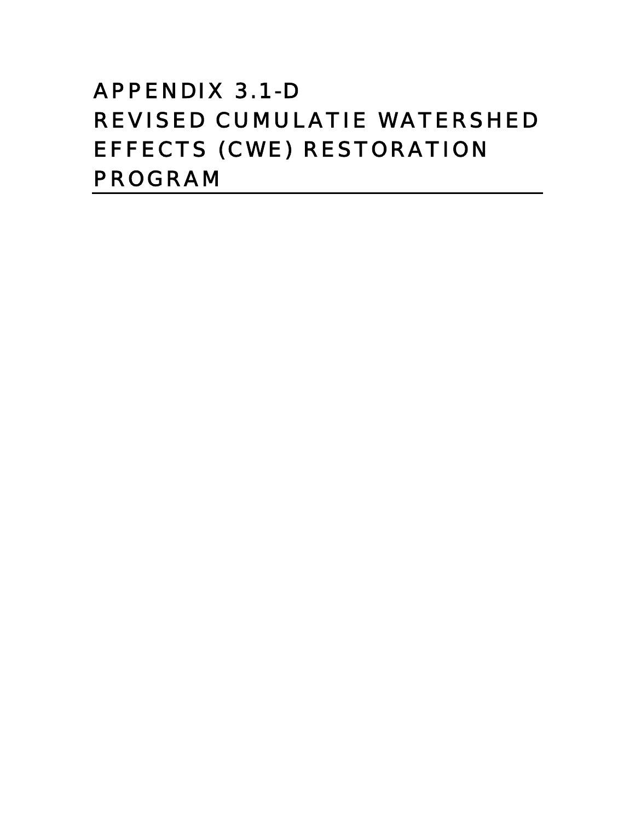# APPENDIX 3.1-D REVISED CUMULATIE WATERSHED EFFECTS (CWE) RESTORATION PROGRAM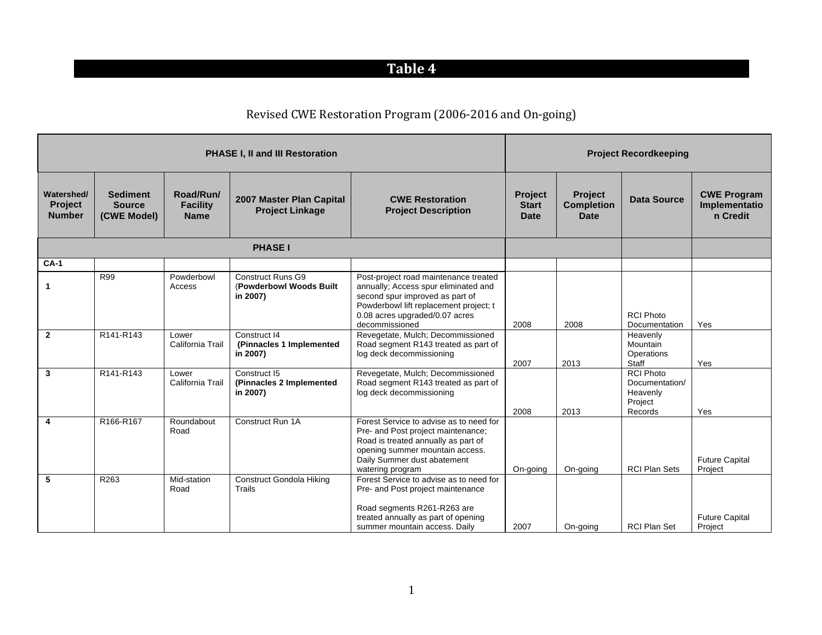## **Table&4**

### Revised CWE Restoration Program (2006-2016 and On-going)

|                                               |                                                 |                                             | <b>PHASE I, II and III Restoration</b>                           |                                                                                                                                                                                                                |                                        |                                             | <b>Project Recordkeeping</b>                                         |                                                 |
|-----------------------------------------------|-------------------------------------------------|---------------------------------------------|------------------------------------------------------------------|----------------------------------------------------------------------------------------------------------------------------------------------------------------------------------------------------------------|----------------------------------------|---------------------------------------------|----------------------------------------------------------------------|-------------------------------------------------|
| Watershed/<br><b>Project</b><br><b>Number</b> | <b>Sediment</b><br><b>Source</b><br>(CWE Model) | Road/Run/<br><b>Facility</b><br><b>Name</b> | 2007 Master Plan Capital<br><b>Project Linkage</b>               | <b>CWE Restoration</b><br><b>Project Description</b>                                                                                                                                                           | Project<br><b>Start</b><br><b>Date</b> | Project<br><b>Completion</b><br><b>Date</b> | <b>Data Source</b>                                                   | <b>CWE Program</b><br>Implementatio<br>n Credit |
|                                               |                                                 |                                             | <b>PHASE I</b>                                                   |                                                                                                                                                                                                                |                                        |                                             |                                                                      |                                                 |
| $CA-1$                                        |                                                 |                                             |                                                                  |                                                                                                                                                                                                                |                                        |                                             |                                                                      |                                                 |
| 1                                             | R99                                             | Powderbowl<br>Access                        | <b>Construct Runs G9</b><br>(Powderbowl Woods Built)<br>in 2007) | Post-project road maintenance treated<br>annually; Access spur eliminated and<br>second spur improved as part of<br>Powderbowl lift replacement project; t<br>0.08 acres upgraded/0.07 acres<br>decommissioned | 2008                                   | 2008                                        | <b>RCI Photo</b><br>Documentation                                    | Yes                                             |
| $\overline{2}$                                | R141-R143                                       | Lower<br>California Trail                   | Construct 14<br>(Pinnacles 1 Implemented<br>in 2007)             | Revegetate, Mulch; Decommissioned<br>Road segment R143 treated as part of<br>log deck decommissioning                                                                                                          | 2007                                   | 2013                                        | Heavenly<br>Mountain<br>Operations<br>Staff                          | Yes                                             |
| $\mathbf{3}$                                  | R141-R143                                       | Lower<br>California Trail                   | Construct I5<br>(Pinnacles 2 Implemented<br>in 2007)             | Revegetate, Mulch; Decommissioned<br>Road segment R143 treated as part of<br>log deck decommissioning                                                                                                          | 2008                                   | 2013                                        | <b>RCI Photo</b><br>Documentation/<br>Heavenly<br>Project<br>Records | Yes                                             |
| $\overline{\mathbf{4}}$                       | R166-R167                                       | Roundabout<br>Road                          | Construct Run 1A                                                 | Forest Service to advise as to need for<br>Pre- and Post project maintenance;<br>Road is treated annually as part of<br>opening summer mountain access.<br>Daily Summer dust abatement<br>watering program     | On-going                               | On-going                                    | <b>RCI Plan Sets</b>                                                 | <b>Future Capital</b><br>Project                |
| 5                                             | R263                                            | Mid-station<br>Road                         | <b>Construct Gondola Hiking</b><br>Trails                        | Forest Service to advise as to need for<br>Pre- and Post project maintenance<br>Road segments R261-R263 are<br>treated annually as part of opening<br>summer mountain access. Daily                            | 2007                                   | On-going                                    | <b>RCI Plan Set</b>                                                  | <b>Future Capital</b><br>Project                |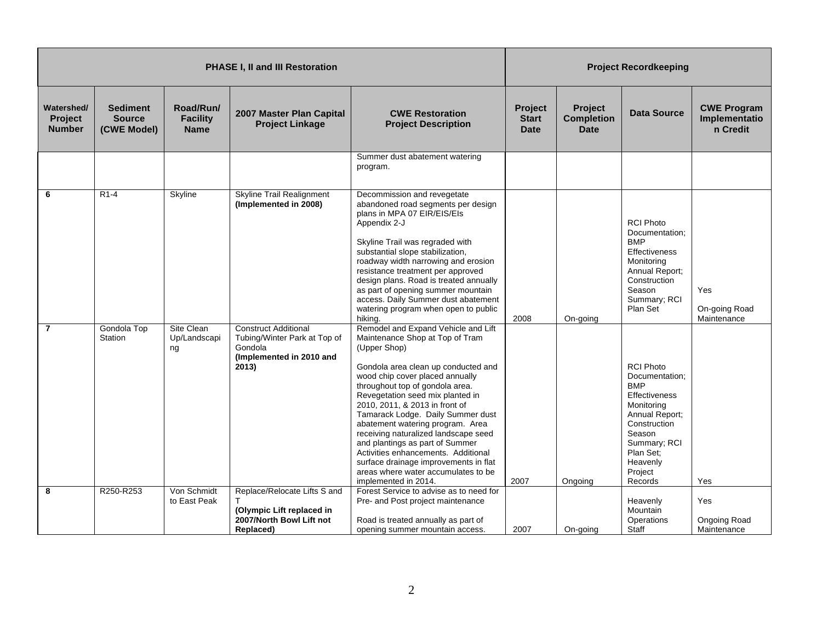|                                               |                                                 |                                             | <b>PHASE I, II and III Restoration</b>                                                                      |                                                                                                                                                                                                                                                                                                                                                                                                                                                                                                                                                                              |                                        |                                             | <b>Project Recordkeeping</b>                                                                                                                                                                      |                                                 |
|-----------------------------------------------|-------------------------------------------------|---------------------------------------------|-------------------------------------------------------------------------------------------------------------|------------------------------------------------------------------------------------------------------------------------------------------------------------------------------------------------------------------------------------------------------------------------------------------------------------------------------------------------------------------------------------------------------------------------------------------------------------------------------------------------------------------------------------------------------------------------------|----------------------------------------|---------------------------------------------|---------------------------------------------------------------------------------------------------------------------------------------------------------------------------------------------------|-------------------------------------------------|
| Watershed/<br><b>Project</b><br><b>Number</b> | <b>Sediment</b><br><b>Source</b><br>(CWE Model) | Road/Run/<br><b>Facility</b><br><b>Name</b> | 2007 Master Plan Capital<br><b>Project Linkage</b>                                                          | <b>CWE Restoration</b><br><b>Project Description</b>                                                                                                                                                                                                                                                                                                                                                                                                                                                                                                                         | Project<br><b>Start</b><br><b>Date</b> | Project<br><b>Completion</b><br><b>Date</b> | Data Source                                                                                                                                                                                       | <b>CWE Program</b><br>Implementatio<br>n Credit |
|                                               |                                                 |                                             |                                                                                                             | Summer dust abatement watering<br>program.                                                                                                                                                                                                                                                                                                                                                                                                                                                                                                                                   |                                        |                                             |                                                                                                                                                                                                   |                                                 |
| 6                                             | $R1-4$                                          | Skyline                                     | <b>Skyline Trail Realignment</b><br>(Implemented in 2008)                                                   | Decommission and revegetate<br>abandoned road segments per design<br>plans in MPA 07 EIR/EIS/EIs<br>Appendix 2-J<br>Skyline Trail was regraded with<br>substantial slope stabilization,<br>roadway width narrowing and erosion<br>resistance treatment per approved<br>design plans. Road is treated annually<br>as part of opening summer mountain<br>access. Daily Summer dust abatement<br>watering program when open to public<br>hikina.                                                                                                                                | 2008                                   | On-going                                    | <b>RCI Photo</b><br>Documentation;<br><b>BMP</b><br><b>Effectiveness</b><br>Monitoring<br>Annual Report;<br>Construction<br>Season<br>Summary; RCI<br>Plan Set                                    | Yes<br>On-going Road<br>Maintenance             |
| $\overline{7}$                                | Gondola Top<br>Station                          | Site Clean<br>Up/Landscapi<br>ng            | <b>Construct Additional</b><br>Tubing/Winter Park at Top of<br>Gondola<br>(Implemented in 2010 and<br>2013) | Remodel and Expand Vehicle and Lift<br>Maintenance Shop at Top of Tram<br>(Upper Shop)<br>Gondola area clean up conducted and<br>wood chip cover placed annually<br>throughout top of gondola area.<br>Revegetation seed mix planted in<br>2010, 2011, & 2013 in front of<br>Tamarack Lodge. Daily Summer dust<br>abatement watering program. Area<br>receiving naturalized landscape seed<br>and plantings as part of Summer<br>Activities enhancements. Additional<br>surface drainage improvements in flat<br>areas where water accumulates to be<br>implemented in 2014. | 2007                                   | Ongoing                                     | <b>RCI Photo</b><br>Documentation:<br><b>BMP</b><br><b>Effectiveness</b><br>Monitoring<br>Annual Report;<br>Construction<br>Season<br>Summary; RCI<br>Plan Set;<br>Heavenly<br>Project<br>Records | Yes                                             |
| 8                                             | R250-R253                                       | Von Schmidt<br>to East Peak                 | Replace/Relocate Lifts S and<br>(Olympic Lift replaced in<br>2007/North Bowl Lift not<br>Replaced)          | Forest Service to advise as to need for<br>Pre- and Post project maintenance<br>Road is treated annually as part of<br>opening summer mountain access.                                                                                                                                                                                                                                                                                                                                                                                                                       | 2007                                   | On-going                                    | Heavenly<br>Mountain<br>Operations<br>Staff                                                                                                                                                       | Yes<br>Ongoing Road<br>Maintenance              |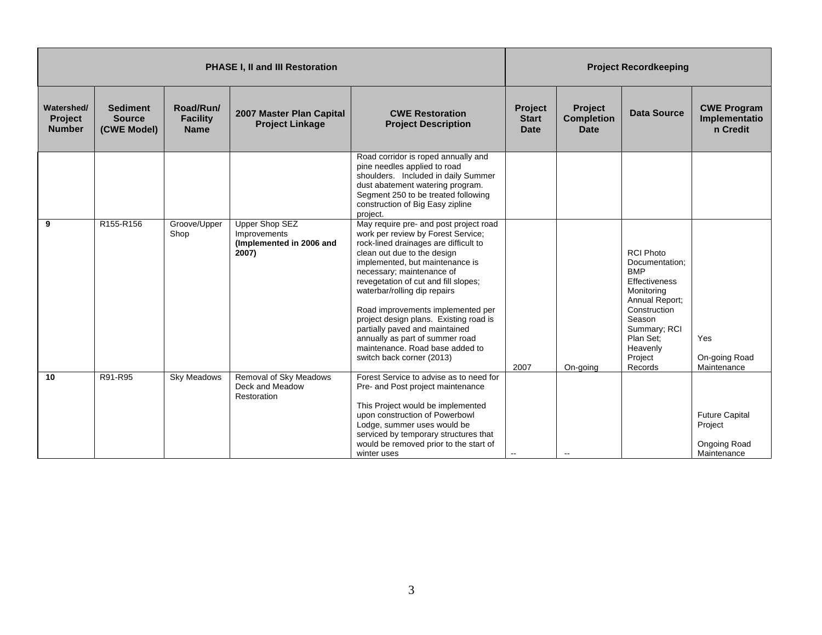|                                               |                                                 |                                             | <b>PHASE I, II and III Restoration</b>                              |                                                                                                                                                                                                                                                                                                                                                                                                                                                                                                                  |                                               | <b>Project Recordkeeping</b>                       |                                                                                                                                                                                            |                                                                 |  |
|-----------------------------------------------|-------------------------------------------------|---------------------------------------------|---------------------------------------------------------------------|------------------------------------------------------------------------------------------------------------------------------------------------------------------------------------------------------------------------------------------------------------------------------------------------------------------------------------------------------------------------------------------------------------------------------------------------------------------------------------------------------------------|-----------------------------------------------|----------------------------------------------------|--------------------------------------------------------------------------------------------------------------------------------------------------------------------------------------------|-----------------------------------------------------------------|--|
| Watershed/<br><b>Project</b><br><b>Number</b> | <b>Sediment</b><br><b>Source</b><br>(CWE Model) | Road/Run/<br><b>Facility</b><br><b>Name</b> | 2007 Master Plan Capital<br><b>Project Linkage</b>                  | <b>CWE Restoration</b><br><b>Project Description</b>                                                                                                                                                                                                                                                                                                                                                                                                                                                             | <b>Project</b><br><b>Start</b><br><b>Date</b> | <b>Project</b><br><b>Completion</b><br><b>Date</b> | <b>Data Source</b>                                                                                                                                                                         | <b>CWE Program</b><br>Implementatio<br>n Credit                 |  |
|                                               |                                                 |                                             |                                                                     | Road corridor is roped annually and<br>pine needles applied to road<br>shoulders. Included in daily Summer<br>dust abatement watering program.<br>Segment 250 to be treated following<br>construction of Big Easy zipline<br>project.                                                                                                                                                                                                                                                                            |                                               |                                                    |                                                                                                                                                                                            |                                                                 |  |
| 9                                             | R155-R156                                       | Groove/Upper<br>Shop                        | Upper Shop SEZ<br>Improvements<br>(Implemented in 2006 and<br>2007) | May require pre- and post project road<br>work per review by Forest Service;<br>rock-lined drainages are difficult to<br>clean out due to the design<br>implemented, but maintenance is<br>necessary; maintenance of<br>revegetation of cut and fill slopes;<br>waterbar/rolling dip repairs<br>Road improvements implemented per<br>project design plans. Existing road is<br>partially paved and maintained<br>annually as part of summer road<br>maintenance. Road base added to<br>switch back corner (2013) | 2007                                          | On-going                                           | <b>RCI Photo</b><br>Documentation;<br><b>BMP</b><br>Effectiveness<br>Monitoring<br>Annual Report;<br>Construction<br>Season<br>Summary; RCI<br>Plan Set:<br>Heavenly<br>Project<br>Records | Yes<br>On-going Road<br>Maintenance                             |  |
| 10                                            | R91-R95                                         | <b>Sky Meadows</b>                          | Removal of Sky Meadows<br>Deck and Meadow<br>Restoration            | Forest Service to advise as to need for<br>Pre- and Post project maintenance<br>This Project would be implemented<br>upon construction of Powerbowl<br>Lodge, summer uses would be<br>serviced by temporary structures that<br>would be removed prior to the start of<br>winter uses                                                                                                                                                                                                                             |                                               | $\overline{\phantom{a}}$                           |                                                                                                                                                                                            | <b>Future Capital</b><br>Project<br>Ongoing Road<br>Maintenance |  |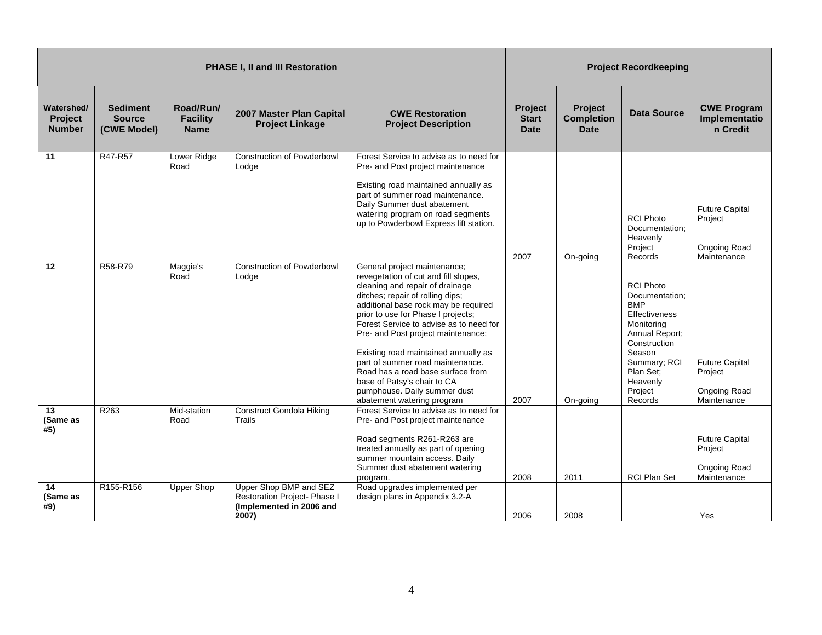|                                               |                                                 |                                             | <b>PHASE I, II and III Restoration</b>                                                      |                                                                                                                                                                                                                                                                                                                                                                                                                                                                                                                          |                                               |                                                    | <b>Project Recordkeeping</b>                                                                                                                                                                      |                                                                 |
|-----------------------------------------------|-------------------------------------------------|---------------------------------------------|---------------------------------------------------------------------------------------------|--------------------------------------------------------------------------------------------------------------------------------------------------------------------------------------------------------------------------------------------------------------------------------------------------------------------------------------------------------------------------------------------------------------------------------------------------------------------------------------------------------------------------|-----------------------------------------------|----------------------------------------------------|---------------------------------------------------------------------------------------------------------------------------------------------------------------------------------------------------|-----------------------------------------------------------------|
| Watershed/<br><b>Project</b><br><b>Number</b> | <b>Sediment</b><br><b>Source</b><br>(CWE Model) | Road/Run/<br><b>Facility</b><br><b>Name</b> | 2007 Master Plan Capital<br><b>Project Linkage</b>                                          | <b>CWE Restoration</b><br><b>Project Description</b>                                                                                                                                                                                                                                                                                                                                                                                                                                                                     | <b>Project</b><br><b>Start</b><br><b>Date</b> | <b>Project</b><br><b>Completion</b><br><b>Date</b> | Data Source                                                                                                                                                                                       | <b>CWE Program</b><br>Implementatio<br>n Credit                 |
| 11                                            | R47-R57                                         | Lower Ridge<br>Road                         | <b>Construction of Powderbowl</b><br>Lodge                                                  | Forest Service to advise as to need for<br>Pre- and Post project maintenance<br>Existing road maintained annually as<br>part of summer road maintenance.<br>Daily Summer dust abatement<br>watering program on road segments<br>up to Powderbowl Express lift station.                                                                                                                                                                                                                                                   | 2007                                          | On-going                                           | <b>RCI Photo</b><br>Documentation:<br>Heavenly<br>Project<br>Records                                                                                                                              | <b>Future Capital</b><br>Project<br>Ongoing Road<br>Maintenance |
| 12                                            | R58-R79                                         | Maggie's<br>Road                            | <b>Construction of Powderbowl</b><br>Lodge                                                  | General project maintenance;<br>revegetation of cut and fill slopes,<br>cleaning and repair of drainage<br>ditches; repair of rolling dips;<br>additional base rock may be required<br>prior to use for Phase I projects;<br>Forest Service to advise as to need for<br>Pre- and Post project maintenance;<br>Existing road maintained annually as<br>part of summer road maintenance.<br>Road has a road base surface from<br>base of Patsy's chair to CA<br>pumphouse. Daily summer dust<br>abatement watering program | 2007                                          | On-going                                           | <b>RCI Photo</b><br>Documentation;<br><b>BMP</b><br><b>Effectiveness</b><br>Monitoring<br>Annual Report;<br>Construction<br>Season<br>Summary; RCI<br>Plan Set:<br>Heavenly<br>Project<br>Records | <b>Future Capital</b><br>Project<br>Ongoing Road<br>Maintenance |
| 13<br>(Same as<br>#5)                         | R <sub>263</sub>                                | Mid-station<br>Road                         | <b>Construct Gondola Hiking</b><br><b>Trails</b>                                            | Forest Service to advise as to need for<br>Pre- and Post project maintenance<br>Road segments R261-R263 are<br>treated annually as part of opening<br>summer mountain access. Daily<br>Summer dust abatement watering<br>program.                                                                                                                                                                                                                                                                                        | 2008                                          | 2011                                               | <b>RCI Plan Set</b>                                                                                                                                                                               | <b>Future Capital</b><br>Project<br>Ongoing Road<br>Maintenance |
| 14<br>(Same as<br>#9)                         | R155-R156                                       | <b>Upper Shop</b>                           | Upper Shop BMP and SEZ<br>Restoration Project- Phase I<br>(Implemented in 2006 and<br>2007) | Road upgrades implemented per<br>design plans in Appendix 3.2-A                                                                                                                                                                                                                                                                                                                                                                                                                                                          | 2006                                          | 2008                                               |                                                                                                                                                                                                   | Yes                                                             |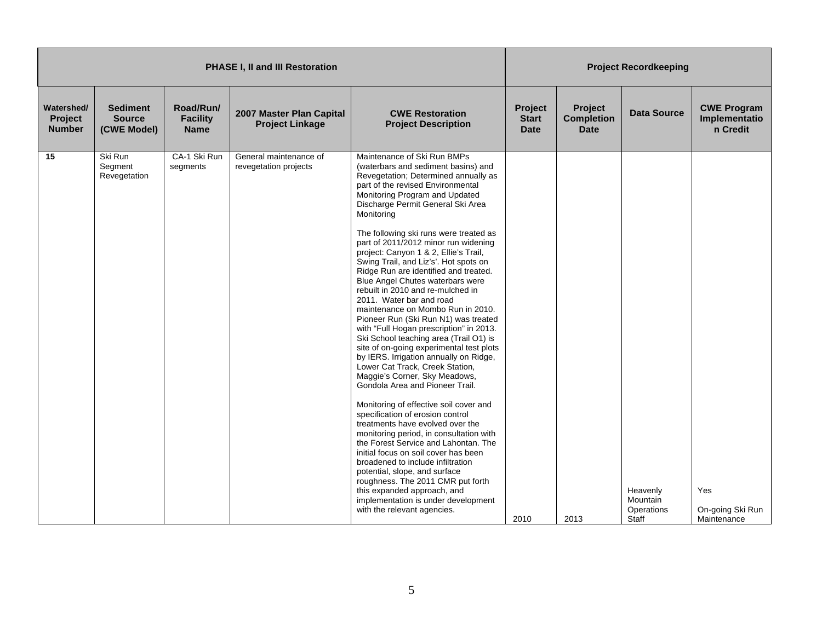|                                               |                                                 |                                             | <b>PHASE I, II and III Restoration</b>             |                                                                                                                                                                                                                                                                                                                                                                                                                                                                                                                                                                                                                                                                                                                                                                                                                                                                                                                                                                                                                                                                                                                                                                                                                                                                                                                                                                                    |                                        |                                                    | <b>Project Recordkeeping</b>                |                                                 |
|-----------------------------------------------|-------------------------------------------------|---------------------------------------------|----------------------------------------------------|------------------------------------------------------------------------------------------------------------------------------------------------------------------------------------------------------------------------------------------------------------------------------------------------------------------------------------------------------------------------------------------------------------------------------------------------------------------------------------------------------------------------------------------------------------------------------------------------------------------------------------------------------------------------------------------------------------------------------------------------------------------------------------------------------------------------------------------------------------------------------------------------------------------------------------------------------------------------------------------------------------------------------------------------------------------------------------------------------------------------------------------------------------------------------------------------------------------------------------------------------------------------------------------------------------------------------------------------------------------------------------|----------------------------------------|----------------------------------------------------|---------------------------------------------|-------------------------------------------------|
| Watershed/<br><b>Project</b><br><b>Number</b> | <b>Sediment</b><br><b>Source</b><br>(CWE Model) | Road/Run/<br><b>Facility</b><br><b>Name</b> | 2007 Master Plan Capital<br><b>Project Linkage</b> | <b>CWE Restoration</b><br><b>Project Description</b>                                                                                                                                                                                                                                                                                                                                                                                                                                                                                                                                                                                                                                                                                                                                                                                                                                                                                                                                                                                                                                                                                                                                                                                                                                                                                                                               | Project<br><b>Start</b><br><b>Date</b> | <b>Project</b><br><b>Completion</b><br><b>Date</b> | <b>Data Source</b>                          | <b>CWE Program</b><br>Implementatio<br>n Credit |
| 15                                            | Ski Run<br>Segment<br>Revegetation              | CA-1 Ski Run<br>segments                    | General maintenance of<br>revegetation projects    | Maintenance of Ski Run BMPs<br>(waterbars and sediment basins) and<br>Revegetation; Determined annually as<br>part of the revised Environmental<br>Monitoring Program and Updated<br>Discharge Permit General Ski Area<br>Monitoring<br>The following ski runs were treated as<br>part of 2011/2012 minor run widening<br>project: Canyon 1 & 2, Ellie's Trail,<br>Swing Trail, and Liz's'. Hot spots on<br>Ridge Run are identified and treated.<br>Blue Angel Chutes waterbars were<br>rebuilt in 2010 and re-mulched in<br>2011. Water bar and road<br>maintenance on Mombo Run in 2010.<br>Pioneer Run (Ski Run N1) was treated<br>with "Full Hogan prescription" in 2013.<br>Ski School teaching area (Trail O1) is<br>site of on-going experimental test plots<br>by IERS. Irrigation annually on Ridge,<br>Lower Cat Track, Creek Station,<br>Maggie's Corner, Sky Meadows,<br>Gondola Area and Pioneer Trail.<br>Monitoring of effective soil cover and<br>specification of erosion control<br>treatments have evolved over the<br>monitoring period, in consultation with<br>the Forest Service and Lahontan. The<br>initial focus on soil cover has been<br>broadened to include infiltration<br>potential, slope, and surface<br>roughness. The 2011 CMR put forth<br>this expanded approach, and<br>implementation is under development<br>with the relevant agencies. | 2010                                   | 2013                                               | Heavenly<br>Mountain<br>Operations<br>Staff | Yes<br>On-going Ski Run<br>Maintenance          |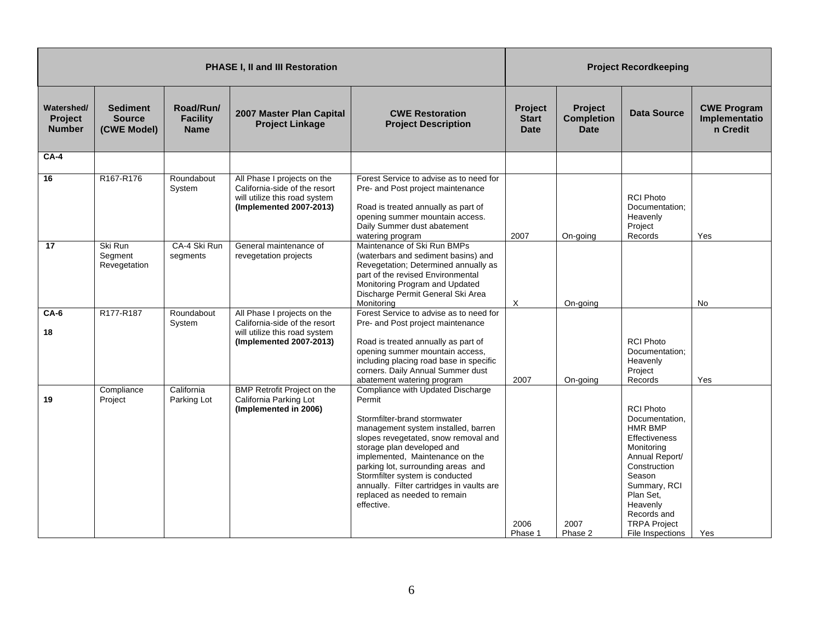|                                               |                                                 |                                             | <b>PHASE I, II and III Restoration</b>                                                                                   |                                                                                                                                                                                                                                                                                                                                                                                                 |                                               |                                                    | <b>Project Recordkeeping</b>                                                                                                                                                                                                       |                                                 |
|-----------------------------------------------|-------------------------------------------------|---------------------------------------------|--------------------------------------------------------------------------------------------------------------------------|-------------------------------------------------------------------------------------------------------------------------------------------------------------------------------------------------------------------------------------------------------------------------------------------------------------------------------------------------------------------------------------------------|-----------------------------------------------|----------------------------------------------------|------------------------------------------------------------------------------------------------------------------------------------------------------------------------------------------------------------------------------------|-------------------------------------------------|
| Watershed/<br><b>Project</b><br><b>Number</b> | <b>Sediment</b><br><b>Source</b><br>(CWE Model) | Road/Run/<br><b>Facility</b><br><b>Name</b> | 2007 Master Plan Capital<br><b>Project Linkage</b>                                                                       | <b>CWE Restoration</b><br><b>Project Description</b>                                                                                                                                                                                                                                                                                                                                            | <b>Project</b><br><b>Start</b><br><b>Date</b> | <b>Project</b><br><b>Completion</b><br><b>Date</b> | Data Source                                                                                                                                                                                                                        | <b>CWE Program</b><br>Implementatio<br>n Credit |
| <b>CA-4</b>                                   |                                                 |                                             |                                                                                                                          |                                                                                                                                                                                                                                                                                                                                                                                                 |                                               |                                                    |                                                                                                                                                                                                                                    |                                                 |
| 16                                            | R167-R176                                       | Roundabout<br>System                        | All Phase I projects on the<br>California-side of the resort<br>will utilize this road system<br>(Implemented 2007-2013) | Forest Service to advise as to need for<br>Pre- and Post project maintenance<br>Road is treated annually as part of<br>opening summer mountain access.<br>Daily Summer dust abatement<br>watering program                                                                                                                                                                                       | 2007                                          | On-going                                           | <b>RCI Photo</b><br>Documentation;<br>Heavenly<br>Project<br>Records                                                                                                                                                               | Yes                                             |
| 17                                            | Ski Run<br>Segment<br>Revegetation              | CA-4 Ski Run<br>segments                    | General maintenance of<br>revegetation projects                                                                          | Maintenance of Ski Run BMPs<br>(waterbars and sediment basins) and<br>Revegetation; Determined annually as<br>part of the revised Environmental<br>Monitoring Program and Updated<br>Discharge Permit General Ski Area<br>Monitorina                                                                                                                                                            | $\times$                                      | On-going                                           |                                                                                                                                                                                                                                    | No                                              |
| $CA-6$<br>18                                  | R177-R187                                       | Roundabout<br>System                        | All Phase I projects on the<br>California-side of the resort<br>will utilize this road system<br>(Implemented 2007-2013) | Forest Service to advise as to need for<br>Pre- and Post project maintenance<br>Road is treated annually as part of<br>opening summer mountain access,<br>including placing road base in specific<br>corners. Daily Annual Summer dust<br>abatement watering program                                                                                                                            | 2007                                          | On-going                                           | <b>RCI Photo</b><br>Documentation;<br>Heavenly<br>Project<br>Records                                                                                                                                                               | Yes                                             |
| 19                                            | Compliance<br>Project                           | California<br>Parking Lot                   | <b>BMP Retrofit Project on the</b><br>California Parking Lot<br>(Implemented in 2006)                                    | Compliance with Updated Discharge<br>Permit<br>Stormfilter-brand stormwater<br>management system installed, barren<br>slopes revegetated, snow removal and<br>storage plan developed and<br>implemented, Maintenance on the<br>parking lot, surrounding areas and<br>Stormfilter system is conducted<br>annually. Filter cartridges in vaults are<br>replaced as needed to remain<br>effective. | 2006<br>Phase 1                               | 2007<br>Phase 2                                    | <b>RCI Photo</b><br>Documentation,<br><b>HMR BMP</b><br>Effectiveness<br>Monitoring<br>Annual Report/<br>Construction<br>Season<br>Summary, RCI<br>Plan Set,<br>Heavenly<br>Records and<br><b>TRPA Project</b><br>File Inspections | Yes                                             |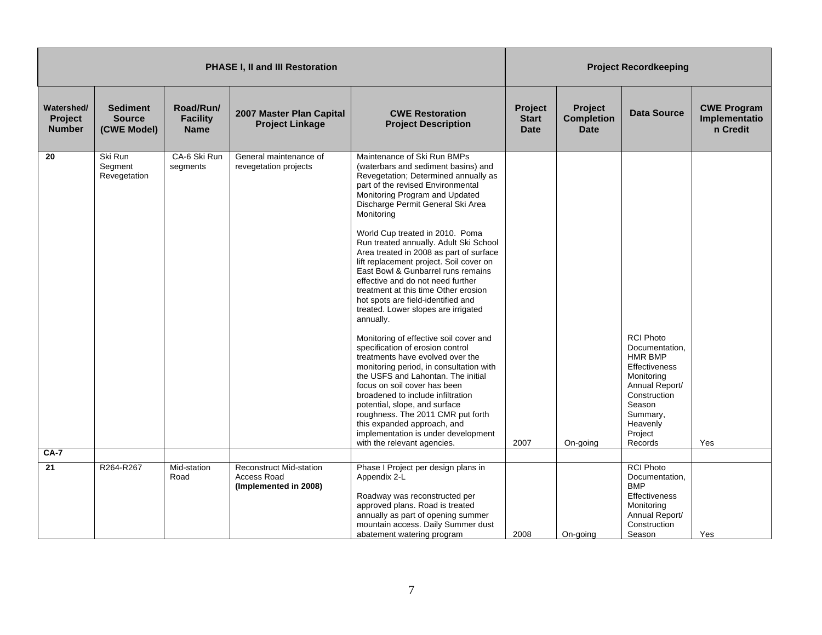|                                               |                                                 |                                             | <b>PHASE I, II and III Restoration</b>                                 |                                                                                                                                                                                                                                                                                                                                                                                                                                                                                                                                                                                                                                                                                                                                                                                                                                                                                                                                                                                                                                                                         |                                        |                                             | <b>Project Recordkeeping</b>                                                                                                                                                  |                                                 |
|-----------------------------------------------|-------------------------------------------------|---------------------------------------------|------------------------------------------------------------------------|-------------------------------------------------------------------------------------------------------------------------------------------------------------------------------------------------------------------------------------------------------------------------------------------------------------------------------------------------------------------------------------------------------------------------------------------------------------------------------------------------------------------------------------------------------------------------------------------------------------------------------------------------------------------------------------------------------------------------------------------------------------------------------------------------------------------------------------------------------------------------------------------------------------------------------------------------------------------------------------------------------------------------------------------------------------------------|----------------------------------------|---------------------------------------------|-------------------------------------------------------------------------------------------------------------------------------------------------------------------------------|-------------------------------------------------|
| Watershed/<br><b>Project</b><br><b>Number</b> | <b>Sediment</b><br><b>Source</b><br>(CWE Model) | Road/Run/<br><b>Facility</b><br><b>Name</b> | 2007 Master Plan Capital<br><b>Project Linkage</b>                     | <b>CWE Restoration</b><br><b>Project Description</b>                                                                                                                                                                                                                                                                                                                                                                                                                                                                                                                                                                                                                                                                                                                                                                                                                                                                                                                                                                                                                    | Project<br><b>Start</b><br><b>Date</b> | Project<br><b>Completion</b><br><b>Date</b> | <b>Data Source</b>                                                                                                                                                            | <b>CWE Program</b><br>Implementatio<br>n Credit |
| 20                                            | Ski Run<br>Segment<br>Revegetation              | CA-6 Ski Run<br>segments                    | General maintenance of<br>revegetation projects                        | Maintenance of Ski Run BMPs<br>(waterbars and sediment basins) and<br>Revegetation; Determined annually as<br>part of the revised Environmental<br>Monitoring Program and Updated<br>Discharge Permit General Ski Area<br>Monitoring<br>World Cup treated in 2010. Poma<br>Run treated annually. Adult Ski School<br>Area treated in 2008 as part of surface<br>lift replacement project. Soil cover on<br>East Bowl & Gunbarrel runs remains<br>effective and do not need further<br>treatment at this time Other erosion<br>hot spots are field-identified and<br>treated. Lower slopes are irrigated<br>annually.<br>Monitoring of effective soil cover and<br>specification of erosion control<br>treatments have evolved over the<br>monitoring period, in consultation with<br>the USFS and Lahontan. The initial<br>focus on soil cover has been<br>broadened to include infiltration<br>potential, slope, and surface<br>roughness. The 2011 CMR put forth<br>this expanded approach, and<br>implementation is under development<br>with the relevant agencies. | 2007                                   | On-going                                    | <b>RCI Photo</b><br>Documentation,<br><b>HMR BMP</b><br>Effectiveness<br>Monitoring<br>Annual Report/<br>Construction<br>Season<br>Summary,<br>Heavenly<br>Project<br>Records | Yes                                             |
| <b>CA-7</b>                                   |                                                 |                                             |                                                                        |                                                                                                                                                                                                                                                                                                                                                                                                                                                                                                                                                                                                                                                                                                                                                                                                                                                                                                                                                                                                                                                                         |                                        |                                             |                                                                                                                                                                               |                                                 |
| 21                                            | R264-R267                                       | Mid-station<br>Road                         | <b>Reconstruct Mid-station</b><br>Access Road<br>(Implemented in 2008) | Phase I Project per design plans in<br>Appendix 2-L<br>Roadway was reconstructed per<br>approved plans. Road is treated<br>annually as part of opening summer<br>mountain access. Daily Summer dust<br>abatement watering program                                                                                                                                                                                                                                                                                                                                                                                                                                                                                                                                                                                                                                                                                                                                                                                                                                       | 2008                                   | On-going                                    | <b>RCI Photo</b><br>Documentation,<br><b>BMP</b><br>Effectiveness<br>Monitoring<br>Annual Report/<br>Construction<br>Season                                                   | Yes                                             |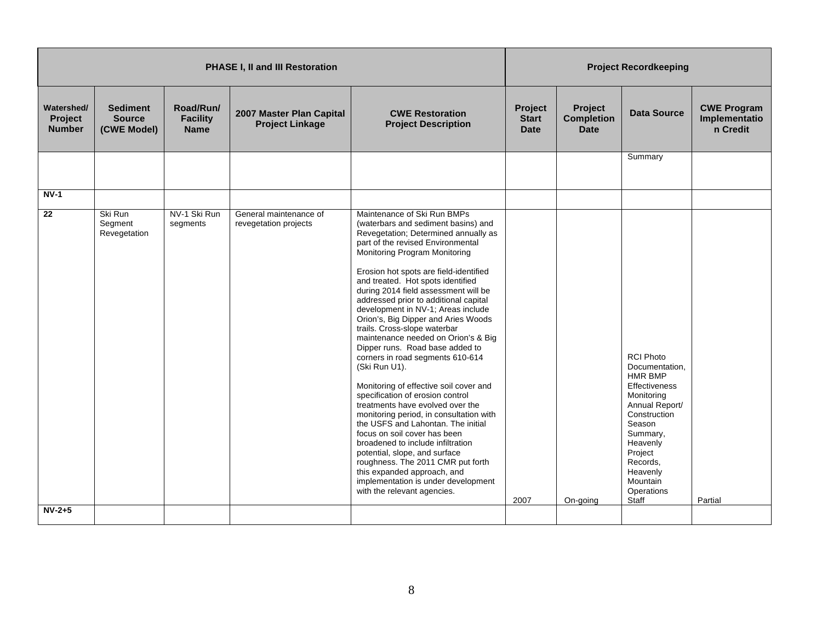|                                               |                                                 |                                             | <b>PHASE I, II and III Restoration</b>             |                                                                                                                                                                                                                                                                                                                                                                                                                                                                                                                                                                                                                                                                                                                                                                                                                                                                                                                                                                                                                                                 |                                               |                                                    | <b>Project Recordkeeping</b>                                                                                                                                                                                                  |                                                 |
|-----------------------------------------------|-------------------------------------------------|---------------------------------------------|----------------------------------------------------|-------------------------------------------------------------------------------------------------------------------------------------------------------------------------------------------------------------------------------------------------------------------------------------------------------------------------------------------------------------------------------------------------------------------------------------------------------------------------------------------------------------------------------------------------------------------------------------------------------------------------------------------------------------------------------------------------------------------------------------------------------------------------------------------------------------------------------------------------------------------------------------------------------------------------------------------------------------------------------------------------------------------------------------------------|-----------------------------------------------|----------------------------------------------------|-------------------------------------------------------------------------------------------------------------------------------------------------------------------------------------------------------------------------------|-------------------------------------------------|
| Watershed/<br><b>Project</b><br><b>Number</b> | <b>Sediment</b><br><b>Source</b><br>(CWE Model) | Road/Run/<br><b>Facility</b><br><b>Name</b> | 2007 Master Plan Capital<br><b>Project Linkage</b> | <b>CWE Restoration</b><br><b>Project Description</b>                                                                                                                                                                                                                                                                                                                                                                                                                                                                                                                                                                                                                                                                                                                                                                                                                                                                                                                                                                                            | <b>Project</b><br><b>Start</b><br><b>Date</b> | <b>Project</b><br><b>Completion</b><br><b>Date</b> | <b>Data Source</b>                                                                                                                                                                                                            | <b>CWE Program</b><br>Implementatio<br>n Credit |
|                                               |                                                 |                                             |                                                    |                                                                                                                                                                                                                                                                                                                                                                                                                                                                                                                                                                                                                                                                                                                                                                                                                                                                                                                                                                                                                                                 |                                               |                                                    | Summary                                                                                                                                                                                                                       |                                                 |
| $NV-1$                                        |                                                 |                                             |                                                    |                                                                                                                                                                                                                                                                                                                                                                                                                                                                                                                                                                                                                                                                                                                                                                                                                                                                                                                                                                                                                                                 |                                               |                                                    |                                                                                                                                                                                                                               |                                                 |
| 22                                            | Ski Run<br>Segment<br>Revegetation              | NV-1 Ski Run<br>segments                    | General maintenance of<br>revegetation projects    | Maintenance of Ski Run BMPs<br>(waterbars and sediment basins) and<br>Revegetation; Determined annually as<br>part of the revised Environmental<br>Monitoring Program Monitoring<br>Erosion hot spots are field-identified<br>and treated. Hot spots identified<br>during 2014 field assessment will be<br>addressed prior to additional capital<br>development in NV-1; Areas include<br>Orion's, Big Dipper and Aries Woods<br>trails. Cross-slope waterbar<br>maintenance needed on Orion's & Big<br>Dipper runs. Road base added to<br>corners in road segments 610-614<br>(Ski Run U1).<br>Monitoring of effective soil cover and<br>specification of erosion control<br>treatments have evolved over the<br>monitoring period, in consultation with<br>the USFS and Lahontan. The initial<br>focus on soil cover has been<br>broadened to include infiltration<br>potential, slope, and surface<br>roughness. The 2011 CMR put forth<br>this expanded approach, and<br>implementation is under development<br>with the relevant agencies. | 2007                                          | On-going                                           | <b>RCI Photo</b><br>Documentation.<br><b>HMR BMP</b><br>Effectiveness<br>Monitoring<br>Annual Report/<br>Construction<br>Season<br>Summary,<br>Heavenly<br>Project<br>Records,<br>Heavenly<br>Mountain<br>Operations<br>Staff | Partial                                         |
| $NV-2+5$                                      |                                                 |                                             |                                                    |                                                                                                                                                                                                                                                                                                                                                                                                                                                                                                                                                                                                                                                                                                                                                                                                                                                                                                                                                                                                                                                 |                                               |                                                    |                                                                                                                                                                                                                               |                                                 |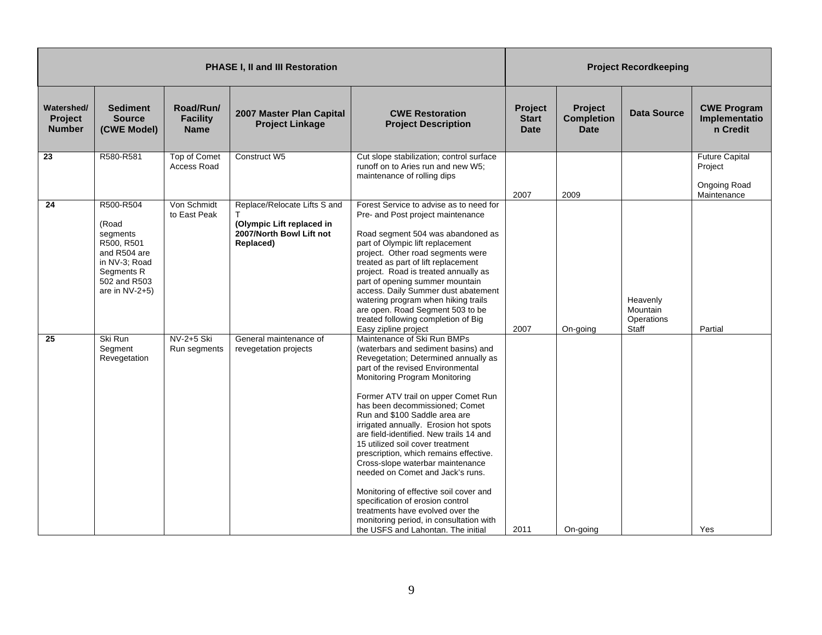|                                        |                                                                                                                               |                                             | PHASE I, II and III Restoration                                                                    |                                                                                                                                                                                                                                                                                                                                                                                                                                                                                                                                                                                                                                                                                                                                         |                                        |                                                    | <b>Project Recordkeeping</b>                |                                                                 |
|----------------------------------------|-------------------------------------------------------------------------------------------------------------------------------|---------------------------------------------|----------------------------------------------------------------------------------------------------|-----------------------------------------------------------------------------------------------------------------------------------------------------------------------------------------------------------------------------------------------------------------------------------------------------------------------------------------------------------------------------------------------------------------------------------------------------------------------------------------------------------------------------------------------------------------------------------------------------------------------------------------------------------------------------------------------------------------------------------------|----------------------------------------|----------------------------------------------------|---------------------------------------------|-----------------------------------------------------------------|
| Watershed/<br>Project<br><b>Number</b> | <b>Sediment</b><br><b>Source</b><br>(CWE Model)                                                                               | Road/Run/<br><b>Facility</b><br><b>Name</b> | 2007 Master Plan Capital<br><b>Project Linkage</b>                                                 | <b>CWE Restoration</b><br><b>Project Description</b>                                                                                                                                                                                                                                                                                                                                                                                                                                                                                                                                                                                                                                                                                    | Project<br><b>Start</b><br><b>Date</b> | <b>Project</b><br><b>Completion</b><br><b>Date</b> | <b>Data Source</b>                          | <b>CWE Program</b><br>Implementatio<br>n Credit                 |
| 23                                     | R580-R581                                                                                                                     | Top of Comet<br><b>Access Road</b>          | Construct W5                                                                                       | Cut slope stabilization; control surface<br>runoff on to Aries run and new W5;<br>maintenance of rolling dips                                                                                                                                                                                                                                                                                                                                                                                                                                                                                                                                                                                                                           | 2007                                   | 2009                                               |                                             | <b>Future Capital</b><br>Project<br>Ongoing Road<br>Maintenance |
| 24                                     | R500-R504<br>(Road<br>segments<br>R500, R501<br>and R504 are<br>in NV-3; Road<br>Segments R<br>502 and R503<br>are in NV-2+5) | Von Schmidt<br>to East Peak                 | Replace/Relocate Lifts S and<br>(Olympic Lift replaced in<br>2007/North Bowl Lift not<br>Replaced) | Forest Service to advise as to need for<br>Pre- and Post project maintenance<br>Road segment 504 was abandoned as<br>part of Olympic lift replacement<br>project. Other road segments were<br>treated as part of lift replacement<br>project. Road is treated annually as<br>part of opening summer mountain<br>access. Daily Summer dust abatement<br>watering program when hiking trails<br>are open. Road Segment 503 to be<br>treated following completion of Big<br>Easy zipline project                                                                                                                                                                                                                                           | 2007                                   | On-going                                           | Heavenly<br>Mountain<br>Operations<br>Staff | Partial                                                         |
| 25                                     | Ski Run<br>Segment<br>Revegetation                                                                                            | NV-2+5 Ski<br>Run segments                  | General maintenance of<br>revegetation projects                                                    | Maintenance of Ski Run BMPs<br>(waterbars and sediment basins) and<br>Revegetation; Determined annually as<br>part of the revised Environmental<br>Monitoring Program Monitoring<br>Former ATV trail on upper Comet Run<br>has been decommissioned; Comet<br>Run and \$100 Saddle area are<br>irrigated annually. Erosion hot spots<br>are field-identified. New trails 14 and<br>15 utilized soil cover treatment<br>prescription, which remains effective.<br>Cross-slope waterbar maintenance<br>needed on Comet and Jack's runs.<br>Monitoring of effective soil cover and<br>specification of erosion control<br>treatments have evolved over the<br>monitoring period, in consultation with<br>the USFS and Lahontan. The initial | 2011                                   | On-going                                           |                                             | Yes                                                             |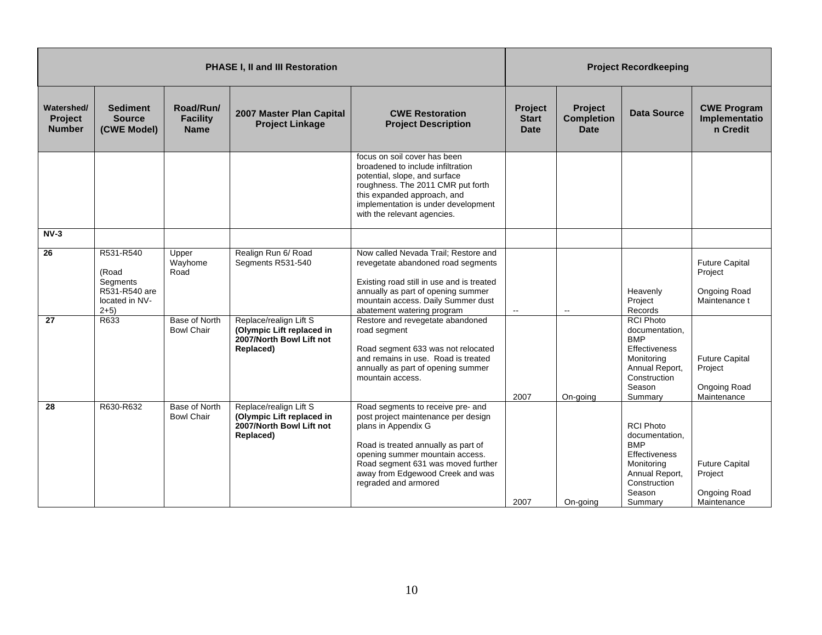|                                        |                                                                             |                                             | <b>PHASE I, II and III Restoration</b>                                                       |                                                                                                                                                                                                                                                                             |                                               |                                                    | <b>Project Recordkeeping</b>                                                                                                                  |                                                                   |
|----------------------------------------|-----------------------------------------------------------------------------|---------------------------------------------|----------------------------------------------------------------------------------------------|-----------------------------------------------------------------------------------------------------------------------------------------------------------------------------------------------------------------------------------------------------------------------------|-----------------------------------------------|----------------------------------------------------|-----------------------------------------------------------------------------------------------------------------------------------------------|-------------------------------------------------------------------|
| Watershed/<br>Project<br><b>Number</b> | <b>Sediment</b><br><b>Source</b><br>(CWE Model)                             | Road/Run/<br><b>Facility</b><br><b>Name</b> | 2007 Master Plan Capital<br><b>Project Linkage</b>                                           | <b>CWE Restoration</b><br><b>Project Description</b>                                                                                                                                                                                                                        | <b>Project</b><br><b>Start</b><br><b>Date</b> | <b>Project</b><br><b>Completion</b><br><b>Date</b> | <b>Data Source</b>                                                                                                                            | <b>CWE Program</b><br>Implementatio<br>n Credit                   |
|                                        |                                                                             |                                             |                                                                                              | focus on soil cover has been<br>broadened to include infiltration<br>potential, slope, and surface<br>roughness. The 2011 CMR put forth<br>this expanded approach, and<br>implementation is under development<br>with the relevant agencies.                                |                                               |                                                    |                                                                                                                                               |                                                                   |
| $NV-3$                                 |                                                                             |                                             |                                                                                              |                                                                                                                                                                                                                                                                             |                                               |                                                    |                                                                                                                                               |                                                                   |
| 26                                     | R531-R540<br>(Road<br>Segments<br>R531-R540 are<br>located in NV-<br>$2+5)$ | Upper<br>Wayhome<br>Road                    | Realign Run 6/ Road<br>Segments R531-540                                                     | Now called Nevada Trail: Restore and<br>revegetate abandoned road segments<br>Existing road still in use and is treated<br>annually as part of opening summer<br>mountain access. Daily Summer dust<br>abatement watering program                                           | $\sim$                                        | $\overline{\phantom{a}}$                           | Heavenly<br>Project<br>Records                                                                                                                | <b>Future Capital</b><br>Project<br>Ongoing Road<br>Maintenance t |
| 27                                     | R633                                                                        | Base of North<br><b>Bowl Chair</b>          | Replace/realign Lift S<br>(Olympic Lift replaced in<br>2007/North Bowl Lift not<br>Replaced) | Restore and revegetate abandoned<br>road segment<br>Road segment 633 was not relocated<br>and remains in use. Road is treated<br>annually as part of opening summer<br>mountain access.                                                                                     | 2007                                          | On-going                                           | <b>RCI Photo</b><br>documentation,<br><b>BMP</b><br>Effectiveness<br>Monitoring<br>Annual Report,<br>Construction<br>Season<br>Summary        | <b>Future Capital</b><br>Project<br>Ongoing Road<br>Maintenance   |
| 28                                     | R630-R632                                                                   | Base of North<br><b>Bowl Chair</b>          | Replace/realign Lift S<br>(Olympic Lift replaced in<br>2007/North Bowl Lift not<br>Replaced) | Road segments to receive pre- and<br>post project maintenance per design<br>plans in Appendix G<br>Road is treated annually as part of<br>opening summer mountain access.<br>Road segment 631 was moved further<br>away from Edgewood Creek and was<br>regraded and armored | 2007                                          | On-going                                           | <b>RCI Photo</b><br>documentation,<br><b>BMP</b><br><b>Effectiveness</b><br>Monitoring<br>Annual Report,<br>Construction<br>Season<br>Summary | <b>Future Capital</b><br>Project<br>Ongoing Road<br>Maintenance   |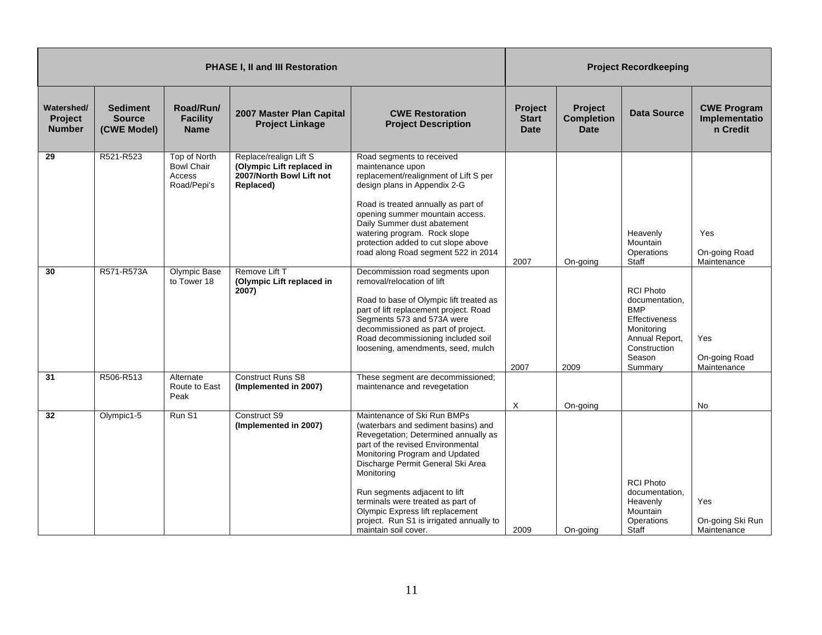|                                               |                                                 |                                                            | <b>PHASE I, II and III Restoration</b>                                                       |                                                                                                                                                                                                                                                                                                                                                                                                                    | <b>Project Recordkeeping</b>                  |                                             |                                                                                                                                               |                                                 |  |
|-----------------------------------------------|-------------------------------------------------|------------------------------------------------------------|----------------------------------------------------------------------------------------------|--------------------------------------------------------------------------------------------------------------------------------------------------------------------------------------------------------------------------------------------------------------------------------------------------------------------------------------------------------------------------------------------------------------------|-----------------------------------------------|---------------------------------------------|-----------------------------------------------------------------------------------------------------------------------------------------------|-------------------------------------------------|--|
| Watershed/<br><b>Project</b><br><b>Number</b> | <b>Sediment</b><br><b>Source</b><br>(CWE Model) | Road/Run/<br><b>Facility</b><br><b>Name</b>                | 2007 Master Plan Capital<br><b>Project Linkage</b>                                           | <b>CWE Restoration</b><br><b>Project Description</b>                                                                                                                                                                                                                                                                                                                                                               | <b>Project</b><br><b>Start</b><br><b>Date</b> | Project<br><b>Completion</b><br><b>Date</b> | Data Source                                                                                                                                   | <b>CWE Program</b><br>Implementatio<br>n Credit |  |
| 29                                            | R521-R523                                       | Top of North<br><b>Bowl Chair</b><br>Access<br>Road/Pepi's | Replace/realign Lift S<br>(Olympic Lift replaced in<br>2007/North Bowl Lift not<br>Replaced) | Road segments to received<br>maintenance upon<br>replacement/realignment of Lift S per<br>design plans in Appendix 2-G<br>Road is treated annually as part of<br>opening summer mountain access.<br>Daily Summer dust abatement<br>watering program. Rock slope<br>protection added to cut slope above<br>road along Road segment 522 in 2014                                                                      | 2007                                          | On-going                                    | Heavenly<br>Mountain<br>Operations<br>Staff                                                                                                   | Yes<br>On-going Road<br>Maintenance             |  |
| 30                                            | R571-R573A                                      | Olympic Base<br>to Tower 18                                | Remove Lift T<br>(Olympic Lift replaced in<br>2007)                                          | Decommission road segments upon<br>removal/relocation of lift<br>Road to base of Olympic lift treated as<br>part of lift replacement project. Road<br>Segments 573 and 573A were<br>decommissioned as part of project.<br>Road decommissioning included soil<br>loosening, amendments, seed, mulch                                                                                                                 | 2007                                          | 2009                                        | <b>RCI Photo</b><br>documentation,<br><b>BMP</b><br><b>Effectiveness</b><br>Monitoring<br>Annual Report,<br>Construction<br>Season<br>Summary | Yes<br>On-going Road<br>Maintenance             |  |
| 31                                            | R506-R513                                       | Alternate<br>Route to East<br>Peak                         | <b>Construct Runs S8</b><br>(Implemented in 2007)                                            | These segment are decommissioned;<br>maintenance and revegetation                                                                                                                                                                                                                                                                                                                                                  |                                               |                                             |                                                                                                                                               |                                                 |  |
| 32                                            | Olympic1-5                                      | Run S1                                                     | Construct S9<br>(Implemented in 2007)                                                        | Maintenance of Ski Run BMPs<br>(waterbars and sediment basins) and<br>Revegetation; Determined annually as<br>part of the revised Environmental<br>Monitoring Program and Updated<br>Discharge Permit General Ski Area<br>Monitoring<br>Run segments adjacent to lift<br>terminals were treated as part of<br>Olympic Express lift replacement<br>project. Run S1 is irrigated annually to<br>maintain soil cover. | X<br>2009                                     | On-going<br>On-going                        | <b>RCI Photo</b><br>documentation,<br>Heavenly<br>Mountain<br>Operations<br>Staff                                                             | No<br>Yes<br>On-going Ski Run<br>Maintenance    |  |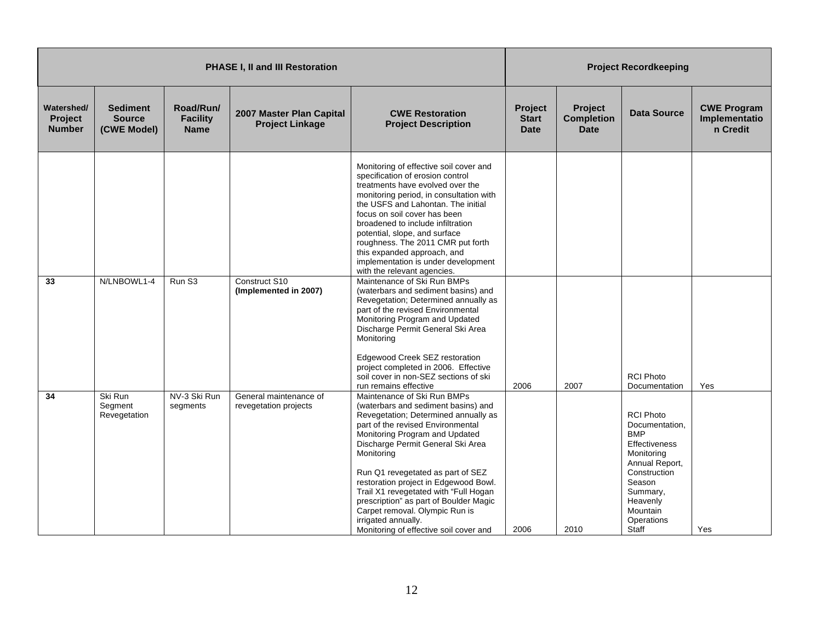|                                               |                                                 |                                             | PHASE I, II and III Restoration                    |                                                                                                                                                                                                                                                                                                                                                                                                                                                                                                                                                                                                                                                                                                                                                                                                                                     |                                        |                                             | <b>Project Recordkeeping</b>                                                                                                                                                           |                                                 |
|-----------------------------------------------|-------------------------------------------------|---------------------------------------------|----------------------------------------------------|-------------------------------------------------------------------------------------------------------------------------------------------------------------------------------------------------------------------------------------------------------------------------------------------------------------------------------------------------------------------------------------------------------------------------------------------------------------------------------------------------------------------------------------------------------------------------------------------------------------------------------------------------------------------------------------------------------------------------------------------------------------------------------------------------------------------------------------|----------------------------------------|---------------------------------------------|----------------------------------------------------------------------------------------------------------------------------------------------------------------------------------------|-------------------------------------------------|
| Watershed/<br><b>Project</b><br><b>Number</b> | <b>Sediment</b><br><b>Source</b><br>(CWE Model) | Road/Run/<br><b>Facility</b><br><b>Name</b> | 2007 Master Plan Capital<br><b>Project Linkage</b> | <b>CWE Restoration</b><br><b>Project Description</b>                                                                                                                                                                                                                                                                                                                                                                                                                                                                                                                                                                                                                                                                                                                                                                                | Project<br><b>Start</b><br><b>Date</b> | Project<br><b>Completion</b><br><b>Date</b> | <b>Data Source</b>                                                                                                                                                                     | <b>CWE Program</b><br>Implementatio<br>n Credit |
| 33                                            | N/LNBOWL1-4                                     | Run S3                                      | Construct S10<br>(Implemented in 2007)             | Monitoring of effective soil cover and<br>specification of erosion control<br>treatments have evolved over the<br>monitoring period, in consultation with<br>the USFS and Lahontan. The initial<br>focus on soil cover has been<br>broadened to include infiltration<br>potential, slope, and surface<br>roughness. The 2011 CMR put forth<br>this expanded approach, and<br>implementation is under development<br>with the relevant agencies.<br>Maintenance of Ski Run BMPs<br>(waterbars and sediment basins) and<br>Revegetation; Determined annually as<br>part of the revised Environmental<br>Monitoring Program and Updated<br>Discharge Permit General Ski Area<br>Monitoring<br>Edgewood Creek SEZ restoration<br>project completed in 2006. Effective<br>soil cover in non-SEZ sections of ski<br>run remains effective | 2006                                   | 2007                                        | <b>RCI Photo</b><br>Documentation                                                                                                                                                      | Yes                                             |
| 34                                            | Ski Run<br>Segment<br>Revegetation              | NV-3 Ski Run<br>segments                    | General maintenance of<br>revegetation projects    | Maintenance of Ski Run BMPs<br>(waterbars and sediment basins) and<br>Revegetation; Determined annually as<br>part of the revised Environmental<br>Monitoring Program and Updated<br>Discharge Permit General Ski Area<br>Monitoring<br>Run Q1 revegetated as part of SEZ<br>restoration project in Edgewood Bowl.<br>Trail X1 revegetated with "Full Hogan<br>prescription" as part of Boulder Magic<br>Carpet removal. Olympic Run is<br>irrigated annually.<br>Monitoring of effective soil cover and                                                                                                                                                                                                                                                                                                                            | 2006                                   | 2010                                        | <b>RCI Photo</b><br>Documentation,<br><b>BMP</b><br>Effectiveness<br>Monitoring<br>Annual Report,<br>Construction<br>Season<br>Summary,<br>Heavenly<br>Mountain<br>Operations<br>Staff | Yes                                             |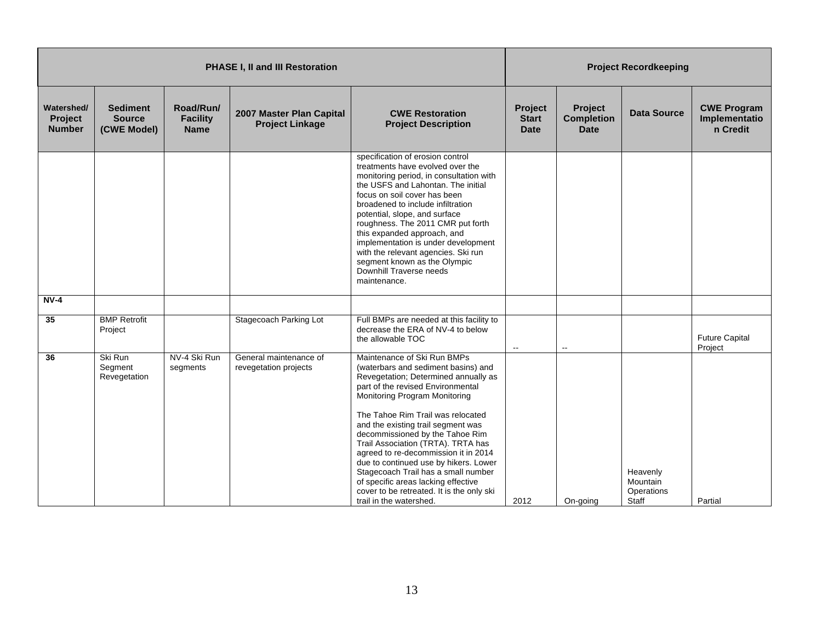|                                               | <b>PHASE I, II and III Restoration</b>          |                                             |                                                    |                                                                                                                                                                                                                                                                                                                                                                                                                                                                                                                                                                             |                                        | <b>Project Recordkeeping</b>                |                                             |                                                 |  |
|-----------------------------------------------|-------------------------------------------------|---------------------------------------------|----------------------------------------------------|-----------------------------------------------------------------------------------------------------------------------------------------------------------------------------------------------------------------------------------------------------------------------------------------------------------------------------------------------------------------------------------------------------------------------------------------------------------------------------------------------------------------------------------------------------------------------------|----------------------------------------|---------------------------------------------|---------------------------------------------|-------------------------------------------------|--|
| Watershed/<br><b>Project</b><br><b>Number</b> | <b>Sediment</b><br><b>Source</b><br>(CWE Model) | Road/Run/<br><b>Facility</b><br><b>Name</b> | 2007 Master Plan Capital<br><b>Project Linkage</b> | <b>CWE Restoration</b><br><b>Project Description</b>                                                                                                                                                                                                                                                                                                                                                                                                                                                                                                                        | Project<br><b>Start</b><br><b>Date</b> | Project<br><b>Completion</b><br><b>Date</b> | <b>Data Source</b>                          | <b>CWE Program</b><br>Implementatio<br>n Credit |  |
|                                               |                                                 |                                             |                                                    | specification of erosion control<br>treatments have evolved over the<br>monitoring period, in consultation with<br>the USFS and Lahontan. The initial<br>focus on soil cover has been<br>broadened to include infiltration<br>potential, slope, and surface<br>roughness. The 2011 CMR put forth<br>this expanded approach, and<br>implementation is under development<br>with the relevant agencies. Ski run<br>segment known as the Olympic<br>Downhill Traverse needs<br>maintenance.                                                                                    |                                        |                                             |                                             |                                                 |  |
| $NV-4$                                        |                                                 |                                             |                                                    |                                                                                                                                                                                                                                                                                                                                                                                                                                                                                                                                                                             |                                        |                                             |                                             |                                                 |  |
| $\overline{35}$                               | <b>BMP Retrofit</b><br>Project                  |                                             | Stagecoach Parking Lot                             | Full BMPs are needed at this facility to<br>decrease the ERA of NV-4 to below<br>the allowable TOC                                                                                                                                                                                                                                                                                                                                                                                                                                                                          | $\sim$                                 |                                             |                                             | <b>Future Capital</b><br>Project                |  |
| 36                                            | Ski Run<br>Segment<br>Revegetation              | NV-4 Ski Run<br>segments                    | General maintenance of<br>revegetation projects    | Maintenance of Ski Run BMPs<br>(waterbars and sediment basins) and<br>Revegetation; Determined annually as<br>part of the revised Environmental<br>Monitoring Program Monitoring<br>The Tahoe Rim Trail was relocated<br>and the existing trail segment was<br>decommissioned by the Tahoe Rim<br>Trail Association (TRTA). TRTA has<br>agreed to re-decommission it in 2014<br>due to continued use by hikers. Lower<br>Stagecoach Trail has a small number<br>of specific areas lacking effective<br>cover to be retreated. It is the only ski<br>trail in the watershed. | 2012                                   | On-going                                    | Heavenly<br>Mountain<br>Operations<br>Staff | Partial                                         |  |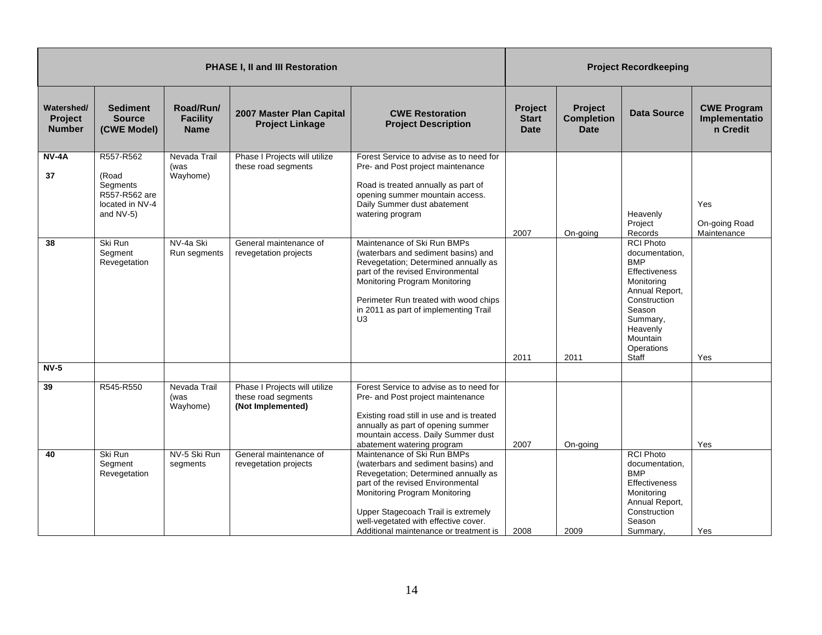|                                               |                                                                                 |                                             | <b>PHASE I, II and III Restoration</b>                                    |                                                                                                                                                                                                                                                                                                           | <b>Project Recordkeeping</b>           |                                                    |                                                                                                                                                                                               |                                                 |
|-----------------------------------------------|---------------------------------------------------------------------------------|---------------------------------------------|---------------------------------------------------------------------------|-----------------------------------------------------------------------------------------------------------------------------------------------------------------------------------------------------------------------------------------------------------------------------------------------------------|----------------------------------------|----------------------------------------------------|-----------------------------------------------------------------------------------------------------------------------------------------------------------------------------------------------|-------------------------------------------------|
| Watershed/<br><b>Project</b><br><b>Number</b> | <b>Sediment</b><br><b>Source</b><br>(CWE Model)                                 | Road/Run/<br><b>Facility</b><br><b>Name</b> | 2007 Master Plan Capital<br><b>Project Linkage</b>                        | <b>CWE Restoration</b><br><b>Project Description</b>                                                                                                                                                                                                                                                      | Project<br><b>Start</b><br><b>Date</b> | <b>Project</b><br><b>Completion</b><br><b>Date</b> | <b>Data Source</b>                                                                                                                                                                            | <b>CWE Program</b><br>Implementatio<br>n Credit |
| <b>NV-4A</b><br>37                            | R557-R562<br>(Road<br>Segments<br>R557-R562 are<br>located in NV-4<br>and NV-5) | Nevada Trail<br>(was<br>Wayhome)            | Phase I Projects will utilize<br>these road segments                      | Forest Service to advise as to need for<br>Pre- and Post project maintenance<br>Road is treated annually as part of<br>opening summer mountain access.<br>Daily Summer dust abatement<br>watering program                                                                                                 | 2007                                   | On-going                                           | Heavenly<br>Project<br>Records                                                                                                                                                                | Yes<br>On-going Road<br>Maintenance             |
| 38                                            | Ski Run<br>Segment<br>Revegetation                                              | NV-4a Ski<br>Run segments                   | General maintenance of<br>revegetation projects                           | Maintenance of Ski Run BMPs<br>(waterbars and sediment basins) and<br>Revegetation; Determined annually as<br>part of the revised Environmental<br>Monitoring Program Monitoring<br>Perimeter Run treated with wood chips<br>in 2011 as part of implementing Trail<br>U <sub>3</sub>                      | 2011                                   | 2011                                               | <b>RCI Photo</b><br>documentation,<br><b>BMP</b><br><b>Effectiveness</b><br>Monitoring<br>Annual Report,<br>Construction<br>Season<br>Summary,<br>Heavenly<br>Mountain<br>Operations<br>Staff | Yes                                             |
| $NV-5$<br>39                                  | R545-R550                                                                       | Nevada Trail<br>(was<br>Wayhome)            | Phase I Projects will utilize<br>these road segments<br>(Not Implemented) | Forest Service to advise as to need for<br>Pre- and Post project maintenance<br>Existing road still in use and is treated<br>annually as part of opening summer<br>mountain access. Daily Summer dust<br>abatement watering program                                                                       | 2007                                   | On-going                                           |                                                                                                                                                                                               | Yes                                             |
| 40                                            | Ski Run<br>Segment<br>Revegetation                                              | NV-5 Ski Run<br>segments                    | General maintenance of<br>revegetation projects                           | Maintenance of Ski Run BMPs<br>(waterbars and sediment basins) and<br>Revegetation; Determined annually as<br>part of the revised Environmental<br>Monitoring Program Monitoring<br>Upper Stagecoach Trail is extremely<br>well-vegetated with effective cover.<br>Additional maintenance or treatment is | 2008                                   | 2009                                               | <b>RCI Photo</b><br>documentation,<br><b>BMP</b><br><b>Effectiveness</b><br>Monitoring<br>Annual Report,<br>Construction<br>Season<br>Summary.                                                | Yes                                             |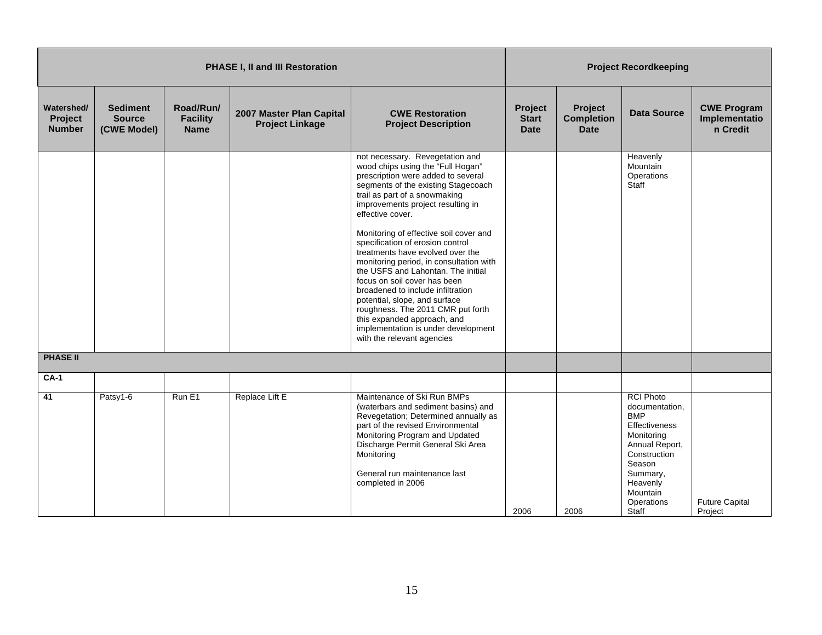|                                        | <b>PHASE I, II and III Restoration</b>          |                                             |                                                    |                                                                                                                                                                                                                                                                                                                                                                                                                                                |                                        |                                             | <b>Project Recordkeeping</b>                                                                                                                                                                  |                                                 |
|----------------------------------------|-------------------------------------------------|---------------------------------------------|----------------------------------------------------|------------------------------------------------------------------------------------------------------------------------------------------------------------------------------------------------------------------------------------------------------------------------------------------------------------------------------------------------------------------------------------------------------------------------------------------------|----------------------------------------|---------------------------------------------|-----------------------------------------------------------------------------------------------------------------------------------------------------------------------------------------------|-------------------------------------------------|
| Watershed/<br>Project<br><b>Number</b> | <b>Sediment</b><br><b>Source</b><br>(CWE Model) | Road/Run/<br><b>Facility</b><br><b>Name</b> | 2007 Master Plan Capital<br><b>Project Linkage</b> | <b>CWE Restoration</b><br><b>Project Description</b>                                                                                                                                                                                                                                                                                                                                                                                           | Project<br><b>Start</b><br><b>Date</b> | Project<br><b>Completion</b><br><b>Date</b> | <b>Data Source</b>                                                                                                                                                                            | <b>CWE Program</b><br>Implementatio<br>n Credit |
|                                        |                                                 |                                             |                                                    | not necessary. Revegetation and<br>wood chips using the "Full Hogan"<br>prescription were added to several<br>segments of the existing Stagecoach<br>trail as part of a snowmaking<br>improvements project resulting in<br>effective cover.                                                                                                                                                                                                    |                                        |                                             | Heavenly<br>Mountain<br>Operations<br>Staff                                                                                                                                                   |                                                 |
|                                        |                                                 |                                             |                                                    | Monitoring of effective soil cover and<br>specification of erosion control<br>treatments have evolved over the<br>monitoring period, in consultation with<br>the USFS and Lahontan. The initial<br>focus on soil cover has been<br>broadened to include infiltration<br>potential, slope, and surface<br>roughness. The 2011 CMR put forth<br>this expanded approach, and<br>implementation is under development<br>with the relevant agencies |                                        |                                             |                                                                                                                                                                                               |                                                 |
| <b>PHASE II</b>                        |                                                 |                                             |                                                    |                                                                                                                                                                                                                                                                                                                                                                                                                                                |                                        |                                             |                                                                                                                                                                                               |                                                 |
| $CA-1$                                 |                                                 |                                             |                                                    |                                                                                                                                                                                                                                                                                                                                                                                                                                                |                                        |                                             |                                                                                                                                                                                               |                                                 |
| 41                                     | Patsy1-6                                        | Run E1                                      | Replace Lift E                                     | Maintenance of Ski Run BMPs<br>(waterbars and sediment basins) and<br>Revegetation; Determined annually as<br>part of the revised Environmental<br>Monitoring Program and Updated<br>Discharge Permit General Ski Area<br>Monitoring<br>General run maintenance last<br>completed in 2006                                                                                                                                                      | 2006                                   | 2006                                        | <b>RCI Photo</b><br>documentation,<br><b>BMP</b><br><b>Effectiveness</b><br>Monitoring<br>Annual Report,<br>Construction<br>Season<br>Summary,<br>Heavenly<br>Mountain<br>Operations<br>Staff | <b>Future Capital</b><br>Project                |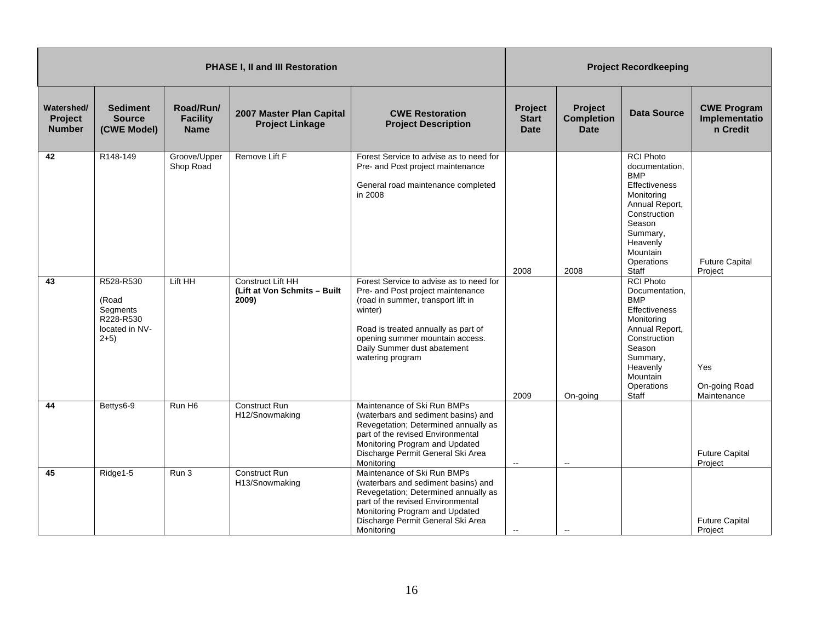|                                        |                                                                         |                                             | PHASE I, II and III Restoration                                   | <b>Project Recordkeeping</b>                                                                                                                                                                                                                               |                                        |                                             |                                                                                                                                                                                               |                                                 |
|----------------------------------------|-------------------------------------------------------------------------|---------------------------------------------|-------------------------------------------------------------------|------------------------------------------------------------------------------------------------------------------------------------------------------------------------------------------------------------------------------------------------------------|----------------------------------------|---------------------------------------------|-----------------------------------------------------------------------------------------------------------------------------------------------------------------------------------------------|-------------------------------------------------|
| Watershed/<br>Project<br><b>Number</b> | <b>Sediment</b><br><b>Source</b><br>(CWE Model)                         | Road/Run/<br><b>Facility</b><br><b>Name</b> | 2007 Master Plan Capital<br><b>Project Linkage</b>                | <b>CWE Restoration</b><br><b>Project Description</b>                                                                                                                                                                                                       | Project<br><b>Start</b><br><b>Date</b> | Project<br><b>Completion</b><br><b>Date</b> | <b>Data Source</b>                                                                                                                                                                            | <b>CWE Program</b><br>Implementatio<br>n Credit |
| 42                                     | R148-149                                                                | Groove/Upper<br>Shop Road                   | Remove Lift F                                                     | Forest Service to advise as to need for<br>Pre- and Post project maintenance<br>General road maintenance completed<br>in 2008                                                                                                                              | 2008                                   | 2008                                        | <b>RCI Photo</b><br>documentation,<br><b>BMP</b><br>Effectiveness<br>Monitoring<br>Annual Report,<br>Construction<br>Season<br>Summary,<br>Heavenly<br>Mountain<br>Operations<br>Staff        | <b>Future Capital</b><br>Project                |
| 43                                     | R528-R530<br>(Road<br>Segments<br>R228-R530<br>located in NV-<br>$2+5)$ | Lift HH                                     | <b>Construct Lift HH</b><br>(Lift at Von Schmits - Built<br>2009) | Forest Service to advise as to need for<br>Pre- and Post project maintenance<br>(road in summer, transport lift in<br>winter)<br>Road is treated annually as part of<br>opening summer mountain access.<br>Daily Summer dust abatement<br>watering program | 2009                                   | On-going                                    | <b>RCI Photo</b><br>Documentation,<br><b>BMP</b><br><b>Effectiveness</b><br>Monitoring<br>Annual Report,<br>Construction<br>Season<br>Summary,<br>Heavenly<br>Mountain<br>Operations<br>Staff | Yes<br>On-going Road<br>Maintenance             |
| 44                                     | Bettys6-9                                                               | Run H <sub>6</sub>                          | <b>Construct Run</b><br>H12/Snowmaking                            | Maintenance of Ski Run BMPs<br>(waterbars and sediment basins) and<br>Revegetation; Determined annually as<br>part of the revised Environmental<br>Monitoring Program and Updated<br>Discharge Permit General Ski Area<br>Monitoring                       | $\overline{\phantom{a}}$               | $\overline{\phantom{a}}$                    |                                                                                                                                                                                               | <b>Future Capital</b><br>Project                |
| 45                                     | Ridge1-5                                                                | Run 3                                       | Construct Run<br>H13/Snowmaking                                   | Maintenance of Ski Run BMPs<br>(waterbars and sediment basins) and<br>Revegetation; Determined annually as<br>part of the revised Environmental<br>Monitoring Program and Updated<br>Discharge Permit General Ski Area<br>Monitoring                       | $\overline{\phantom{a}}$               |                                             |                                                                                                                                                                                               | <b>Future Capital</b><br>Project                |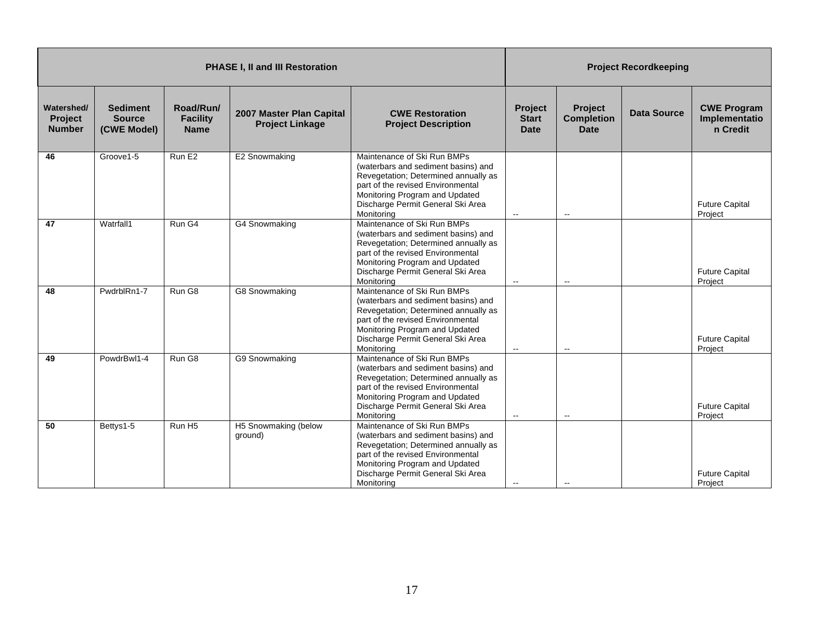|                                               |                                                 |                                             | <b>PHASE I, II and III Restoration</b>             |                                                                                                                                                                                                                                      | <b>Project Recordkeeping</b>           |                                             |                    |                                                 |
|-----------------------------------------------|-------------------------------------------------|---------------------------------------------|----------------------------------------------------|--------------------------------------------------------------------------------------------------------------------------------------------------------------------------------------------------------------------------------------|----------------------------------------|---------------------------------------------|--------------------|-------------------------------------------------|
| Watershed/<br><b>Project</b><br><b>Number</b> | <b>Sediment</b><br><b>Source</b><br>(CWE Model) | Road/Run/<br><b>Facility</b><br><b>Name</b> | 2007 Master Plan Capital<br><b>Project Linkage</b> | <b>CWE Restoration</b><br><b>Project Description</b>                                                                                                                                                                                 | Project<br><b>Start</b><br><b>Date</b> | Project<br><b>Completion</b><br><b>Date</b> | <b>Data Source</b> | <b>CWE Program</b><br>Implementatio<br>n Credit |
| 46                                            | Groove1-5                                       | Run E <sub>2</sub>                          | E2 Snowmaking                                      | Maintenance of Ski Run BMPs<br>(waterbars and sediment basins) and<br>Revegetation; Determined annually as<br>part of the revised Environmental<br>Monitoring Program and Updated<br>Discharge Permit General Ski Area<br>Monitorina | $\overline{\phantom{a}}$               | $\sim$ $\sim$                               |                    | <b>Future Capital</b><br>Project                |
| 47                                            | Watrfall1                                       | Run G4                                      | G4 Snowmaking                                      | Maintenance of Ski Run BMPs<br>(waterbars and sediment basins) and<br>Revegetation; Determined annually as<br>part of the revised Environmental<br>Monitoring Program and Updated<br>Discharge Permit General Ski Area<br>Monitoring | $\sim$                                 | $\overline{\phantom{a}}$                    |                    | <b>Future Capital</b><br>Project                |
| 48                                            | PwdrblRn1-7                                     | Run G8                                      | G8 Snowmaking                                      | Maintenance of Ski Run BMPs<br>(waterbars and sediment basins) and<br>Revegetation; Determined annually as<br>part of the revised Environmental<br>Monitoring Program and Updated<br>Discharge Permit General Ski Area<br>Monitoring | $\sim$                                 | $\overline{a}$                              |                    | <b>Future Capital</b><br>Project                |
| 49                                            | PowdrBwl1-4                                     | Run G8                                      | G9 Snowmaking                                      | Maintenance of Ski Run BMPs<br>(waterbars and sediment basins) and<br>Revegetation; Determined annually as<br>part of the revised Environmental<br>Monitoring Program and Updated<br>Discharge Permit General Ski Area<br>Monitoring | $\overline{\phantom{a}}$               | $\overline{\phantom{a}}$                    |                    | <b>Future Capital</b><br>Project                |
| 50                                            | Bettys1-5                                       | Run H <sub>5</sub>                          | H5 Snowmaking (below<br>ground)                    | Maintenance of Ski Run BMPs<br>(waterbars and sediment basins) and<br>Revegetation; Determined annually as<br>part of the revised Environmental<br>Monitoring Program and Updated<br>Discharge Permit General Ski Area<br>Monitoring | $\overline{\phantom{a}}$               |                                             |                    | <b>Future Capital</b><br>Project                |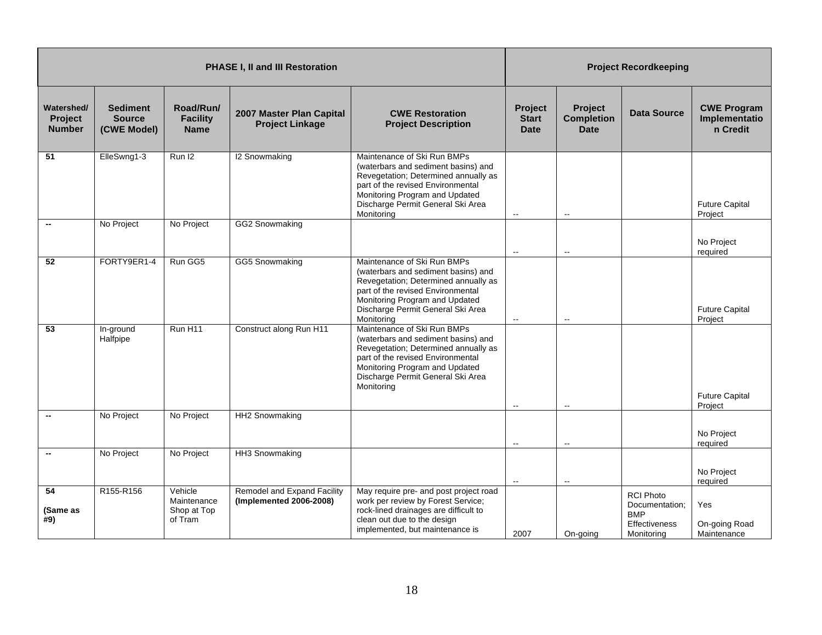|                                        |                                                 |                                                  | PHASE I, II and III Restoration                        |                                                                                                                                                                                                                                      | <b>Project Recordkeeping</b>           |                                                    |                                                                                 |                                                 |
|----------------------------------------|-------------------------------------------------|--------------------------------------------------|--------------------------------------------------------|--------------------------------------------------------------------------------------------------------------------------------------------------------------------------------------------------------------------------------------|----------------------------------------|----------------------------------------------------|---------------------------------------------------------------------------------|-------------------------------------------------|
| Watershed/<br>Project<br><b>Number</b> | <b>Sediment</b><br><b>Source</b><br>(CWE Model) | Road/Run/<br><b>Facility</b><br><b>Name</b>      | 2007 Master Plan Capital<br><b>Project Linkage</b>     | <b>CWE Restoration</b><br><b>Project Description</b>                                                                                                                                                                                 | Project<br><b>Start</b><br><b>Date</b> | <b>Project</b><br><b>Completion</b><br><b>Date</b> | <b>Data Source</b>                                                              | <b>CWE Program</b><br>Implementatio<br>n Credit |
| 51                                     | ElleSwng1-3                                     | Run I2                                           | <b>I2 Snowmaking</b>                                   | Maintenance of Ski Run BMPs<br>(waterbars and sediment basins) and<br>Revegetation; Determined annually as<br>part of the revised Environmental<br>Monitoring Program and Updated<br>Discharge Permit General Ski Area<br>Monitoring | $\sim$                                 | $\mathbf{L}$                                       |                                                                                 | <b>Future Capital</b><br>Project                |
| $\overline{\phantom{a}}$               | No Project                                      | No Project                                       | GG2 Snowmaking                                         |                                                                                                                                                                                                                                      | $\overline{\phantom{a}}$               | $\overline{\phantom{a}}$                           |                                                                                 | No Project<br>required                          |
| 52                                     | FORTY9ER1-4                                     | Run GG5                                          | <b>GG5 Snowmaking</b>                                  | Maintenance of Ski Run BMPs<br>(waterbars and sediment basins) and<br>Revegetation; Determined annually as<br>part of the revised Environmental<br>Monitoring Program and Updated<br>Discharge Permit General Ski Area<br>Monitoring | $\overline{\phantom{a}}$               | $\overline{\phantom{a}}$                           |                                                                                 | <b>Future Capital</b><br>Project                |
| 53                                     | In-ground<br>Halfpipe                           | Run H11                                          | Construct along Run H11                                | Maintenance of Ski Run BMPs<br>(waterbars and sediment basins) and<br>Revegetation; Determined annually as<br>part of the revised Environmental<br>Monitoring Program and Updated<br>Discharge Permit General Ski Area<br>Monitoring | $\sim$                                 | $\mathbf{L}$                                       |                                                                                 | <b>Future Capital</b><br>Project                |
|                                        | No Project                                      | No Project                                       | HH2 Snowmaking                                         |                                                                                                                                                                                                                                      | $\sim$                                 | $\mathbf{u}$                                       |                                                                                 | No Project<br>required                          |
|                                        | No Project                                      | No Project                                       | HH3 Snowmaking                                         |                                                                                                                                                                                                                                      | $\sim$                                 | $\overline{\phantom{a}}$                           |                                                                                 | No Project<br>required                          |
| 54<br>(Same as<br>#9)                  | R155-R156                                       | Vehicle<br>Maintenance<br>Shop at Top<br>of Tram | Remodel and Expand Facility<br>(Implemented 2006-2008) | May require pre- and post project road<br>work per review by Forest Service;<br>rock-lined drainages are difficult to<br>clean out due to the design<br>implemented, but maintenance is                                              | 2007                                   | On-going                                           | <b>RCI Photo</b><br>Documentation:<br><b>BMP</b><br>Effectiveness<br>Monitoring | Yes<br>On-going Road<br>Maintenance             |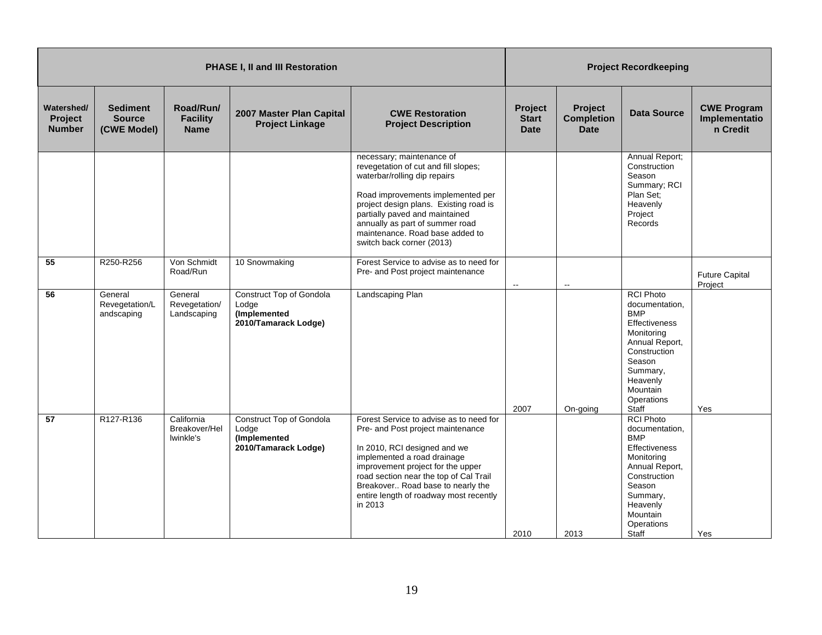|                                               |                                                 |                                             | <b>PHASE I, II and III Restoration</b>                                           |                                                                                                                                                                                                                                                                                                                       | <b>Project Recordkeeping</b>           |                                                    |                                                                                                                                                                                        |                                                 |
|-----------------------------------------------|-------------------------------------------------|---------------------------------------------|----------------------------------------------------------------------------------|-----------------------------------------------------------------------------------------------------------------------------------------------------------------------------------------------------------------------------------------------------------------------------------------------------------------------|----------------------------------------|----------------------------------------------------|----------------------------------------------------------------------------------------------------------------------------------------------------------------------------------------|-------------------------------------------------|
| Watershed/<br><b>Project</b><br><b>Number</b> | <b>Sediment</b><br><b>Source</b><br>(CWE Model) | Road/Run/<br><b>Facility</b><br><b>Name</b> | 2007 Master Plan Capital<br><b>Project Linkage</b>                               | <b>CWE Restoration</b><br><b>Project Description</b>                                                                                                                                                                                                                                                                  | Project<br><b>Start</b><br><b>Date</b> | <b>Project</b><br><b>Completion</b><br><b>Date</b> | <b>Data Source</b>                                                                                                                                                                     | <b>CWE Program</b><br>Implementatio<br>n Credit |
|                                               |                                                 |                                             |                                                                                  | necessary; maintenance of<br>revegetation of cut and fill slopes;<br>waterbar/rolling dip repairs<br>Road improvements implemented per<br>project design plans. Existing road is<br>partially paved and maintained<br>annually as part of summer road<br>maintenance. Road base added to<br>switch back corner (2013) |                                        |                                                    | Annual Report;<br>Construction<br>Season<br>Summary; RCI<br>Plan Set;<br>Heavenly<br>Project<br>Records                                                                                |                                                 |
| 55                                            | R250-R256                                       | Von Schmidt<br>Road/Run                     | 10 Snowmaking                                                                    | Forest Service to advise as to need for<br>Pre- and Post project maintenance                                                                                                                                                                                                                                          | $\mathbf{H}$                           | $\overline{a}$                                     |                                                                                                                                                                                        | <b>Future Capital</b><br>Project                |
| 56                                            | General<br>Revegetation/L<br>andscaping         | General<br>Revegetation/<br>Landscaping     | <b>Construct Top of Gondola</b><br>Lodge<br>(Implemented<br>2010/Tamarack Lodge) | Landscaping Plan                                                                                                                                                                                                                                                                                                      | 2007                                   | On-going                                           | <b>RCI Photo</b><br>documentation,<br><b>BMP</b><br>Effectiveness<br>Monitoring<br>Annual Report,<br>Construction<br>Season<br>Summary,<br>Heavenly<br>Mountain<br>Operations<br>Staff | Yes                                             |
| 57                                            | R127-R136                                       | California<br>Breakover/Hel<br>Iwinkle's    | Construct Top of Gondola<br>Lodge<br>(Implemented<br>2010/Tamarack Lodge)        | Forest Service to advise as to need for<br>Pre- and Post project maintenance<br>In 2010, RCI designed and we<br>implemented a road drainage<br>improvement project for the upper<br>road section near the top of Cal Trail<br>Breakover Road base to nearly the<br>entire length of roadway most recently<br>in 2013  | 2010                                   | 2013                                               | <b>RCI Photo</b><br>documentation,<br><b>BMP</b><br>Effectiveness<br>Monitoring<br>Annual Report,<br>Construction<br>Season<br>Summary,<br>Heavenly<br>Mountain<br>Operations<br>Staff | Yes                                             |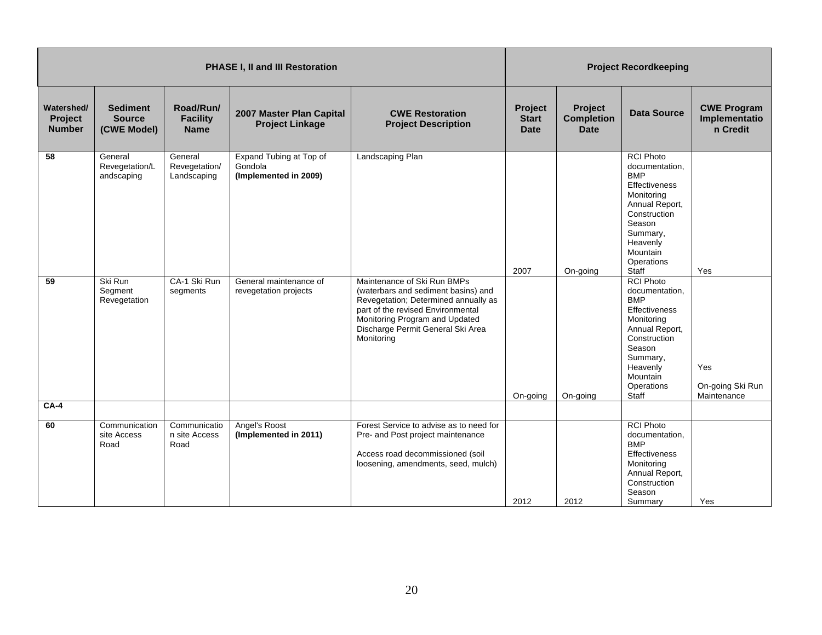|                                        |                                                 |                                             | <b>PHASE I, II and III Restoration</b>                      |                                                                                                                                                                                                                                      | <b>Project Recordkeeping</b>           |                                             |                                                                                                                                                                                        |                                                 |
|----------------------------------------|-------------------------------------------------|---------------------------------------------|-------------------------------------------------------------|--------------------------------------------------------------------------------------------------------------------------------------------------------------------------------------------------------------------------------------|----------------------------------------|---------------------------------------------|----------------------------------------------------------------------------------------------------------------------------------------------------------------------------------------|-------------------------------------------------|
| Watershed/<br>Project<br><b>Number</b> | <b>Sediment</b><br><b>Source</b><br>(CWE Model) | Road/Run/<br><b>Facility</b><br><b>Name</b> | 2007 Master Plan Capital<br><b>Project Linkage</b>          | <b>CWE Restoration</b><br><b>Project Description</b>                                                                                                                                                                                 | Project<br><b>Start</b><br><b>Date</b> | Project<br><b>Completion</b><br><b>Date</b> | <b>Data Source</b>                                                                                                                                                                     | <b>CWE Program</b><br>Implementatio<br>n Credit |
| 58                                     | General<br>Revegetation/L<br>andscaping         | General<br>Revegetation/<br>Landscaping     | Expand Tubing at Top of<br>Gondola<br>(Implemented in 2009) | Landscaping Plan                                                                                                                                                                                                                     | 2007                                   | On-going                                    | <b>RCI Photo</b><br>documentation,<br><b>BMP</b><br>Effectiveness<br>Monitoring<br>Annual Report,<br>Construction<br>Season<br>Summary,<br>Heavenly<br>Mountain<br>Operations<br>Staff | Yes                                             |
| $\overline{59}$                        | Ski Run<br>Segment<br>Revegetation              | CA-1 Ski Run<br>segments                    | General maintenance of<br>revegetation projects             | Maintenance of Ski Run BMPs<br>(waterbars and sediment basins) and<br>Revegetation; Determined annually as<br>part of the revised Environmental<br>Monitoring Program and Updated<br>Discharge Permit General Ski Area<br>Monitoring | On-going                               | On-going                                    | <b>RCI Photo</b><br>documentation,<br><b>BMP</b><br>Effectiveness<br>Monitoring<br>Annual Report,<br>Construction<br>Season<br>Summary,<br>Heavenly<br>Mountain<br>Operations<br>Staff | Yes<br>On-going Ski Run<br>Maintenance          |
| $CA-4$                                 |                                                 |                                             |                                                             |                                                                                                                                                                                                                                      |                                        |                                             |                                                                                                                                                                                        |                                                 |
| 60                                     | Communication<br>site Access<br>Road            | Communicatio<br>n site Access<br>Road       | Angel's Roost<br>(Implemented in 2011)                      | Forest Service to advise as to need for<br>Pre- and Post project maintenance<br>Access road decommissioned (soil<br>loosening, amendments, seed, mulch)                                                                              | 2012                                   | 2012                                        | <b>RCI Photo</b><br>documentation,<br><b>BMP</b><br><b>Effectiveness</b><br>Monitoring<br>Annual Report,<br>Construction<br>Season<br>Summary                                          | Yes                                             |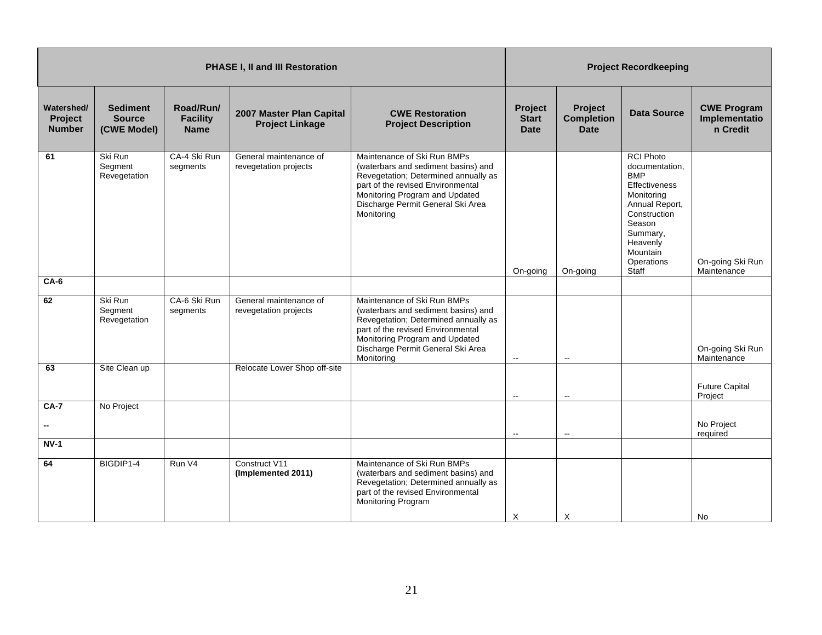|                                        |                                                 |                                             | PHASE I, II and III Restoration                    |                                                                                                                                                                                                                                      |                                        |                                                    | <b>Project Recordkeeping</b>                                                                                                                                                                  |                                                 |
|----------------------------------------|-------------------------------------------------|---------------------------------------------|----------------------------------------------------|--------------------------------------------------------------------------------------------------------------------------------------------------------------------------------------------------------------------------------------|----------------------------------------|----------------------------------------------------|-----------------------------------------------------------------------------------------------------------------------------------------------------------------------------------------------|-------------------------------------------------|
| Watershed/<br>Project<br><b>Number</b> | <b>Sediment</b><br><b>Source</b><br>(CWE Model) | Road/Run/<br><b>Facility</b><br><b>Name</b> | 2007 Master Plan Capital<br><b>Project Linkage</b> | <b>CWE Restoration</b><br><b>Project Description</b>                                                                                                                                                                                 | Project<br><b>Start</b><br><b>Date</b> | <b>Project</b><br><b>Completion</b><br><b>Date</b> | <b>Data Source</b>                                                                                                                                                                            | <b>CWE Program</b><br>Implementatio<br>n Credit |
| 61                                     | Ski Run<br>Segment<br>Revegetation              | CA-4 Ski Run<br>segments                    | General maintenance of<br>revegetation projects    | Maintenance of Ski Run BMPs<br>(waterbars and sediment basins) and<br>Revegetation; Determined annually as<br>part of the revised Environmental<br>Monitoring Program and Updated<br>Discharge Permit General Ski Area<br>Monitoring | On-going                               | On-going                                           | <b>RCI Photo</b><br>documentation,<br><b>BMP</b><br><b>Effectiveness</b><br>Monitoring<br>Annual Report,<br>Construction<br>Season<br>Summary,<br>Heavenly<br>Mountain<br>Operations<br>Staff | On-going Ski Run<br>Maintenance                 |
| $CA-6$                                 |                                                 |                                             |                                                    |                                                                                                                                                                                                                                      |                                        |                                                    |                                                                                                                                                                                               |                                                 |
| 62                                     | Ski Run<br>Segment<br>Revegetation              | CA-6 Ski Run<br>segments                    | General maintenance of<br>revegetation projects    | Maintenance of Ski Run BMPs<br>(waterbars and sediment basins) and<br>Revegetation; Determined annually as<br>part of the revised Environmental<br>Monitoring Program and Updated<br>Discharge Permit General Ski Area<br>Monitoring | $\sim$                                 | $\overline{\phantom{a}}$                           |                                                                                                                                                                                               | On-going Ski Run<br>Maintenance                 |
| 63                                     | Site Clean up                                   |                                             | Relocate Lower Shop off-site                       |                                                                                                                                                                                                                                      | $\sim$                                 | $\overline{\phantom{a}}$                           |                                                                                                                                                                                               | <b>Future Capital</b><br>Project                |
| $CA-7$                                 | No Project                                      |                                             |                                                    |                                                                                                                                                                                                                                      | $\overline{\phantom{a}}$               | $\overline{\phantom{a}}$                           |                                                                                                                                                                                               | No Project<br>required                          |
| $NV-1$                                 |                                                 |                                             |                                                    |                                                                                                                                                                                                                                      |                                        |                                                    |                                                                                                                                                                                               |                                                 |
| 64                                     | BIGDIP1-4                                       | Run V4                                      | Construct V11<br>(Implemented 2011)                | Maintenance of Ski Run BMPs<br>(waterbars and sediment basins) and<br>Revegetation; Determined annually as<br>part of the revised Environmental<br>Monitoring Program                                                                | $\times$                               | X                                                  |                                                                                                                                                                                               | No                                              |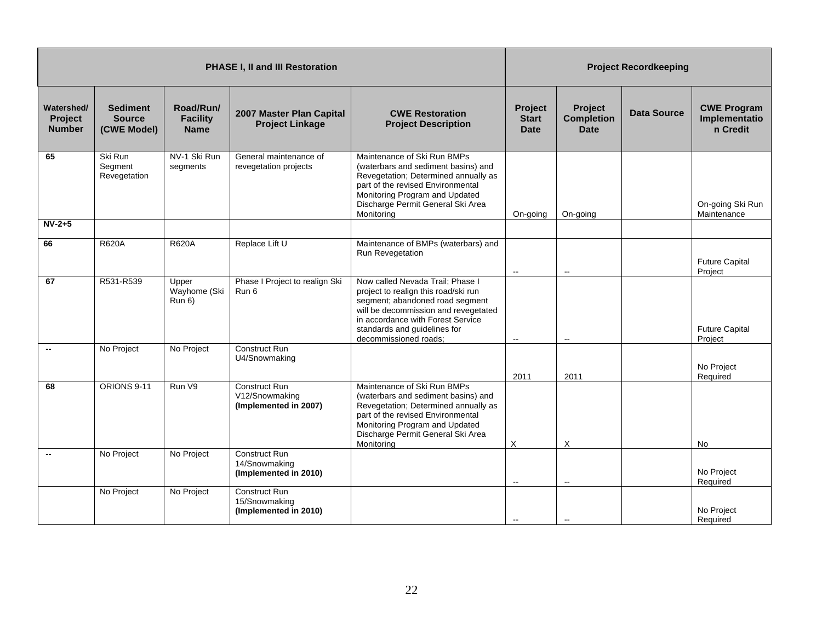|                                        |                                                 |                                             | PHASE I, II and III Restoration                          |                                                                                                                                                                                                                                                   |                                               |                                                    | <b>Project Recordkeeping</b> |                                                 |
|----------------------------------------|-------------------------------------------------|---------------------------------------------|----------------------------------------------------------|---------------------------------------------------------------------------------------------------------------------------------------------------------------------------------------------------------------------------------------------------|-----------------------------------------------|----------------------------------------------------|------------------------------|-------------------------------------------------|
| Watershed/<br>Project<br><b>Number</b> | <b>Sediment</b><br><b>Source</b><br>(CWE Model) | Road/Run/<br><b>Facility</b><br><b>Name</b> | 2007 Master Plan Capital<br><b>Project Linkage</b>       | <b>CWE Restoration</b><br><b>Project Description</b>                                                                                                                                                                                              | <b>Project</b><br><b>Start</b><br><b>Date</b> | <b>Project</b><br><b>Completion</b><br><b>Date</b> | <b>Data Source</b>           | <b>CWE Program</b><br>Implementatio<br>n Credit |
| 65                                     | Ski Run<br>Segment<br>Revegetation              | NV-1 Ski Run<br>segments                    | General maintenance of<br>revegetation projects          | Maintenance of Ski Run BMPs<br>(waterbars and sediment basins) and<br>Revegetation; Determined annually as<br>part of the revised Environmental<br>Monitoring Program and Updated<br>Discharge Permit General Ski Area<br>Monitoring              | On-going                                      | On-going                                           |                              | On-going Ski Run<br>Maintenance                 |
| $NV-2+5$                               |                                                 |                                             |                                                          |                                                                                                                                                                                                                                                   |                                               |                                                    |                              |                                                 |
| 66                                     | <b>R620A</b>                                    | <b>R620A</b>                                | Replace Lift U                                           | Maintenance of BMPs (waterbars) and<br>Run Revegetation                                                                                                                                                                                           | $\sim$                                        | $\mathbf{u}$                                       |                              | <b>Future Capital</b><br>Project                |
| 67                                     | R531-R539                                       | Upper<br>Wayhome (Ski<br>Run 6)             | Phase I Project to realign Ski<br>Run 6                  | Now called Nevada Trail; Phase I<br>project to realign this road/ski run<br>segment; abandoned road segment<br>will be decommission and revegetated<br>in accordance with Forest Service<br>standards and guidelines for<br>decommissioned roads; | $\sim$                                        | $\overline{\phantom{a}}$                           |                              | <b>Future Capital</b><br>Project                |
| $\overline{\phantom{a}}$               | No Project                                      | No Project                                  | <b>Construct Run</b><br>U4/Snowmaking                    |                                                                                                                                                                                                                                                   | 2011                                          | 2011                                               |                              | No Project<br>Required                          |
| 68                                     | ORIONS 9-11                                     | Run V9                                      | Construct Run<br>V12/Snowmaking<br>(Implemented in 2007) | Maintenance of Ski Run BMPs<br>(waterbars and sediment basins) and<br>Revegetation; Determined annually as<br>part of the revised Environmental<br>Monitoring Program and Updated<br>Discharge Permit General Ski Area<br>Monitoring              | X                                             | X                                                  |                              | <b>No</b>                                       |
|                                        | No Project                                      | No Project                                  | Construct Run<br>14/Snowmaking<br>(Implemented in 2010)  |                                                                                                                                                                                                                                                   | $\overline{\phantom{a}}$                      | $\overline{\phantom{a}}$                           |                              | No Project<br>Required                          |
|                                        | No Project                                      | No Project                                  | Construct Run<br>15/Snowmaking<br>(Implemented in 2010)  |                                                                                                                                                                                                                                                   |                                               |                                                    |                              | No Project<br>Required                          |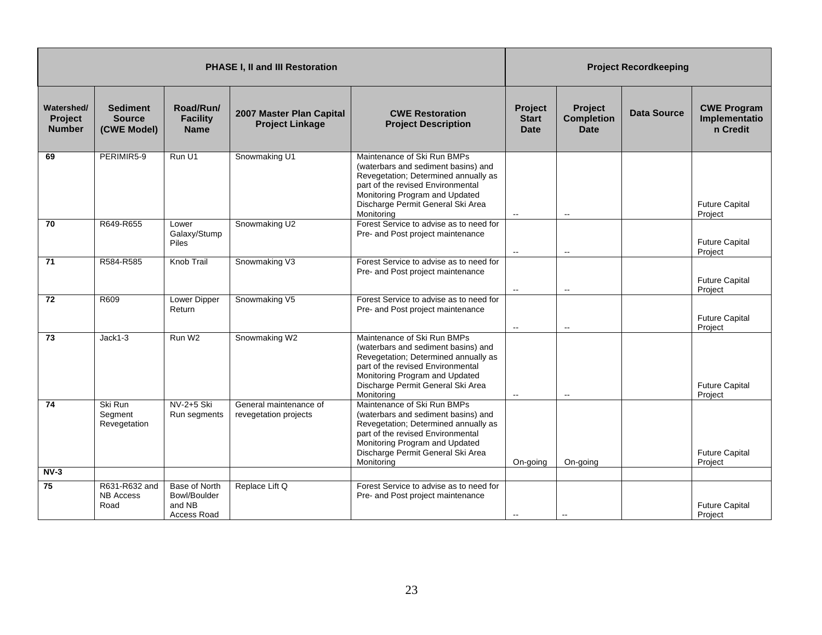|                                        |                                                 |                                                        | <b>PHASE I, II and III Restoration</b>             |                                                                                                                                                                                                                                      |                                               |                                                    | <b>Project Recordkeeping</b> |                                                 |
|----------------------------------------|-------------------------------------------------|--------------------------------------------------------|----------------------------------------------------|--------------------------------------------------------------------------------------------------------------------------------------------------------------------------------------------------------------------------------------|-----------------------------------------------|----------------------------------------------------|------------------------------|-------------------------------------------------|
| Watershed/<br>Project<br><b>Number</b> | <b>Sediment</b><br><b>Source</b><br>(CWE Model) | Road/Run/<br><b>Facility</b><br><b>Name</b>            | 2007 Master Plan Capital<br><b>Project Linkage</b> | <b>CWE Restoration</b><br><b>Project Description</b>                                                                                                                                                                                 | <b>Project</b><br><b>Start</b><br>Date        | <b>Project</b><br><b>Completion</b><br><b>Date</b> | <b>Data Source</b>           | <b>CWE Program</b><br>Implementatio<br>n Credit |
| 69                                     | PERIMIR5-9                                      | Run U1                                                 | Snowmaking U1                                      | Maintenance of Ski Run BMPs<br>(waterbars and sediment basins) and<br>Revegetation; Determined annually as<br>part of the revised Environmental<br>Monitoring Program and Updated<br>Discharge Permit General Ski Area<br>Monitoring | $\mathbf{L}$                                  | $\overline{\phantom{a}}$                           |                              | <b>Future Capital</b><br>Project                |
| 70                                     | R649-R655                                       | Lower<br>Galaxy/Stump<br><b>Piles</b>                  | Snowmaking U2                                      | Forest Service to advise as to need for<br>Pre- and Post project maintenance                                                                                                                                                         | $\overline{\phantom{a}}$                      | $\overline{\phantom{a}}$                           |                              | <b>Future Capital</b><br>Project                |
| 71                                     | R584-R585                                       | Knob Trail                                             | Snowmaking V3                                      | Forest Service to advise as to need for<br>Pre- and Post project maintenance                                                                                                                                                         | $\mathord{\hspace{1pt}\text{--}\hspace{1pt}}$ | $\overline{\phantom{a}}$                           |                              | <b>Future Capital</b><br>Project                |
| 72                                     | R609                                            | Lower Dipper<br>Return                                 | Snowmaking V5                                      | Forest Service to advise as to need for<br>Pre- and Post project maintenance                                                                                                                                                         | $\sim$                                        | $\sim$                                             |                              | <b>Future Capital</b><br>Project                |
| 73                                     | $Jack1-3$                                       | Run W <sub>2</sub>                                     | Snowmaking W2                                      | Maintenance of Ski Run BMPs<br>(waterbars and sediment basins) and<br>Revegetation; Determined annually as<br>part of the revised Environmental<br>Monitoring Program and Updated<br>Discharge Permit General Ski Area<br>Monitoring | $\overline{\phantom{a}}$                      | $\overline{a}$                                     |                              | <b>Future Capital</b><br>Project                |
| 74                                     | Ski Run<br>Segment<br>Revegetation              | NV-2+5 Ski<br>Run segments                             | General maintenance of<br>revegetation projects    | Maintenance of Ski Run BMPs<br>(waterbars and sediment basins) and<br>Revegetation; Determined annually as<br>part of the revised Environmental<br>Monitoring Program and Updated<br>Discharge Permit General Ski Area<br>Monitoring | On-going                                      | On-going                                           |                              | <b>Future Capital</b><br>Project                |
| $NV-3$                                 |                                                 |                                                        |                                                    |                                                                                                                                                                                                                                      |                                               |                                                    |                              |                                                 |
| 75                                     | R631-R632 and<br><b>NB Access</b><br>Road       | Base of North<br>Bowl/Boulder<br>and NB<br>Access Road | Replace Lift Q                                     | Forest Service to advise as to need for<br>Pre- and Post project maintenance                                                                                                                                                         | $\overline{\phantom{a}}$                      | $\overline{a}$                                     |                              | <b>Future Capital</b><br>Project                |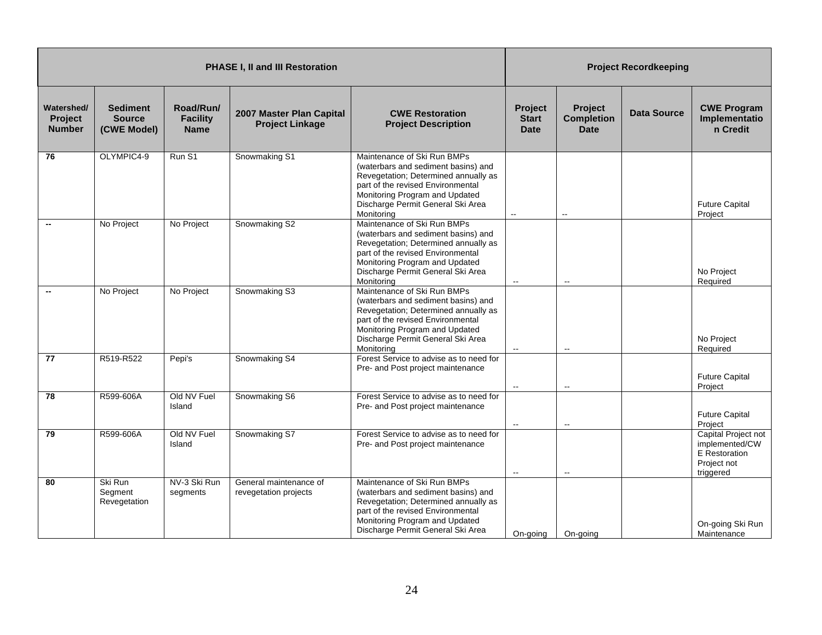| <b>PHASE I, II and III Restoration</b>        |                                                 |                                             |                                                    |                                                                                                                                                                                                                                      | <b>Project Recordkeeping</b>           |                                             |                    |                                                                                           |
|-----------------------------------------------|-------------------------------------------------|---------------------------------------------|----------------------------------------------------|--------------------------------------------------------------------------------------------------------------------------------------------------------------------------------------------------------------------------------------|----------------------------------------|---------------------------------------------|--------------------|-------------------------------------------------------------------------------------------|
| Watershed/<br><b>Project</b><br><b>Number</b> | <b>Sediment</b><br><b>Source</b><br>(CWE Model) | Road/Run/<br><b>Facility</b><br><b>Name</b> | 2007 Master Plan Capital<br><b>Project Linkage</b> | <b>CWE Restoration</b><br><b>Project Description</b>                                                                                                                                                                                 | Project<br><b>Start</b><br><b>Date</b> | Project<br><b>Completion</b><br><b>Date</b> | <b>Data Source</b> | <b>CWE Program</b><br>Implementatio<br>n Credit                                           |
| 76                                            | OLYMPIC4-9                                      | Run S1                                      | Snowmaking S1                                      | Maintenance of Ski Run BMPs<br>(waterbars and sediment basins) and<br>Revegetation; Determined annually as<br>part of the revised Environmental<br>Monitoring Program and Updated<br>Discharge Permit General Ski Area<br>Monitorina | Ξ.                                     | $\overline{\phantom{a}}$                    |                    | <b>Future Capital</b><br>Project                                                          |
|                                               | No Project                                      | No Project                                  | Snowmaking S2                                      | Maintenance of Ski Run BMPs<br>(waterbars and sediment basins) and<br>Revegetation; Determined annually as<br>part of the revised Environmental<br>Monitoring Program and Updated<br>Discharge Permit General Ski Area<br>Monitoring | $\overline{\phantom{a}}$               | $\overline{\phantom{a}}$                    |                    | No Project<br>Required                                                                    |
|                                               | No Project                                      | No Project                                  | Snowmaking S3                                      | Maintenance of Ski Run BMPs<br>(waterbars and sediment basins) and<br>Revegetation; Determined annually as<br>part of the revised Environmental<br>Monitoring Program and Updated<br>Discharge Permit General Ski Area<br>Monitoring |                                        | $\overline{\phantom{a}}$                    |                    | No Project<br>Required                                                                    |
| 77                                            | R519-R522                                       | Pepi's                                      | Snowmaking S4                                      | Forest Service to advise as to need for<br>Pre- and Post project maintenance                                                                                                                                                         | $\mathbf{H}$                           | $\mathbf{L}$                                |                    | <b>Future Capital</b><br>Project                                                          |
| 78                                            | R599-606A                                       | Old NV Fuel<br>Island                       | Snowmaking S6                                      | Forest Service to advise as to need for<br>Pre- and Post project maintenance                                                                                                                                                         | $\sim$                                 | $\sim$                                      |                    | <b>Future Capital</b><br>Project                                                          |
| 79                                            | R599-606A                                       | Old NV Fuel<br>Island                       | Snowmaking S7                                      | Forest Service to advise as to need for<br>Pre- and Post project maintenance                                                                                                                                                         | $\sim$                                 | $\mathbf{L}$                                |                    | Capital Project not<br>implemented/CW<br><b>E</b> Restoration<br>Project not<br>triggered |
| 80                                            | Ski Run<br>Segment<br>Revegetation              | NV-3 Ski Run<br>segments                    | General maintenance of<br>revegetation projects    | Maintenance of Ski Run BMPs<br>(waterbars and sediment basins) and<br>Revegetation; Determined annually as<br>part of the revised Environmental<br>Monitoring Program and Updated<br>Discharge Permit General Ski Area               | On-going                               | On-going                                    |                    | On-going Ski Run<br>Maintenance                                                           |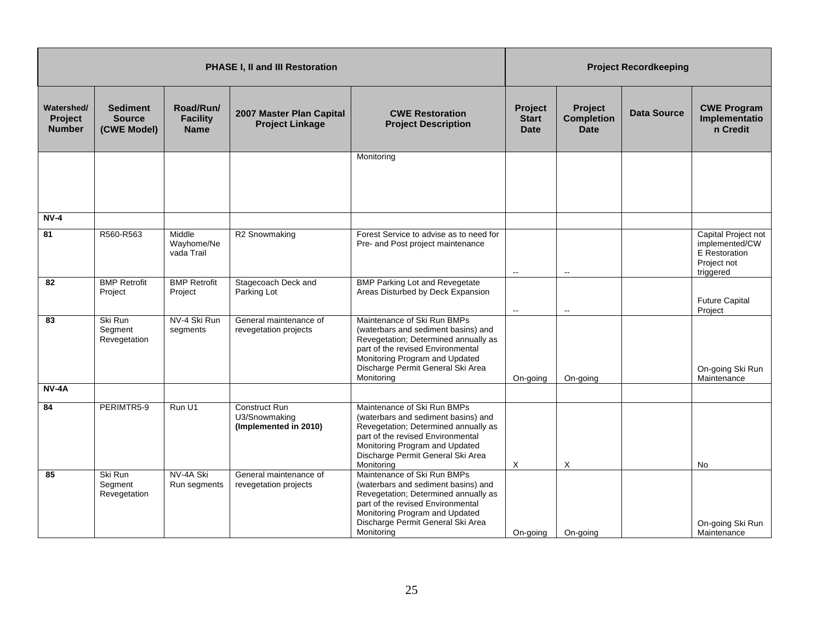| <b>PHASE I, II and III Restoration</b> |                                                 |                                             |                                                         |                                                                                                                                                                                                                                      | <b>Project Recordkeeping</b>           |                                             |                    |                                                                                    |
|----------------------------------------|-------------------------------------------------|---------------------------------------------|---------------------------------------------------------|--------------------------------------------------------------------------------------------------------------------------------------------------------------------------------------------------------------------------------------|----------------------------------------|---------------------------------------------|--------------------|------------------------------------------------------------------------------------|
| Watershed/<br>Project<br><b>Number</b> | <b>Sediment</b><br><b>Source</b><br>(CWE Model) | Road/Run/<br><b>Facility</b><br><b>Name</b> | 2007 Master Plan Capital<br><b>Project Linkage</b>      | <b>CWE Restoration</b><br><b>Project Description</b>                                                                                                                                                                                 | Project<br><b>Start</b><br><b>Date</b> | Project<br><b>Completion</b><br><b>Date</b> | <b>Data Source</b> | <b>CWE Program</b><br>Implementatio<br>n Credit                                    |
|                                        |                                                 |                                             |                                                         | Monitoring                                                                                                                                                                                                                           |                                        |                                             |                    |                                                                                    |
| $NV-4$                                 |                                                 |                                             |                                                         |                                                                                                                                                                                                                                      |                                        |                                             |                    |                                                                                    |
| 81                                     | R560-R563                                       | Middle<br>Wayhome/Ne<br>vada Trail          | R2 Snowmaking                                           | Forest Service to advise as to need for<br>Pre- and Post project maintenance                                                                                                                                                         | $\sim$                                 | $\overline{\phantom{a}}$                    |                    | Capital Project not<br>implemented/CW<br>E Restoration<br>Project not<br>triggered |
| 82                                     | <b>BMP Retrofit</b><br>Project                  | <b>BMP Retrofit</b><br>Project              | Stagecoach Deck and<br>Parking Lot                      | <b>BMP Parking Lot and Revegetate</b><br>Areas Disturbed by Deck Expansion                                                                                                                                                           | $\mathbf{H}$                           | $\overline{\phantom{a}}$                    |                    | <b>Future Capital</b><br>Project                                                   |
| 83                                     | Ski Run<br>Segment<br>Revegetation              | NV-4 Ski Run<br>segments                    | General maintenance of<br>revegetation projects         | Maintenance of Ski Run BMPs<br>(waterbars and sediment basins) and<br>Revegetation; Determined annually as<br>part of the revised Environmental<br>Monitoring Program and Updated<br>Discharge Permit General Ski Area<br>Monitoring | On-going                               | On-going                                    |                    | On-going Ski Run<br>Maintenance                                                    |
| <b>NV-4A</b>                           |                                                 |                                             |                                                         |                                                                                                                                                                                                                                      |                                        |                                             |                    |                                                                                    |
| 84                                     | PERIMTR5-9                                      | Run U1                                      | Construct Run<br>U3/Snowmaking<br>(Implemented in 2010) | Maintenance of Ski Run BMPs<br>(waterbars and sediment basins) and<br>Revegetation; Determined annually as<br>part of the revised Environmental<br>Monitoring Program and Updated<br>Discharge Permit General Ski Area<br>Monitoring | X                                      | X                                           |                    | No                                                                                 |
| 85                                     | Ski Run<br>Segment<br>Revegetation              | NV-4A Ski<br>Run segments                   | General maintenance of<br>revegetation projects         | Maintenance of Ski Run BMPs<br>(waterbars and sediment basins) and<br>Revegetation; Determined annually as<br>part of the revised Environmental<br>Monitoring Program and Updated<br>Discharge Permit General Ski Area<br>Monitoring | On-going                               | On-going                                    |                    | On-going Ski Run<br>Maintenance                                                    |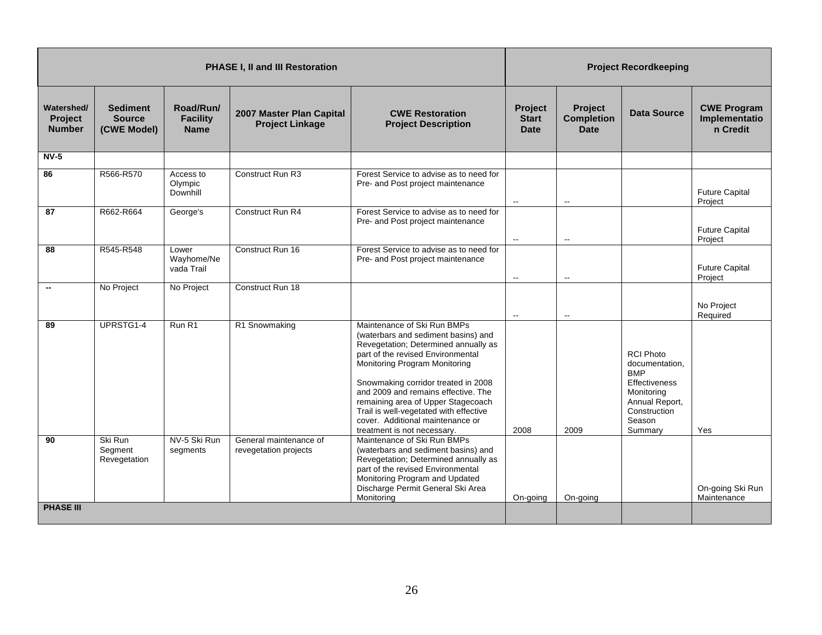|                                               | <b>PHASE I, II and III Restoration</b>          |                                             |                                                                  |                                                                                                                                                                                                                                                                                                                                                                                                                                                                                                                                                                      |                                        | <b>Project Recordkeeping</b>                |                                                                                                                                        |                                                 |  |
|-----------------------------------------------|-------------------------------------------------|---------------------------------------------|------------------------------------------------------------------|----------------------------------------------------------------------------------------------------------------------------------------------------------------------------------------------------------------------------------------------------------------------------------------------------------------------------------------------------------------------------------------------------------------------------------------------------------------------------------------------------------------------------------------------------------------------|----------------------------------------|---------------------------------------------|----------------------------------------------------------------------------------------------------------------------------------------|-------------------------------------------------|--|
| Watershed/<br><b>Project</b><br><b>Number</b> | <b>Sediment</b><br><b>Source</b><br>(CWE Model) | Road/Run/<br><b>Facility</b><br><b>Name</b> | 2007 Master Plan Capital<br><b>Project Linkage</b>               | <b>CWE Restoration</b><br><b>Project Description</b>                                                                                                                                                                                                                                                                                                                                                                                                                                                                                                                 | Project<br><b>Start</b><br><b>Date</b> | Project<br><b>Completion</b><br><b>Date</b> | <b>Data Source</b>                                                                                                                     | <b>CWE Program</b><br>Implementatio<br>n Credit |  |
| $NV-5$                                        |                                                 |                                             |                                                                  |                                                                                                                                                                                                                                                                                                                                                                                                                                                                                                                                                                      |                                        |                                             |                                                                                                                                        |                                                 |  |
| 86                                            | R566-R570                                       | Access to<br>Olympic<br>Downhill            | Construct Run R3                                                 | Forest Service to advise as to need for<br>Pre- and Post project maintenance                                                                                                                                                                                                                                                                                                                                                                                                                                                                                         | $\overline{\phantom{a}}$               | $\mathbf{L}$                                |                                                                                                                                        | <b>Future Capital</b><br>Project                |  |
| 87                                            | R662-R664                                       | George's                                    | Construct Run R4                                                 | Forest Service to advise as to need for<br>Pre- and Post project maintenance                                                                                                                                                                                                                                                                                                                                                                                                                                                                                         | $\sim$                                 | $\overline{\phantom{a}}$                    |                                                                                                                                        | <b>Future Capital</b><br>Project                |  |
| 88                                            | R545-R548                                       | Lower<br>Wayhome/Ne<br>vada Trail           | Construct Run 16                                                 | Forest Service to advise as to need for<br>Pre- and Post project maintenance                                                                                                                                                                                                                                                                                                                                                                                                                                                                                         | $\overline{\phantom{a}}$               | $\overline{\phantom{a}}$                    |                                                                                                                                        | <b>Future Capital</b><br>Project                |  |
| $\overline{\phantom{a}}$                      | No Project                                      | No Project                                  | Construct Run 18                                                 |                                                                                                                                                                                                                                                                                                                                                                                                                                                                                                                                                                      | $\sim$                                 | $\overline{\phantom{a}}$                    |                                                                                                                                        | No Project<br>Required                          |  |
| 89<br>90                                      | UPRSTG1-4<br>Ski Run<br>Segment<br>Revegetation | Run R1<br>NV-5 Ski Run<br>segments          | R1 Snowmaking<br>General maintenance of<br>revegetation projects | Maintenance of Ski Run BMPs<br>(waterbars and sediment basins) and<br>Revegetation; Determined annually as<br>part of the revised Environmental<br>Monitoring Program Monitoring<br>Snowmaking corridor treated in 2008<br>and 2009 and remains effective. The<br>remaining area of Upper Stagecoach<br>Trail is well-vegetated with effective<br>cover. Additional maintenance or<br>treatment is not necessary.<br>Maintenance of Ski Run BMPs<br>(waterbars and sediment basins) and<br>Revegetation; Determined annually as<br>part of the revised Environmental | 2008                                   | 2009                                        | <b>RCI Photo</b><br>documentation,<br><b>BMP</b><br>Effectiveness<br>Monitoring<br>Annual Report,<br>Construction<br>Season<br>Summary | Yes                                             |  |
| <b>PHASE III</b>                              |                                                 |                                             |                                                                  | Monitoring Program and Updated<br>Discharge Permit General Ski Area<br>Monitoring                                                                                                                                                                                                                                                                                                                                                                                                                                                                                    | On-going                               | On-going                                    |                                                                                                                                        | On-going Ski Run<br>Maintenance                 |  |
|                                               |                                                 |                                             |                                                                  |                                                                                                                                                                                                                                                                                                                                                                                                                                                                                                                                                                      |                                        |                                             |                                                                                                                                        |                                                 |  |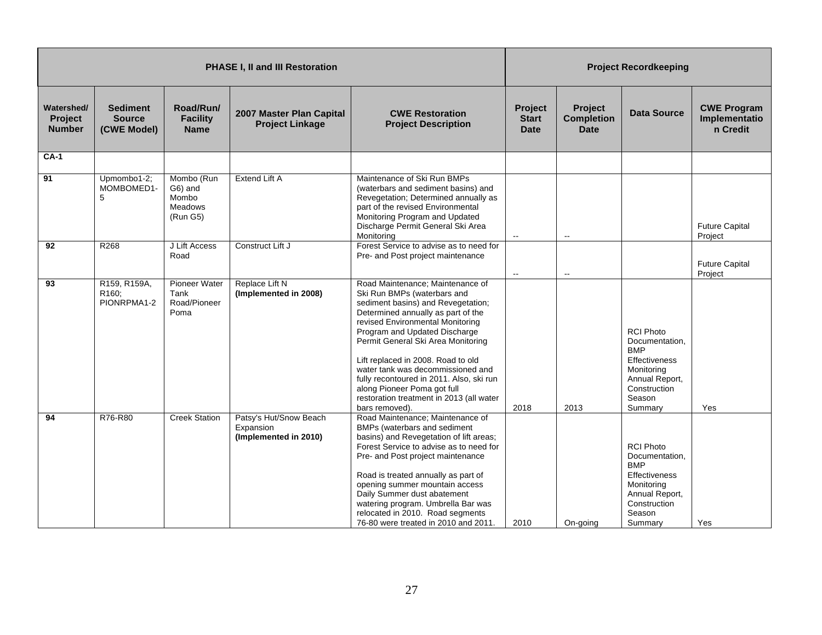| <b>PHASE I, II and III Restoration</b>        |                                                 |                                                       |                                                              |                                                                                                                                                                                                                                                                                                                                                                                                                                                                            | <b>Project Recordkeeping</b>                  |                                                    |                                                                                                                                               |                                                 |
|-----------------------------------------------|-------------------------------------------------|-------------------------------------------------------|--------------------------------------------------------------|----------------------------------------------------------------------------------------------------------------------------------------------------------------------------------------------------------------------------------------------------------------------------------------------------------------------------------------------------------------------------------------------------------------------------------------------------------------------------|-----------------------------------------------|----------------------------------------------------|-----------------------------------------------------------------------------------------------------------------------------------------------|-------------------------------------------------|
| Watershed/<br><b>Project</b><br><b>Number</b> | <b>Sediment</b><br><b>Source</b><br>(CWE Model) | Road/Run/<br><b>Facility</b><br><b>Name</b>           | 2007 Master Plan Capital<br><b>Project Linkage</b>           | <b>CWE Restoration</b><br><b>Project Description</b>                                                                                                                                                                                                                                                                                                                                                                                                                       | <b>Project</b><br><b>Start</b><br><b>Date</b> | <b>Project</b><br><b>Completion</b><br><b>Date</b> | <b>Data Source</b>                                                                                                                            | <b>CWE Program</b><br>Implementatio<br>n Credit |
| $CA-1$                                        |                                                 |                                                       |                                                              |                                                                                                                                                                                                                                                                                                                                                                                                                                                                            |                                               |                                                    |                                                                                                                                               |                                                 |
| 91                                            | Upmombo1-2;<br>MOMBOMED1-<br>5                  | Mombo (Run<br>G6) and<br>Mombo<br>Meadows<br>(Run G5) | Extend Lift A                                                | Maintenance of Ski Run BMPs<br>(waterbars and sediment basins) and<br>Revegetation; Determined annually as<br>part of the revised Environmental<br>Monitoring Program and Updated<br>Discharge Permit General Ski Area<br>Monitoring                                                                                                                                                                                                                                       | $\overline{\phantom{a}}$                      | $\mathbb{L}^{\mathbb{L}}$                          |                                                                                                                                               | <b>Future Capital</b><br>Project                |
| 92                                            | R268                                            | J Lift Access<br>Road                                 | Construct Lift J                                             | Forest Service to advise as to need for<br>Pre- and Post project maintenance                                                                                                                                                                                                                                                                                                                                                                                               | $\mathord{\hspace{1pt}\text{--}\hspace{1pt}}$ | $\overline{\phantom{a}}$                           |                                                                                                                                               | <b>Future Capital</b><br>Project                |
| 93                                            | R159, R159A,<br>R160;<br>PIONRPMA1-2            | Pioneer Water<br>Tank<br>Road/Pioneer<br>Poma         | Replace Lift N<br>(Implemented in 2008)                      | Road Maintenance; Maintenance of<br>Ski Run BMPs (waterbars and<br>sediment basins) and Revegetation;<br>Determined annually as part of the<br>revised Environmental Monitoring<br>Program and Updated Discharge<br>Permit General Ski Area Monitoring<br>Lift replaced in 2008. Road to old<br>water tank was decommissioned and<br>fully recontoured in 2011. Also, ski run<br>along Pioneer Poma got full<br>restoration treatment in 2013 (all water<br>bars removed). | 2018                                          | 2013                                               | <b>RCI Photo</b><br>Documentation,<br><b>BMP</b><br><b>Effectiveness</b><br>Monitoring<br>Annual Report,<br>Construction<br>Season<br>Summary | Yes                                             |
| 94                                            | R76-R80                                         | <b>Creek Station</b>                                  | Patsy's Hut/Snow Beach<br>Expansion<br>(Implemented in 2010) | Road Maintenance; Maintenance of<br>BMPs (waterbars and sediment<br>basins) and Revegetation of lift areas;<br>Forest Service to advise as to need for<br>Pre- and Post project maintenance<br>Road is treated annually as part of<br>opening summer mountain access<br>Daily Summer dust abatement<br>watering program. Umbrella Bar was<br>relocated in 2010. Road segments<br>76-80 were treated in 2010 and 2011.                                                      | 2010                                          | On-going                                           | <b>RCI Photo</b><br>Documentation.<br><b>BMP</b><br>Effectiveness<br>Monitoring<br>Annual Report,<br>Construction<br>Season<br>Summary        | Yes                                             |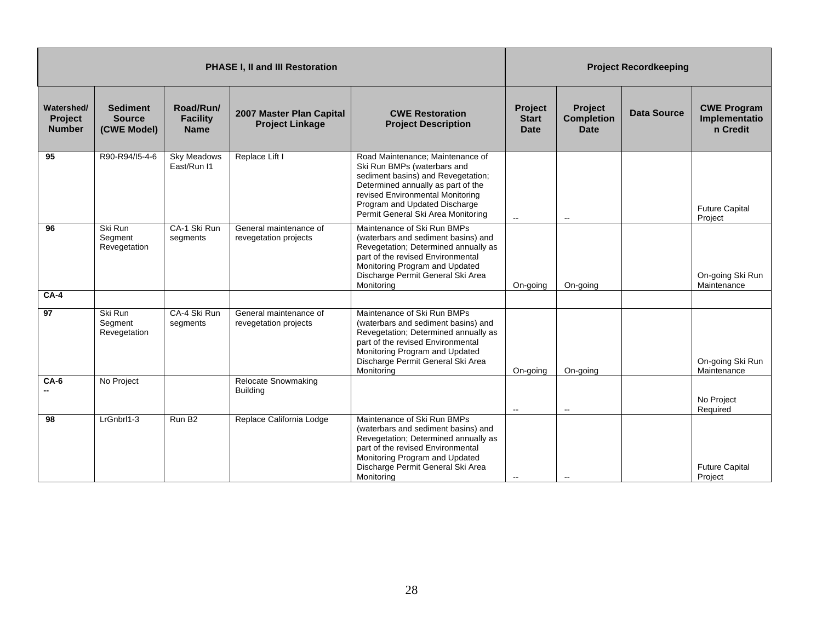| <b>PHASE I, II and III Restoration</b> |                                                 |                                             |                                                    |                                                                                                                                                                                                                                                        |                                               | <b>Project Recordkeeping</b>                       |                    |                                                 |  |
|----------------------------------------|-------------------------------------------------|---------------------------------------------|----------------------------------------------------|--------------------------------------------------------------------------------------------------------------------------------------------------------------------------------------------------------------------------------------------------------|-----------------------------------------------|----------------------------------------------------|--------------------|-------------------------------------------------|--|
| Watershed/<br>Project<br><b>Number</b> | <b>Sediment</b><br><b>Source</b><br>(CWE Model) | Road/Run/<br><b>Facility</b><br><b>Name</b> | 2007 Master Plan Capital<br><b>Project Linkage</b> | <b>CWE Restoration</b><br><b>Project Description</b>                                                                                                                                                                                                   | <b>Project</b><br><b>Start</b><br><b>Date</b> | <b>Project</b><br><b>Completion</b><br><b>Date</b> | <b>Data Source</b> | <b>CWE Program</b><br>Implementatio<br>n Credit |  |
| 95                                     | R90-R94/15-4-6                                  | <b>Sky Meadows</b><br>East/Run I1           | Replace Lift I                                     | Road Maintenance; Maintenance of<br>Ski Run BMPs (waterbars and<br>sediment basins) and Revegetation;<br>Determined annually as part of the<br>revised Environmental Monitoring<br>Program and Updated Discharge<br>Permit General Ski Area Monitoring | $\mathbf{L}$                                  | $\overline{\phantom{a}}$                           |                    | <b>Future Capital</b><br>Project                |  |
| 96                                     | Ski Run<br>Segment<br>Revegetation              | CA-1 Ski Run<br>segments                    | General maintenance of<br>revegetation projects    | Maintenance of Ski Run BMPs<br>(waterbars and sediment basins) and<br>Revegetation; Determined annually as<br>part of the revised Environmental<br>Monitoring Program and Updated<br>Discharge Permit General Ski Area<br>Monitoring                   | On-going                                      | On-going                                           |                    | On-going Ski Run<br>Maintenance                 |  |
| $CA-4$                                 |                                                 |                                             |                                                    |                                                                                                                                                                                                                                                        |                                               |                                                    |                    |                                                 |  |
| 97                                     | Ski Run<br>Segment<br>Revegetation              | CA-4 Ski Run<br>segments                    | General maintenance of<br>revegetation projects    | Maintenance of Ski Run BMPs<br>(waterbars and sediment basins) and<br>Revegetation; Determined annually as<br>part of the revised Environmental<br>Monitoring Program and Updated<br>Discharge Permit General Ski Area<br>Monitoring                   | On-going                                      | On-going                                           |                    | On-going Ski Run<br>Maintenance                 |  |
| $CA-6$                                 | No Project                                      |                                             | <b>Relocate Snowmaking</b><br><b>Building</b>      |                                                                                                                                                                                                                                                        | $\sim$                                        | $\overline{\phantom{a}}$                           |                    | No Project<br>Required                          |  |
| 98                                     | LrGnbrl1-3                                      | Run B <sub>2</sub>                          | Replace California Lodge                           | Maintenance of Ski Run BMPs<br>(waterbars and sediment basins) and<br>Revegetation; Determined annually as<br>part of the revised Environmental<br>Monitoring Program and Updated<br>Discharge Permit General Ski Area<br>Monitoring                   |                                               |                                                    |                    | <b>Future Capital</b><br>Project                |  |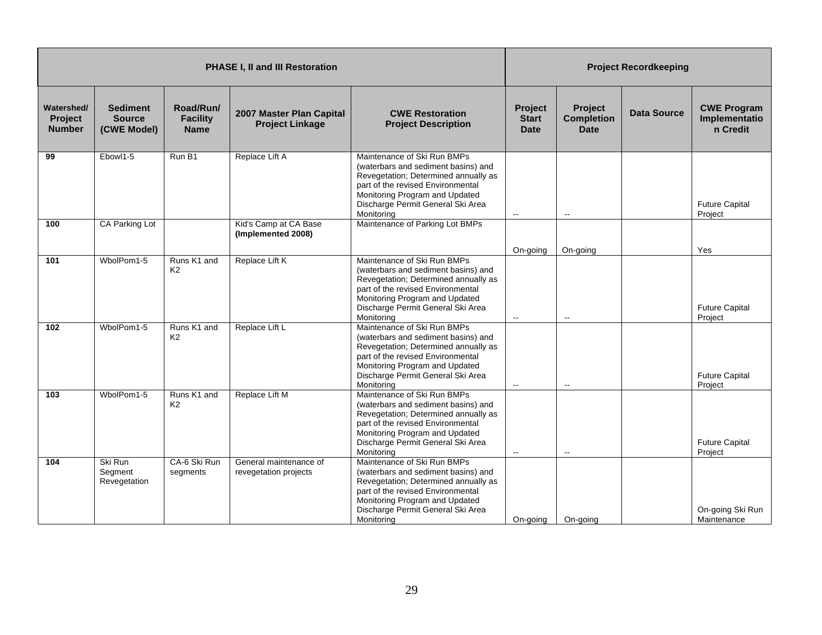|                                               | <b>PHASE I, II and III Restoration</b>          |                                             |                                                    |                                                                                                                                                                                                                                      |                                               | <b>Project Recordkeeping</b>                |                    |                                                 |  |
|-----------------------------------------------|-------------------------------------------------|---------------------------------------------|----------------------------------------------------|--------------------------------------------------------------------------------------------------------------------------------------------------------------------------------------------------------------------------------------|-----------------------------------------------|---------------------------------------------|--------------------|-------------------------------------------------|--|
| Watershed/<br><b>Project</b><br><b>Number</b> | <b>Sediment</b><br><b>Source</b><br>(CWE Model) | Road/Run/<br><b>Facility</b><br><b>Name</b> | 2007 Master Plan Capital<br><b>Project Linkage</b> | <b>CWE Restoration</b><br><b>Project Description</b>                                                                                                                                                                                 | <b>Project</b><br><b>Start</b><br><b>Date</b> | Project<br><b>Completion</b><br><b>Date</b> | <b>Data Source</b> | <b>CWE Program</b><br>Implementatio<br>n Credit |  |
| 99                                            | Ebowl1-5                                        | Run B1                                      | Replace Lift A                                     | Maintenance of Ski Run BMPs<br>(waterbars and sediment basins) and<br>Revegetation; Determined annually as<br>part of the revised Environmental<br>Monitoring Program and Updated<br>Discharge Permit General Ski Area<br>Monitoring | $\sim$                                        | $\overline{a}$                              |                    | <b>Future Capital</b><br>Project                |  |
| 100                                           | CA Parking Lot                                  |                                             | Kid's Camp at CA Base<br>(Implemented 2008)        | Maintenance of Parking Lot BMPs                                                                                                                                                                                                      |                                               |                                             |                    |                                                 |  |
| 101                                           | WbolPom1-5                                      | Runs K1 and<br>K <sub>2</sub>               | Replace Lift K                                     | Maintenance of Ski Run BMPs<br>(waterbars and sediment basins) and<br>Revegetation; Determined annually as<br>part of the revised Environmental<br>Monitoring Program and Updated<br>Discharge Permit General Ski Area<br>Monitoring | On-going<br>$\sim$                            | On-going<br>$\overline{\phantom{a}}$        |                    | Yes<br><b>Future Capital</b><br>Project         |  |
| 102                                           | WbolPom1-5                                      | Runs K1 and<br>K <sub>2</sub>               | Replace Lift L                                     | Maintenance of Ski Run BMPs<br>(waterbars and sediment basins) and<br>Revegetation; Determined annually as<br>part of the revised Environmental<br>Monitoring Program and Updated<br>Discharge Permit General Ski Area<br>Monitoring | $\sim$                                        | $\overline{\phantom{a}}$                    |                    | <b>Future Capital</b><br>Project                |  |
| 103                                           | WbolPom1-5                                      | Runs K1 and<br>K <sub>2</sub>               | Replace Lift M                                     | Maintenance of Ski Run BMPs<br>(waterbars and sediment basins) and<br>Revegetation; Determined annually as<br>part of the revised Environmental<br>Monitoring Program and Updated<br>Discharge Permit General Ski Area<br>Monitoring | $\mathbf{L}$                                  | $\mathbf{L}$                                |                    | <b>Future Capital</b><br>Project                |  |
| 104                                           | Ski Run<br>Segment<br>Revegetation              | CA-6 Ski Run<br>segments                    | General maintenance of<br>revegetation projects    | Maintenance of Ski Run BMPs<br>(waterbars and sediment basins) and<br>Revegetation; Determined annually as<br>part of the revised Environmental<br>Monitoring Program and Updated<br>Discharge Permit General Ski Area<br>Monitoring | On-going                                      | On-going                                    |                    | On-going Ski Run<br>Maintenance                 |  |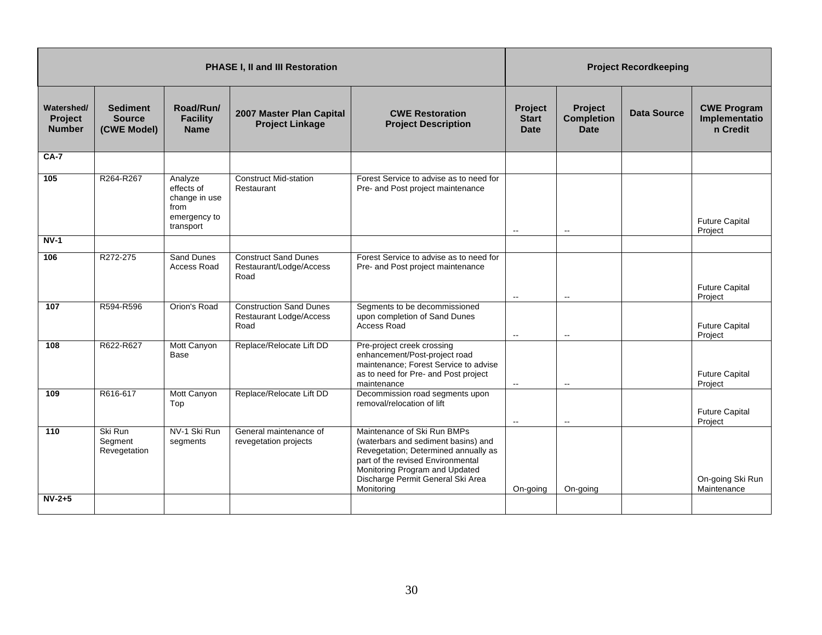|                                               | <b>PHASE I, II and III Restoration</b>          |                                                                             |                                                                          |                                                                                                                                                                                                                                      |                                               | <b>Project Recordkeeping</b>                |                    |                                                 |  |
|-----------------------------------------------|-------------------------------------------------|-----------------------------------------------------------------------------|--------------------------------------------------------------------------|--------------------------------------------------------------------------------------------------------------------------------------------------------------------------------------------------------------------------------------|-----------------------------------------------|---------------------------------------------|--------------------|-------------------------------------------------|--|
| Watershed/<br><b>Project</b><br><b>Number</b> | <b>Sediment</b><br><b>Source</b><br>(CWE Model) | Road/Run/<br><b>Facility</b><br><b>Name</b>                                 | 2007 Master Plan Capital<br><b>Project Linkage</b>                       | <b>CWE Restoration</b><br><b>Project Description</b>                                                                                                                                                                                 | <b>Project</b><br><b>Start</b><br><b>Date</b> | Project<br><b>Completion</b><br><b>Date</b> | <b>Data Source</b> | <b>CWE Program</b><br>Implementatio<br>n Credit |  |
| <b>CA-7</b>                                   |                                                 |                                                                             |                                                                          |                                                                                                                                                                                                                                      |                                               |                                             |                    |                                                 |  |
| 105                                           | R264-R267                                       | Analyze<br>effects of<br>change in use<br>from<br>emergency to<br>transport | <b>Construct Mid-station</b><br>Restaurant                               | Forest Service to advise as to need for<br>Pre- and Post project maintenance                                                                                                                                                         | $\sim$                                        | $\mathbf{L}$                                |                    | <b>Future Capital</b><br>Project                |  |
| $NV-1$                                        |                                                 |                                                                             |                                                                          |                                                                                                                                                                                                                                      |                                               |                                             |                    |                                                 |  |
| 106                                           | R272-275                                        | <b>Sand Dunes</b><br><b>Access Road</b>                                     | <b>Construct Sand Dunes</b><br>Restaurant/Lodge/Access<br>Road           | Forest Service to advise as to need for<br>Pre- and Post project maintenance                                                                                                                                                         | $\overline{\phantom{a}}$                      | $\overline{\phantom{a}}$                    |                    | <b>Future Capital</b><br>Project                |  |
| 107                                           | R594-R596                                       | Orion's Road                                                                | <b>Construction Sand Dunes</b><br><b>Restaurant Lodge/Access</b><br>Road | Segments to be decommissioned<br>upon completion of Sand Dunes<br><b>Access Road</b>                                                                                                                                                 | $\sim$                                        | $\overline{\phantom{a}}$                    |                    | <b>Future Capital</b><br>Project                |  |
| 108                                           | R622-R627                                       | Mott Canyon<br>Base                                                         | Replace/Relocate Lift DD                                                 | Pre-project creek crossing<br>enhancement/Post-project road<br>maintenance; Forest Service to advise<br>as to need for Pre- and Post project<br>maintenance                                                                          | $\mathord{\hspace{1pt}\text{--}\hspace{1pt}}$ | $\mathbf{L}$                                |                    | <b>Future Capital</b><br>Project                |  |
| 109                                           | R616-617                                        | Mott Canyon<br>Top                                                          | Replace/Relocate Lift DD                                                 | Decommission road segments upon<br>removal/relocation of lift                                                                                                                                                                        | $\sim$                                        | $\overline{\phantom{a}}$                    |                    | <b>Future Capital</b><br>Project                |  |
| 110                                           | Ski Run<br>Segment<br>Revegetation              | NV-1 Ski Run<br>segments                                                    | General maintenance of<br>revegetation projects                          | Maintenance of Ski Run BMPs<br>(waterbars and sediment basins) and<br>Revegetation; Determined annually as<br>part of the revised Environmental<br>Monitoring Program and Updated<br>Discharge Permit General Ski Area<br>Monitoring | On-going                                      | On-going                                    |                    | On-going Ski Run<br>Maintenance                 |  |
| $NV-2+5$                                      |                                                 |                                                                             |                                                                          |                                                                                                                                                                                                                                      |                                               |                                             |                    |                                                 |  |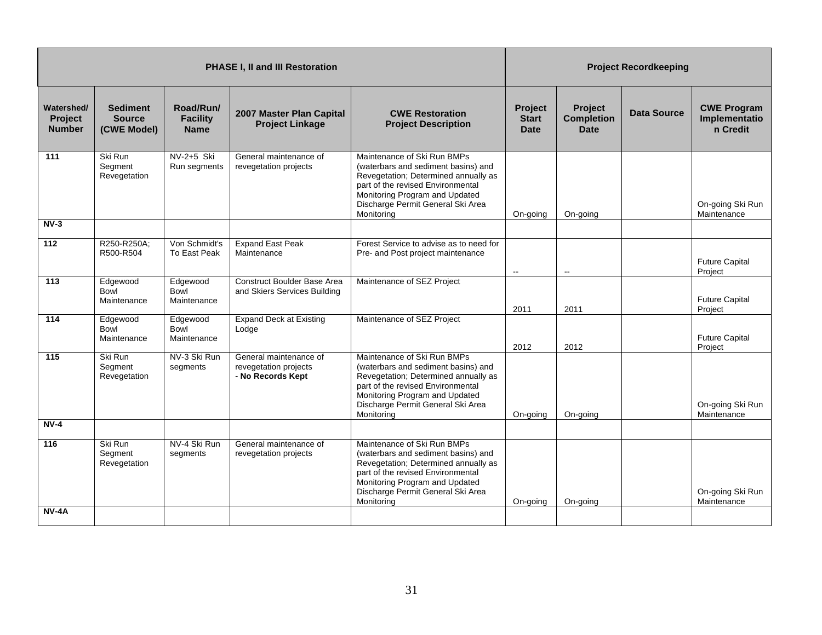|                                               | <b>PHASE I, II and III Restoration</b>          |                                             |                                                                      |                                                                                                                                                                                                                                      |                                               | <b>Project Recordkeeping</b>                |                    |                                                 |  |
|-----------------------------------------------|-------------------------------------------------|---------------------------------------------|----------------------------------------------------------------------|--------------------------------------------------------------------------------------------------------------------------------------------------------------------------------------------------------------------------------------|-----------------------------------------------|---------------------------------------------|--------------------|-------------------------------------------------|--|
| Watershed/<br><b>Project</b><br><b>Number</b> | <b>Sediment</b><br><b>Source</b><br>(CWE Model) | Road/Run/<br><b>Facility</b><br><b>Name</b> | 2007 Master Plan Capital<br><b>Project Linkage</b>                   | <b>CWE Restoration</b><br><b>Project Description</b>                                                                                                                                                                                 | <b>Project</b><br><b>Start</b><br><b>Date</b> | <b>Project</b><br><b>Completion</b><br>Date | <b>Data Source</b> | <b>CWE Program</b><br>Implementatio<br>n Credit |  |
| 111                                           | Ski Run<br>Segment<br>Revegetation              | NV-2+5 Ski<br>Run segments                  | General maintenance of<br>revegetation projects                      | Maintenance of Ski Run BMPs<br>(waterbars and sediment basins) and<br>Revegetation; Determined annually as<br>part of the revised Environmental<br>Monitoring Program and Updated<br>Discharge Permit General Ski Area<br>Monitoring | On-going                                      | On-going                                    |                    | On-going Ski Run<br>Maintenance                 |  |
| $NV-3$                                        |                                                 |                                             |                                                                      |                                                                                                                                                                                                                                      |                                               |                                             |                    |                                                 |  |
| 112                                           | R250-R250A;<br>R500-R504                        | Von Schmidt's<br>To East Peak               | <b>Expand East Peak</b><br>Maintenance                               | Forest Service to advise as to need for<br>Pre- and Post project maintenance                                                                                                                                                         | $\mathbf{H}$                                  | $\overline{a}$                              |                    | <b>Future Capital</b><br>Project                |  |
| 113                                           | Edgewood<br>Bowl<br>Maintenance                 | Edgewood<br>Bowl<br>Maintenance             | <b>Construct Boulder Base Area</b><br>and Skiers Services Building   | Maintenance of SEZ Project                                                                                                                                                                                                           | 2011                                          | 2011                                        |                    | <b>Future Capital</b><br>Project                |  |
| 114                                           | Edgewood<br>Bowl<br>Maintenance                 | Edgewood<br>Bowl<br>Maintenance             | <b>Expand Deck at Existing</b><br>Lodge                              | Maintenance of SEZ Project                                                                                                                                                                                                           | 2012                                          | 2012                                        |                    | <b>Future Capital</b><br>Project                |  |
| 115                                           | Ski Run<br>Segment<br>Revegetation              | NV-3 Ski Run<br>segments                    | General maintenance of<br>revegetation projects<br>- No Records Kept | Maintenance of Ski Run BMPs<br>(waterbars and sediment basins) and<br>Revegetation; Determined annually as<br>part of the revised Environmental<br>Monitoring Program and Updated<br>Discharge Permit General Ski Area<br>Monitoring | On-going                                      | On-going                                    |                    | On-going Ski Run<br>Maintenance                 |  |
| $NV-4$                                        |                                                 |                                             |                                                                      |                                                                                                                                                                                                                                      |                                               |                                             |                    |                                                 |  |
| 116                                           | Ski Run<br>Segment<br>Revegetation              | NV-4 Ski Run<br>segments                    | General maintenance of<br>revegetation projects                      | Maintenance of Ski Run BMPs<br>(waterbars and sediment basins) and<br>Revegetation; Determined annually as<br>part of the revised Environmental<br>Monitoring Program and Updated<br>Discharge Permit General Ski Area<br>Monitoring | On-going                                      | On-going                                    |                    | On-going Ski Run<br>Maintenance                 |  |
| <b>NV-4A</b>                                  |                                                 |                                             |                                                                      |                                                                                                                                                                                                                                      |                                               |                                             |                    |                                                 |  |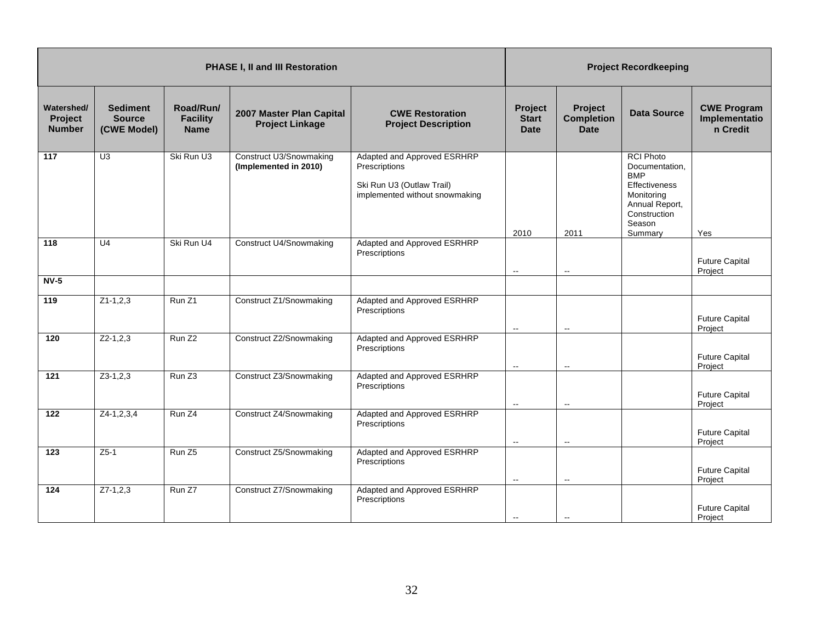| PHASE I, II and III Restoration        |                                                 |                                             |                                                    |                                                                                                             |                                        | <b>Project Recordkeeping</b>                |                                                                                                                                        |                                                 |  |
|----------------------------------------|-------------------------------------------------|---------------------------------------------|----------------------------------------------------|-------------------------------------------------------------------------------------------------------------|----------------------------------------|---------------------------------------------|----------------------------------------------------------------------------------------------------------------------------------------|-------------------------------------------------|--|
| Watershed/<br>Project<br><b>Number</b> | <b>Sediment</b><br><b>Source</b><br>(CWE Model) | Road/Run/<br><b>Facility</b><br><b>Name</b> | 2007 Master Plan Capital<br><b>Project Linkage</b> | <b>CWE Restoration</b><br><b>Project Description</b>                                                        | Project<br><b>Start</b><br><b>Date</b> | Project<br><b>Completion</b><br><b>Date</b> | <b>Data Source</b>                                                                                                                     | <b>CWE Program</b><br>Implementatio<br>n Credit |  |
| 117                                    | U <sub>3</sub>                                  | Ski Run U3                                  | Construct U3/Snowmaking<br>(Implemented in 2010)   | Adapted and Approved ESRHRP<br>Prescriptions<br>Ski Run U3 (Outlaw Trail)<br>implemented without snowmaking | 2010                                   | 2011                                        | <b>RCI Photo</b><br>Documentation.<br><b>BMP</b><br>Effectiveness<br>Monitoring<br>Annual Report,<br>Construction<br>Season<br>Summary | Yes                                             |  |
| 118                                    | $\overline{U4}$                                 | Ski Run U4                                  | <b>Construct U4/Snowmaking</b>                     | Adapted and Approved ESRHRP<br>Prescriptions                                                                | $\overline{\phantom{a}}$               | $\overline{\phantom{a}}$                    |                                                                                                                                        | <b>Future Capital</b><br>Project                |  |
| $NV-5$                                 |                                                 |                                             |                                                    |                                                                                                             |                                        |                                             |                                                                                                                                        |                                                 |  |
| 119                                    | $Z1-1,2,3$                                      | Run Z1                                      | Construct Z1/Snowmaking                            | Adapted and Approved ESRHRP<br>Prescriptions                                                                | $\sim$                                 | $\sim$                                      |                                                                                                                                        | <b>Future Capital</b><br>Project                |  |
| 120                                    | $Z2-1,2,3$                                      | Run Z <sub>2</sub>                          | Construct Z2/Snowmaking                            | Adapted and Approved ESRHRP<br>Prescriptions                                                                | $\sim$                                 | $\overline{\phantom{a}}$                    |                                                                                                                                        | <b>Future Capital</b><br>Project                |  |
| 121                                    | $Z3-1,2,3$                                      | Run Z <sub>3</sub>                          | Construct Z3/Snowmaking                            | Adapted and Approved ESRHRP<br>Prescriptions                                                                | $\sim$                                 | $\overline{\phantom{a}}$                    |                                                                                                                                        | <b>Future Capital</b><br>Project                |  |
| 122                                    | $Z4-1,2,3,4$                                    | Run Z4                                      | Construct Z4/Snowmaking                            | Adapted and Approved ESRHRP<br>Prescriptions                                                                | $\sim$                                 | $\overline{\phantom{a}}$                    |                                                                                                                                        | <b>Future Capital</b><br>Project                |  |
| 123                                    | $Z5-1$                                          | Run Z <sub>5</sub>                          | Construct Z5/Snowmaking                            | Adapted and Approved ESRHRP<br>Prescriptions                                                                | $\overline{\phantom{a}}$               | $\overline{\phantom{a}}$                    |                                                                                                                                        | <b>Future Capital</b><br>Project                |  |
| 124                                    | $Z7-1,2,3$                                      | Run Z7                                      | Construct Z7/Snowmaking                            | Adapted and Approved ESRHRP<br>Prescriptions                                                                | $\overline{\phantom{a}}$               |                                             |                                                                                                                                        | <b>Future Capital</b><br>Project                |  |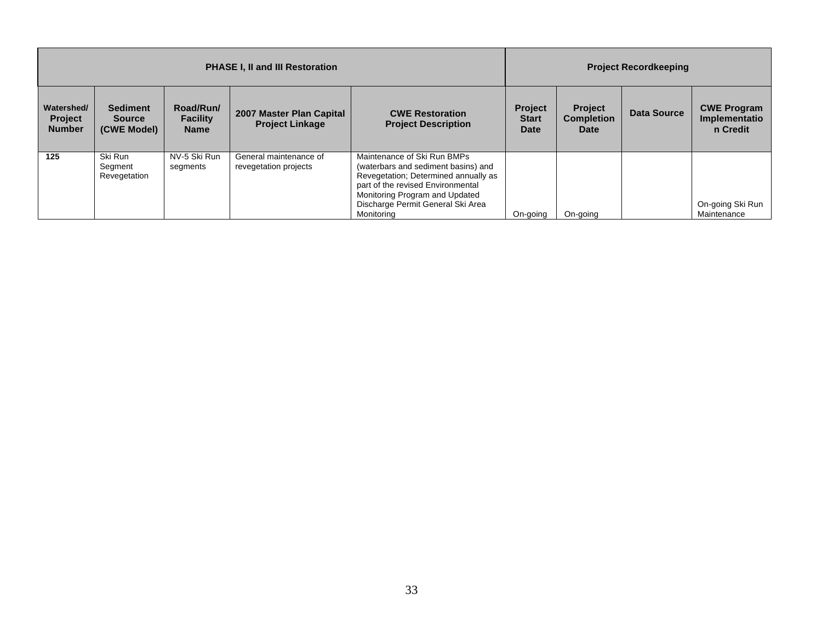|                                               | <b>PHASE I, II and III Restoration</b>          |                                             |                                                    |                                                                                                                                                                                                                                      |                                        | <b>Project Recordkeeping</b>                       |             |                                                 |  |
|-----------------------------------------------|-------------------------------------------------|---------------------------------------------|----------------------------------------------------|--------------------------------------------------------------------------------------------------------------------------------------------------------------------------------------------------------------------------------------|----------------------------------------|----------------------------------------------------|-------------|-------------------------------------------------|--|
| Watershed/<br><b>Project</b><br><b>Number</b> | <b>Sediment</b><br><b>Source</b><br>(CWE Model) | Road/Run/<br><b>Facility</b><br><b>Name</b> | 2007 Master Plan Capital<br><b>Project Linkage</b> | <b>CWE Restoration</b><br><b>Project Description</b>                                                                                                                                                                                 | Project<br><b>Start</b><br><b>Date</b> | <b>Project</b><br><b>Completion</b><br><b>Date</b> | Data Source | <b>CWE Program</b><br>Implementatio<br>n Credit |  |
| 125                                           | Ski Run<br>Segment<br>Revegetation              | NV-5 Ski Run<br>segments                    | General maintenance of<br>revegetation projects    | Maintenance of Ski Run BMPs<br>(waterbars and sediment basins) and<br>Revegetation; Determined annually as<br>part of the revised Environmental<br>Monitoring Program and Updated<br>Discharge Permit General Ski Area<br>Monitorina | On-going                               | On-going                                           |             | On-going Ski Run<br>Maintenance                 |  |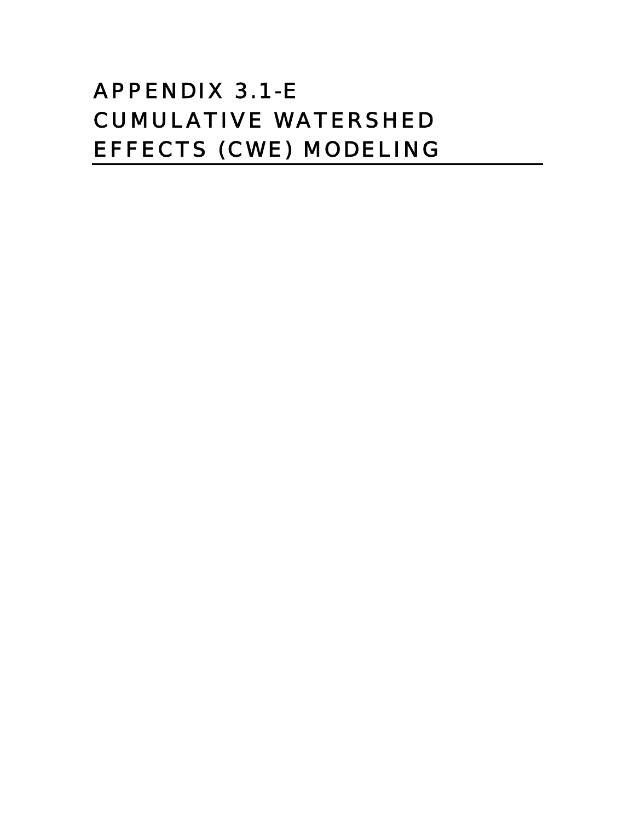# APPENDIX 3.1-E CUMULATIVE WATERSHED EFFECTS (CWE) MODELING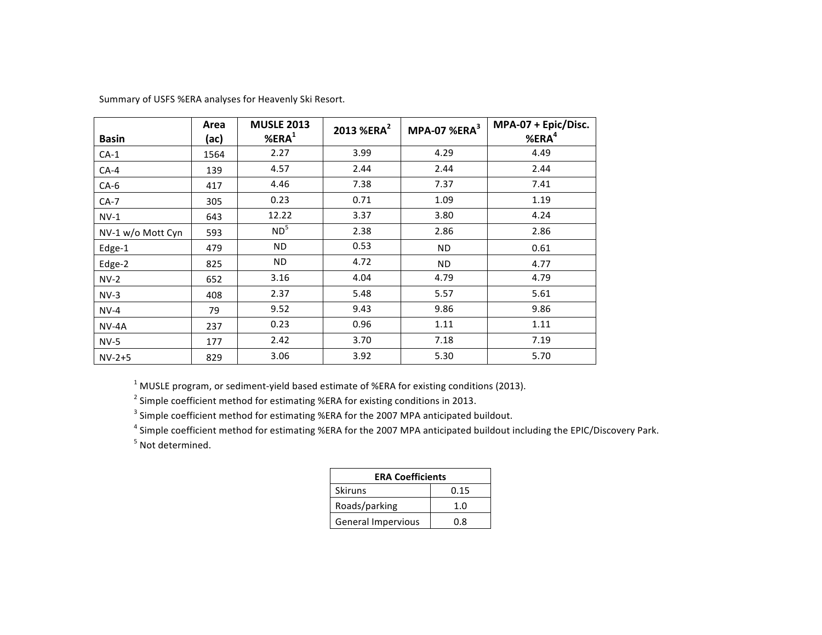| <b>Basin</b>      | Area<br>(ac) | <b>MUSLE 2013</b><br>%ERA <sup>1</sup> | 2013 %ERA <sup>2</sup> | MPA-07 %ERA <sup>3</sup> | MPA-07 + Epic/Disc.<br>%ERA <sup>4</sup> |
|-------------------|--------------|----------------------------------------|------------------------|--------------------------|------------------------------------------|
| $CA-1$            | 1564         | 2.27                                   | 3.99                   | 4.29                     | 4.49                                     |
| $CA-4$            | 139          | 4.57                                   | 2.44                   | 2.44                     | 2.44                                     |
| $CA-6$            | 417          | 4.46                                   | 7.38                   | 7.37                     | 7.41                                     |
| $CA-7$            | 305          | 0.23                                   | 0.71                   | 1.09                     | 1.19                                     |
| $NV-1$            | 643          | 12.22                                  | 3.37                   | 3.80                     | 4.24                                     |
| NV-1 w/o Mott Cyn | 593          | ND <sup>5</sup>                        | 2.38                   | 2.86                     | 2.86                                     |
| Edge-1            | 479          | ND.                                    | 0.53                   | ND.                      | 0.61                                     |
| Edge-2            | 825          | ND.                                    | 4.72                   | ND.                      | 4.77                                     |
| $NV-2$            | 652          | 3.16                                   | 4.04                   | 4.79                     | 4.79                                     |
| $NV-3$            | 408          | 2.37                                   | 5.48                   | 5.57                     | 5.61                                     |
| $NV-4$            | 79           | 9.52                                   | 9.43                   | 9.86                     | 9.86                                     |
| $NV-4A$           | 237          | 0.23                                   | 0.96                   | 1.11                     | 1.11                                     |
| $NV-5$            | 177          | 2.42                                   | 3.70                   | 7.18                     | 7.19                                     |
| $NV-2+5$          | 829          | 3.06                                   | 3.92                   | 5.30                     | 5.70                                     |

Summary of USFS %ERA analyses for Heavenly Ski Resort.

 $1$  MUSLE program, or sediment-yield based estimate of %ERA for existing conditions (2013).

 $2$  Simple coefficient method for estimating %ERA for existing conditions in 2013.

<sup>3</sup> Simple coefficient method for estimating %ERA for the 2007 MPA anticipated buildout.

<sup>4</sup> Simple coefficient method for estimating %ERA for the 2007 MPA anticipated buildout including the EPIC/Discovery Park.

<sup>5</sup> Not determined.

| <b>ERA Coefficients</b> |      |  |  |  |  |  |
|-------------------------|------|--|--|--|--|--|
| <b>Skiruns</b>          | 0.15 |  |  |  |  |  |
| Roads/parking           |      |  |  |  |  |  |
| General Impervious      | በ ጸ  |  |  |  |  |  |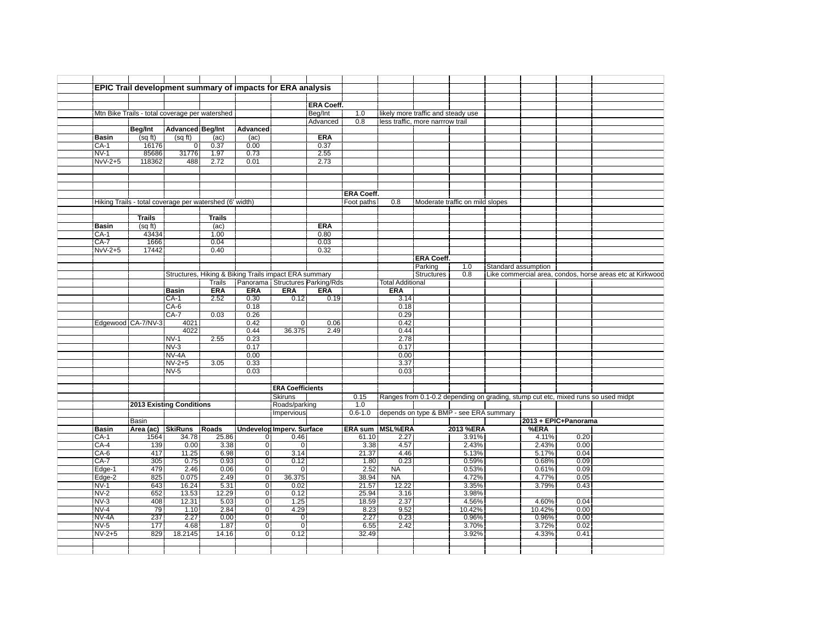|                                                |                                 |                         |                                                         |                           | EPIC Trail development summary of impacts for ERA analysis |                   |                   |                         |                                    |                                         |                     |        |                      |                                                                                   |  |
|------------------------------------------------|---------------------------------|-------------------------|---------------------------------------------------------|---------------------------|------------------------------------------------------------|-------------------|-------------------|-------------------------|------------------------------------|-----------------------------------------|---------------------|--------|----------------------|-----------------------------------------------------------------------------------|--|
|                                                |                                 |                         |                                                         |                           |                                                            |                   |                   |                         |                                    |                                         |                     |        |                      |                                                                                   |  |
|                                                |                                 |                         |                                                         |                           |                                                            |                   |                   |                         |                                    |                                         |                     |        |                      |                                                                                   |  |
|                                                |                                 |                         |                                                         |                           |                                                            | <b>ERA Coeff.</b> |                   |                         |                                    |                                         |                     |        |                      |                                                                                   |  |
| Mtn Bike Trails - total coverage per watershed |                                 |                         |                                                         |                           |                                                            | Beg/Int           | 1.0               |                         | likely more traffic and steady use |                                         |                     |        |                      |                                                                                   |  |
|                                                |                                 |                         |                                                         |                           |                                                            | Advanced          | 0.8               |                         | less traffic, more narrrow trail   |                                         |                     |        |                      |                                                                                   |  |
|                                                | Beg/Int                         | <b>Advanced Beg/Int</b> |                                                         | <b>Advanced</b>           |                                                            |                   |                   |                         |                                    |                                         |                     |        |                      |                                                                                   |  |
| <b>Basin</b>                                   | (sqft)                          | (sqft)                  | (ac)                                                    | (ac)                      |                                                            | <b>ERA</b>        |                   |                         |                                    |                                         |                     |        |                      |                                                                                   |  |
| $CA-1$                                         | 16176                           | $\overline{0}$          | 0.37                                                    | 0.00                      |                                                            | 0.37              |                   |                         |                                    |                                         |                     |        |                      |                                                                                   |  |
| $NV-1$                                         | 85686                           | 31776                   | 1.97                                                    | 0.73                      |                                                            | 2.55              |                   |                         |                                    |                                         |                     |        |                      |                                                                                   |  |
| $NvV-2+5$                                      | 118362                          | 488                     | 2.72                                                    | 0.01                      |                                                            | 2.73              |                   |                         |                                    |                                         |                     |        |                      |                                                                                   |  |
|                                                |                                 |                         |                                                         |                           |                                                            |                   |                   |                         |                                    |                                         |                     |        |                      |                                                                                   |  |
|                                                |                                 |                         |                                                         |                           |                                                            |                   |                   |                         |                                    |                                         |                     |        |                      |                                                                                   |  |
|                                                |                                 |                         |                                                         |                           |                                                            |                   |                   |                         |                                    |                                         |                     |        |                      |                                                                                   |  |
|                                                |                                 |                         |                                                         |                           |                                                            |                   | <b>ERA Coeff.</b> |                         |                                    |                                         |                     |        |                      |                                                                                   |  |
|                                                |                                 |                         | Hiking Trails - total coverage per watershed (6' width) |                           |                                                            |                   | Foot paths        | 0.8                     |                                    | Moderate traffic on mild slopes         |                     |        |                      |                                                                                   |  |
|                                                |                                 |                         |                                                         |                           |                                                            |                   |                   |                         |                                    |                                         |                     |        |                      |                                                                                   |  |
|                                                | <b>Trails</b>                   |                         | <b>Trails</b>                                           |                           |                                                            |                   |                   |                         |                                    |                                         |                     |        |                      |                                                                                   |  |
| <b>Basin</b>                                   | (sqft)                          |                         | (ac)                                                    |                           |                                                            | <b>ERA</b>        |                   |                         |                                    |                                         |                     |        |                      |                                                                                   |  |
|                                                | 43434                           |                         | 1.00                                                    |                           |                                                            |                   |                   |                         |                                    |                                         |                     |        |                      |                                                                                   |  |
| $CA-1$<br>$CA-7$                               | 1666                            |                         | 0.04                                                    |                           |                                                            | 0.80<br>0.03      |                   |                         |                                    |                                         |                     |        |                      |                                                                                   |  |
|                                                |                                 |                         |                                                         |                           |                                                            |                   |                   |                         |                                    |                                         |                     |        |                      |                                                                                   |  |
| $NvV-2+5$                                      | 17442                           |                         | 0.40                                                    |                           |                                                            | 0.32              |                   |                         |                                    |                                         |                     |        |                      |                                                                                   |  |
|                                                |                                 |                         |                                                         |                           |                                                            |                   |                   |                         | <b>ERA Coeff.</b>                  |                                         |                     |        |                      |                                                                                   |  |
|                                                |                                 |                         |                                                         |                           |                                                            |                   |                   |                         | Parking                            | 1.0                                     | Standard assumption |        |                      |                                                                                   |  |
|                                                |                                 |                         |                                                         |                           | Structures, Hiking & Biking Trails impact ERA summary      |                   |                   |                         | <b>Structures</b>                  | 0.8                                     |                     |        |                      | Like commercial area, condos, horse areas etc at Kirkwood                         |  |
|                                                |                                 |                         | <b>Trails</b>                                           |                           | Panorama Structures Parking/Rds                            |                   |                   | <b>Total Additional</b> |                                    |                                         |                     |        |                      |                                                                                   |  |
|                                                |                                 | <b>Basin</b>            | <b>ERA</b>                                              | <b>ERA</b>                | <b>ERA</b>                                                 | <b>ERA</b>        |                   | <b>ERA</b>              |                                    |                                         |                     |        |                      |                                                                                   |  |
|                                                |                                 | $CA-1$                  | 2.52                                                    | 0.30                      | 0.12                                                       | 0.19              |                   | 3.14                    |                                    |                                         |                     |        |                      |                                                                                   |  |
|                                                |                                 | $CA-6$                  |                                                         | 0.18                      |                                                            |                   |                   | 0.18                    |                                    |                                         |                     |        |                      |                                                                                   |  |
|                                                |                                 | $CA-7$                  | 0.03                                                    | 0.26                      |                                                            |                   |                   | 0.29                    |                                    |                                         |                     |        |                      |                                                                                   |  |
| Edgewood CA-7/NV-3                             |                                 | 4021                    |                                                         | 0.42                      | $\mathbf 0$                                                | 0.06              |                   | 0.42                    |                                    |                                         |                     |        |                      |                                                                                   |  |
|                                                |                                 | 4022                    |                                                         | 0.44                      | 36.375                                                     | 2.49              |                   | 0.44                    |                                    |                                         |                     |        |                      |                                                                                   |  |
|                                                |                                 | $NV-1$                  | 2.55                                                    | 0.23                      |                                                            |                   |                   | 2.78                    |                                    |                                         |                     |        |                      |                                                                                   |  |
|                                                |                                 | $NV-3$                  |                                                         | 0.17                      |                                                            |                   |                   | 0.17                    |                                    |                                         |                     |        |                      |                                                                                   |  |
|                                                |                                 | NV-4A                   |                                                         | 0.00                      |                                                            |                   |                   | 0.00                    |                                    |                                         |                     |        |                      |                                                                                   |  |
|                                                |                                 | $NV-2+5$                | 3.05                                                    | 0.33                      |                                                            |                   |                   | 3.37                    |                                    |                                         |                     |        |                      |                                                                                   |  |
|                                                |                                 |                         |                                                         |                           |                                                            |                   |                   |                         |                                    |                                         |                     |        |                      |                                                                                   |  |
|                                                |                                 |                         |                                                         |                           |                                                            |                   |                   |                         |                                    |                                         |                     |        |                      |                                                                                   |  |
|                                                |                                 | $NV-5$                  |                                                         | 0.03                      |                                                            |                   |                   | 0.03                    |                                    |                                         |                     |        |                      |                                                                                   |  |
|                                                |                                 |                         |                                                         |                           |                                                            |                   |                   |                         |                                    |                                         |                     |        |                      |                                                                                   |  |
|                                                |                                 |                         |                                                         |                           | <b>ERA Coefficients</b>                                    |                   |                   |                         |                                    |                                         |                     |        |                      |                                                                                   |  |
|                                                |                                 |                         |                                                         |                           | <b>Skiruns</b>                                             |                   | 0.15              |                         |                                    |                                         |                     |        |                      | Ranges from 0.1-0.2 depending on grading, stump cut etc, mixed runs so used midpt |  |
|                                                | <b>2013 Existing Conditions</b> |                         |                                                         |                           | Roads/parking                                              |                   | 1.0               |                         |                                    |                                         |                     |        |                      |                                                                                   |  |
|                                                |                                 |                         |                                                         |                           | Impervious                                                 |                   | $0.6 - 1.0$       |                         |                                    | depends on type & BMP - see ERA summary |                     |        |                      |                                                                                   |  |
|                                                | Basin                           |                         |                                                         |                           |                                                            |                   |                   |                         |                                    |                                         |                     |        | 2013 + EPIC+Panorama |                                                                                   |  |
|                                                |                                 |                         |                                                         |                           |                                                            |                   |                   |                         |                                    |                                         |                     | %ERA   |                      |                                                                                   |  |
| <b>Basin</b><br>$CA-1$                         | Area (ac)                       | <b>SkiRuns</b><br>34.78 | Roads<br>25.86                                          | $\overline{0}$            | <b>Undevelop Imperv. Surface</b><br>0.46                   |                   | 61.10             | ERA sum MSL%ERA<br>2.27 |                                    | 2013 %ERA<br>3.91%                      |                     | 4.11%  | 0.20                 |                                                                                   |  |
|                                                | 1564<br>139                     |                         |                                                         | $\overline{0}$            | $\overline{0}$                                             |                   |                   |                         |                                    |                                         |                     |        | 0.00                 |                                                                                   |  |
| $CA-4$                                         |                                 | 0.00                    | 3.38                                                    |                           |                                                            |                   | 3.38              | 4.57                    |                                    | 2.43%                                   |                     | 2.43%  |                      |                                                                                   |  |
| $CA-6$                                         | 417                             | 11.25                   | 6.98                                                    | $\overline{0}$            | 3.14                                                       |                   | 21.37             | 4.46                    |                                    | 5.13%                                   |                     | 5.17%  | 0.04                 |                                                                                   |  |
| $CA-7$                                         | 305                             | 0.75                    | 0.93                                                    | $\overline{0}$            | 0.12                                                       |                   | 1.80              | 0.23                    |                                    | 0.59%                                   |                     | 0.68%  | 0.09                 |                                                                                   |  |
| Edge-1                                         | 479                             | 2.46                    | 0.06                                                    | $\overline{0}$            | $\overline{0}$                                             |                   | 2.52              | <b>NA</b>               |                                    | 0.53%                                   |                     | 0.61%  | 0.09                 |                                                                                   |  |
| Edge-2                                         | 825                             | 0.075                   | 2.49                                                    | $\overline{0}$            | 36.375                                                     |                   | 38.94             | <b>NA</b>               |                                    | 4.72%                                   |                     | 4.77%  | 0.05                 |                                                                                   |  |
| $NV-1$                                         | 643                             | 16.24                   | 5.31                                                    | $\overline{0}$            | 0.02                                                       |                   | 21.57             | 12.22                   |                                    | 3.35%                                   |                     | 3.79%  | 0.43                 |                                                                                   |  |
| $NV-2$                                         | 652                             | 13.53                   | 12.29                                                   | $\overline{0}$            | 0.12                                                       |                   | 25.94             | 3.16                    |                                    | 3.98%                                   |                     |        |                      |                                                                                   |  |
| $NV-3$                                         | 408                             | 12.31                   | 5.03                                                    | $\overline{\mathfrak{o}}$ | 1.25                                                       |                   | 18.59             | 2.37                    |                                    | 4.56%                                   |                     | 4.60%  | 0.04                 |                                                                                   |  |
| $NV-4$                                         | 79                              | 1.10                    | 2.84                                                    | $\overline{0}$            | 4.29                                                       |                   | 8.23              | 9.52                    |                                    | 10.42%                                  |                     | 10.42% | 0.00                 |                                                                                   |  |
| NV-4A                                          | 237                             | 2.27                    | 0.00                                                    | $\overline{0}$            | $\mathbf 0$                                                |                   | 2.27              | 0.23                    |                                    | 0.96%                                   |                     | 0.96%  | 0.00                 |                                                                                   |  |
| $NV-5$                                         | 177                             | 4.68                    | 1.87                                                    | $\overline{0}$            | $\overline{0}$                                             |                   | 6.55              | 2.42                    |                                    | 3.70%                                   |                     | 3.72%  | 0.02                 |                                                                                   |  |
| $NV-2+5$                                       | 829                             | 18.2145                 | 14.16                                                   | $\overline{0}$            | 0.12                                                       |                   | 32.49             |                         |                                    | 3.92%                                   |                     | 4.33%  | 0.41                 |                                                                                   |  |
|                                                |                                 |                         |                                                         |                           |                                                            |                   |                   |                         |                                    |                                         |                     |        |                      |                                                                                   |  |
|                                                |                                 |                         |                                                         |                           |                                                            |                   |                   |                         |                                    |                                         |                     |        |                      |                                                                                   |  |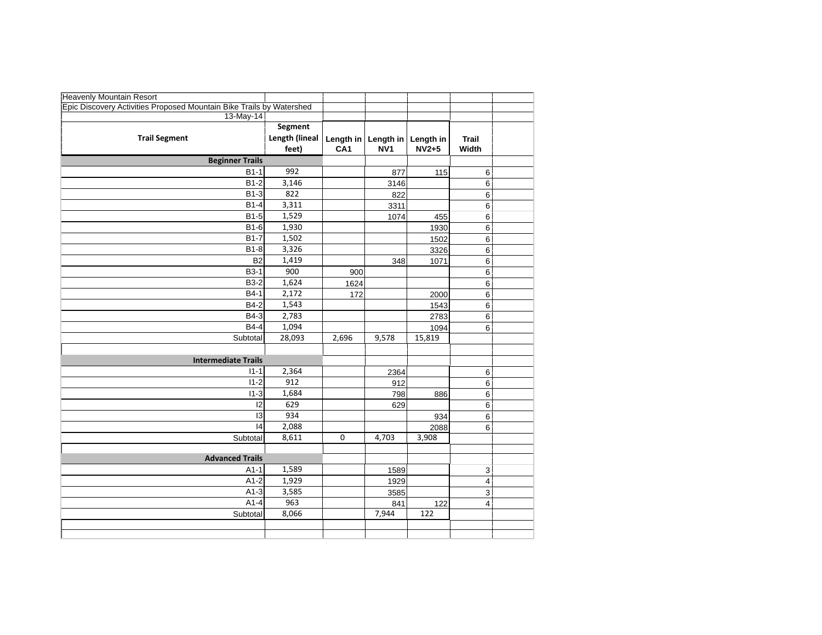| <b>Heavenly Mountain Resort</b>                                      |                  |                 |                       |                    |                           |  |
|----------------------------------------------------------------------|------------------|-----------------|-----------------------|--------------------|---------------------------|--|
| Epic Discovery Activities Proposed Mountain Bike Trails by Watershed |                  |                 |                       |                    |                           |  |
| $13-May-14$                                                          |                  |                 |                       |                    |                           |  |
|                                                                      | <b>Segment</b>   |                 |                       |                    |                           |  |
| <b>Trail Segment</b>                                                 | Length (lineal   | Length in       | Length in   Length in |                    | <b>Trail</b>              |  |
|                                                                      | feet)            | CA <sub>1</sub> | NV <sub>1</sub>       | $N\overline{V}2+5$ | Width                     |  |
| <b>Beginner Trails</b>                                               |                  |                 |                       |                    |                           |  |
| $B1-1$                                                               | 992              |                 | 877                   | 115                | 6                         |  |
| $B1-2$                                                               | 3,146            |                 | 3146                  |                    | 6                         |  |
| <b>B1-3</b>                                                          | 822              |                 | 822                   |                    | 6                         |  |
| $B1-4$                                                               | 3,311            |                 | 3311                  |                    | 6                         |  |
| <b>B1-5</b>                                                          | 1,529            |                 | 1074                  | 455                | 6                         |  |
| B1-6                                                                 | 1,930            |                 |                       | 1930               | $6\phantom{1}6$           |  |
| $B1-7$                                                               | 1,502            |                 |                       | 1502               | 6                         |  |
| $B1-8$                                                               | 3,326            |                 |                       | 3326               | $6\phantom{1}6$           |  |
| B <sub>2</sub>                                                       | 1,419            |                 | 348                   | 1071               | 6                         |  |
| <b>B3-1</b>                                                          | $\overline{900}$ | 900             |                       |                    | 6                         |  |
| <b>B3-2</b>                                                          | 1,624            | 1624            |                       |                    | 6                         |  |
| $B4-1$                                                               | 2,172            | 172             |                       | 2000               | 6                         |  |
| B4-2                                                                 | 1,543            |                 |                       | 1543               | 6                         |  |
| B4-3                                                                 | 2,783            |                 |                       | 2783               | 6                         |  |
| B4-4                                                                 | 1,094            |                 |                       | 1094               | 6                         |  |
| Subtotal                                                             | 28,093           | 2,696           | 9,578                 | 15,819             |                           |  |
|                                                                      |                  |                 |                       |                    |                           |  |
| <b>Intermediate Trails</b>                                           |                  |                 |                       |                    |                           |  |
| $11 - 1$                                                             | 2,364            |                 | 2364                  |                    | 6                         |  |
| $11 - 2$                                                             | 912              |                 | 912                   |                    | 6                         |  |
| $11 - 3$                                                             | 1,684            |                 | 798                   | 886                | $6\phantom{1}6$           |  |
| 12                                                                   | 629              |                 | 629                   |                    | 6                         |  |
| 13                                                                   | 934              |                 |                       | 934                | 6                         |  |
| $\overline{14}$                                                      | 2,088            |                 |                       | 2088               | 6                         |  |
| Subtotal                                                             | 8,611            | $\mathbf 0$     | 4,703                 | 3,908              |                           |  |
|                                                                      |                  |                 |                       |                    |                           |  |
| <b>Advanced Trails</b>                                               |                  |                 |                       |                    |                           |  |
| $A1-1$                                                               | 1,589            |                 | 1589                  |                    | $\ensuremath{\mathsf{3}}$ |  |
| $A1-2$                                                               | 1,929            |                 | 1929                  |                    | $\overline{\mathbf{4}}$   |  |
| $A1-3$                                                               | 3,585            |                 | 3585                  |                    | 3                         |  |
| $A1-4$                                                               | 963              |                 | 841                   | 122                | $\boldsymbol{4}$          |  |
| Subtotal                                                             | 8,066            |                 | 7,944                 | 122                |                           |  |
|                                                                      |                  |                 |                       |                    |                           |  |
|                                                                      |                  |                 |                       |                    |                           |  |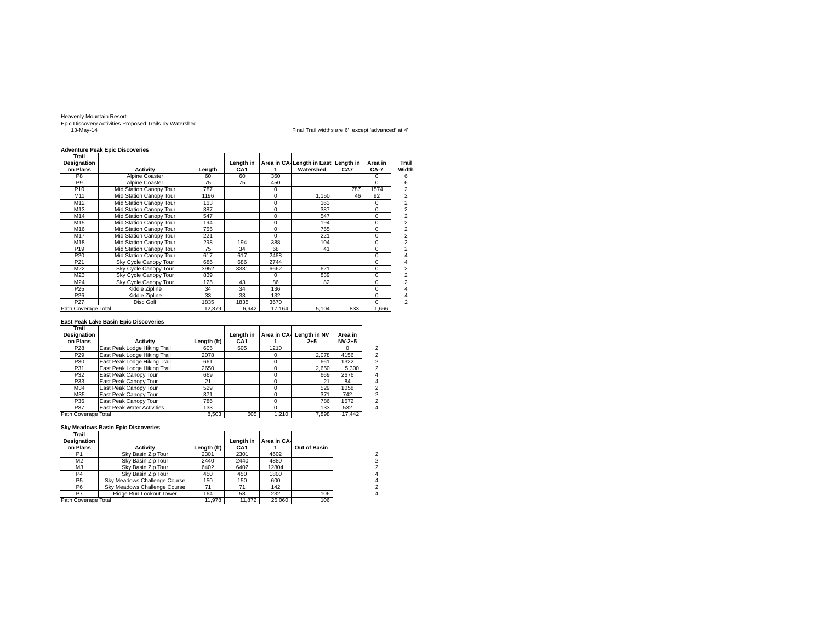Heavenly Mountain Resort Epic Discovery Activities Proposed Trails by Watershed 13-May-14 Final Trail widths are 6' except 'advanced' at 4'

#### **Adventure Peak Epic Discoveries**

| Trail               |                         |        |                 |          |                                     |     |          |                |
|---------------------|-------------------------|--------|-----------------|----------|-------------------------------------|-----|----------|----------------|
| Designation         |                         |        | Length in       |          | Area in CA Length in East Length in |     | Area in  | Trail          |
| on Plans            | <b>Activity</b>         | Length | CA <sub>1</sub> |          | Watershed                           | CA7 | CA-7     | Width          |
| P <sub>8</sub>      | Alpine Coaster          | 60     | 60              | 360      |                                     |     | $\Omega$ | 6              |
| P <sub>9</sub>      | Alpine Coaster          | 75     | 75              | 450      |                                     |     | $\Omega$ | 6              |
| P <sub>10</sub>     | Mid Station Canopy Tour | 787    |                 | $\Omega$ |                                     | 787 | 1574     | 2              |
| M11                 | Mid Station Canopy Tour | 1196   |                 | 0        | 1.150                               | 46  | 92       | 2              |
| M12                 | Mid Station Canopy Tour | 163    |                 | $\Omega$ | 163                                 |     | $\Omega$ | $\overline{2}$ |
| M13                 | Mid Station Canopy Tour | 387    |                 | 0        | 387                                 |     | $\Omega$ | 2              |
| M14                 | Mid Station Canopy Tour | 547    |                 | 0        | 547                                 |     | $\Omega$ | 2              |
| M15                 | Mid Station Canopy Tour | 194    |                 | 0        | 194                                 |     | $\Omega$ | 2              |
| M16                 | Mid Station Canopy Tour | 755    |                 | $\Omega$ | 755                                 |     | $\Omega$ | 2              |
| M17                 | Mid Station Canopy Tour | 221    |                 | $\Omega$ | 221                                 |     | $\Omega$ | 2              |
| M18                 | Mid Station Canopy Tour | 298    | 194             | 388      | 104                                 |     | $\Omega$ | 2              |
| P <sub>19</sub>     | Mid Station Canopy Tour | 75     | 34              | 68       | 41                                  |     | $\Omega$ | $\overline{2}$ |
| P <sub>20</sub>     | Mid Station Canopy Tour | 617    | 617             | 2468     |                                     |     | $\Omega$ | 4              |
| P <sub>21</sub>     | Sky Cycle Canopy Tour   | 686    | 686             | 2744     |                                     |     | $\Omega$ |                |
| M22                 | Sky Cycle Canopy Tour   | 3952   | 3331            | 6662     | 621                                 |     | $\Omega$ | $\overline{2}$ |
| M23                 | Sky Cycle Canopy Tour   | 839    |                 | $\Omega$ | 839                                 |     | $\Omega$ | 2              |
| M24                 | Sky Cycle Canopy Tour   | 125    | 43              | 86       | 82                                  |     | $\Omega$ | $\overline{2}$ |
| P <sub>25</sub>     | Kiddie Zipline          | 34     | 34              | 136      |                                     |     | $\Omega$ | 4              |
| P <sub>26</sub>     | Kiddie Zipline          | 33     | 33              | 132      |                                     |     | $\Omega$ |                |
| P <sub>27</sub>     | Disc Golf               | 1835   | 1835            | 3670     |                                     |     | $\Omega$ | $\overline{2}$ |
| Path Coverage Total |                         | 12.879 | 6.942           | 17.164   | 5.104                               | 833 | 1.666    |                |

#### **East Peak Lake Basin Epic Discoveries**

| Trail               |                              |             |                 |          |                         |          |                |
|---------------------|------------------------------|-------------|-----------------|----------|-------------------------|----------|----------------|
| Designation         |                              |             | Length in       |          | Area in CA Length in NV | Area in  |                |
| on Plans            | <b>Activity</b>              | Length (ft) | CA <sub>1</sub> |          | $2 + 5$                 | $NV-2+5$ |                |
| P <sub>28</sub>     | East Peak Lodge Hiking Trail | 605         | 605             | 1210     |                         |          | 2              |
| P <sub>29</sub>     | East Peak Lodge Hiking Trail | 2078        |                 | $\Omega$ | 2,078                   | 4156     | $\overline{2}$ |
| P30                 | East Peak Lodge Hiking Trail | 661         |                 | $\Omega$ | 661                     | 1322     | $\overline{2}$ |
| P31                 | East Peak Lodge Hiking Trail | 2650        |                 | $\Omega$ | 2.650                   | 5.300    | $\overline{2}$ |
| P32                 | East Peak Canopy Tour        | 669         |                 | $\Omega$ | 669                     | 2676     | 4              |
| P33                 | East Peak Canopy Tour        | 21          |                 | $\Omega$ | 21                      | 84       | 4              |
| M34                 | East Peak Canopy Tour        | 529         |                 | $\Omega$ | 529                     | 1058     | $\overline{2}$ |
| M35                 | East Peak Canopy Tour        | 371         |                 | $\Omega$ | 371                     | 742      | $\overline{2}$ |
| P36                 | East Peak Canopy Tour        | 786         |                 | $\Omega$ | 786                     | 1572     | $\overline{2}$ |
| P37                 | East Peak Water Activities   | 133         |                 | $\Omega$ | 133                     | 532      | 4              |
| Path Coverage Total |                              | 8.503       | 605             | 1.210    | 7.898                   | 17.442   |                |

#### **Sky Meadows Basin Epic Discoveries**

| Trail               |                              |             |                 |            |              |
|---------------------|------------------------------|-------------|-----------------|------------|--------------|
| Designation         |                              |             | Lenath in       | Area in CA |              |
| on Plans            | <b>Activity</b>              | Length (ft) | CA <sub>1</sub> |            | Out of Basin |
| P1                  | Sky Basin Zip Tour           | 2301        | 2301            | 4602       |              |
| M <sub>2</sub>      | Sky Basin Zip Tour           | 2440        | 2440            | 4880       |              |
| M <sub>3</sub>      | Sky Basin Zip Tour           | 6402        | 6402            | 12804      |              |
| P <sub>4</sub>      | Sky Basin Zip Tour           | 450         | 450             | 1800       |              |
| P <sub>5</sub>      | Sky Meadows Challenge Course | 150         | 150             | 600        |              |
| P <sub>6</sub>      | Sky Meadows Challenge Course |             |                 | 142        |              |
| P7                  | Ridge Run Lookout Tower      | 164         | 58              | 232        | 106          |
| Path Coverage Total |                              | 11.978      | 11.872          | 25.060     | 106          |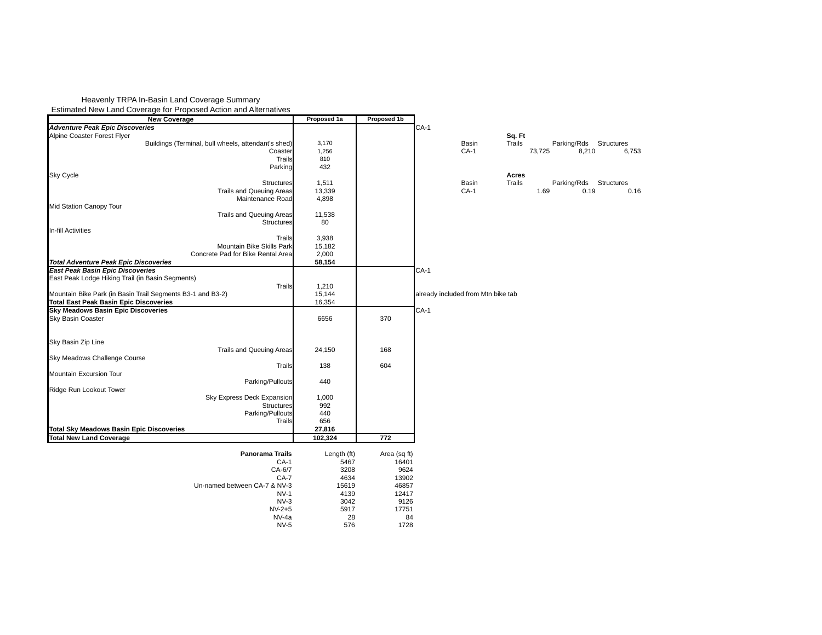Heavenly TRPA In-Basin Land Coverage Summary Estimated New Land Coverage for Proposed Action and Alternatives

| <b>New Coverage</b>                                                                     | Proposed 1a  | Proposed 1b  |                                    |        |        |                        |       |
|-----------------------------------------------------------------------------------------|--------------|--------------|------------------------------------|--------|--------|------------------------|-------|
| <b>Adventure Peak Epic Discoveries</b>                                                  |              |              | $CA-1$                             |        |        |                        |       |
| Alpine Coaster Forest Flyer                                                             |              |              |                                    | Sq. Ft |        |                        |       |
| Buildings (Terminal, bull wheels, attendant's shed)                                     | 3,170        |              | Basin                              | Trails |        | Parking/Rds Structures |       |
| Coaster                                                                                 | 1,256        |              | $CA-1$                             |        | 73,725 | 8,210                  | 6,753 |
| Trails                                                                                  | 810          |              |                                    |        |        |                        |       |
| Parking                                                                                 | 432          |              |                                    |        |        |                        |       |
| <b>Sky Cycle</b>                                                                        |              |              |                                    | Acres  |        |                        |       |
| <b>Structures</b>                                                                       | 1,511        |              | Basin                              | Trails |        | Parking/Rds Structures |       |
| <b>Trails and Queuing Areas</b>                                                         | 13,339       |              | $CA-1$                             |        | 1.69   | 0.19                   | 0.16  |
| Maintenance Road                                                                        | 4,898        |              |                                    |        |        |                        |       |
| Mid Station Canopy Tour                                                                 |              |              |                                    |        |        |                        |       |
| <b>Trails and Queuing Areas</b>                                                         | 11,538       |              |                                    |        |        |                        |       |
| <b>Structures</b>                                                                       | 80           |              |                                    |        |        |                        |       |
| <b>In-fill Activities</b>                                                               |              |              |                                    |        |        |                        |       |
| Trails                                                                                  | 3,938        |              |                                    |        |        |                        |       |
| Mountain Bike Skills Park                                                               | 15,182       |              |                                    |        |        |                        |       |
| Concrete Pad for Bike Rental Area                                                       | 2,000        |              |                                    |        |        |                        |       |
|                                                                                         |              |              |                                    |        |        |                        |       |
| <b>Total Adventure Peak Epic Discoveries</b><br><b>East Peak Basin Epic Discoveries</b> | 58,154       |              |                                    |        |        |                        |       |
|                                                                                         |              |              | CA-1                               |        |        |                        |       |
| East Peak Lodge Hiking Trail (in Basin Segments)                                        |              |              |                                    |        |        |                        |       |
| <b>Trails</b>                                                                           | 1,210        |              |                                    |        |        |                        |       |
| Mountain Bike Park (in Basin Trail Segments B3-1 and B3-2)                              | 15,144       |              | already included from Mtn bike tab |        |        |                        |       |
| <b>Total East Peak Basin Epic Discoveries</b>                                           | 16,354       |              |                                    |        |        |                        |       |
| <b>Sky Meadows Basin Epic Discoveries</b>                                               |              |              | $CA-1$                             |        |        |                        |       |
| Sky Basin Coaster                                                                       | 6656         | 370          |                                    |        |        |                        |       |
|                                                                                         |              |              |                                    |        |        |                        |       |
|                                                                                         |              |              |                                    |        |        |                        |       |
| Sky Basin Zip Line                                                                      |              |              |                                    |        |        |                        |       |
| <b>Trails and Queuing Areas</b>                                                         | 24,150       | 168          |                                    |        |        |                        |       |
| Sky Meadows Challenge Course                                                            |              |              |                                    |        |        |                        |       |
| Trails                                                                                  | 138          | 604          |                                    |        |        |                        |       |
| Mountain Excursion Tour                                                                 |              |              |                                    |        |        |                        |       |
| Parking/Pullouts                                                                        | 440          |              |                                    |        |        |                        |       |
| Ridge Run Lookout Tower                                                                 |              |              |                                    |        |        |                        |       |
| Sky Express Deck Expansion                                                              | 1,000        |              |                                    |        |        |                        |       |
| <b>Structures</b>                                                                       | 992          |              |                                    |        |        |                        |       |
| Parking/Pullouts                                                                        | 440          |              |                                    |        |        |                        |       |
| Trails                                                                                  | 656          |              |                                    |        |        |                        |       |
| <b>Total Sky Meadows Basin Epic Discoveries</b>                                         | 27,816       |              |                                    |        |        |                        |       |
| <b>Total New Land Coverage</b>                                                          | 102,324      | 772          |                                    |        |        |                        |       |
|                                                                                         |              |              |                                    |        |        |                        |       |
| <b>Panorama Trails</b>                                                                  | Length (ft)  | Area (sq ft) |                                    |        |        |                        |       |
| $CA-1$                                                                                  | 5467         | 16401        |                                    |        |        |                        |       |
|                                                                                         |              |              |                                    |        |        |                        |       |
| CA-6/7<br>$CA-7$                                                                        | 3208<br>4634 | 9624         |                                    |        |        |                        |       |
| Un-named between CA-7 & NV-3                                                            |              | 13902        |                                    |        |        |                        |       |
|                                                                                         | 15619        | 46857        |                                    |        |        |                        |       |
| $NV-1$                                                                                  | 4139         | 12417        |                                    |        |        |                        |       |
| $NV-3$                                                                                  | 3042         | 9126         |                                    |        |        |                        |       |
| $NV-2+5$                                                                                | 5917         | 17751        |                                    |        |        |                        |       |
| NV-4a                                                                                   | 28           | 84           |                                    |        |        |                        |       |
| $NV-5$                                                                                  | 576          | 1728         |                                    |        |        |                        |       |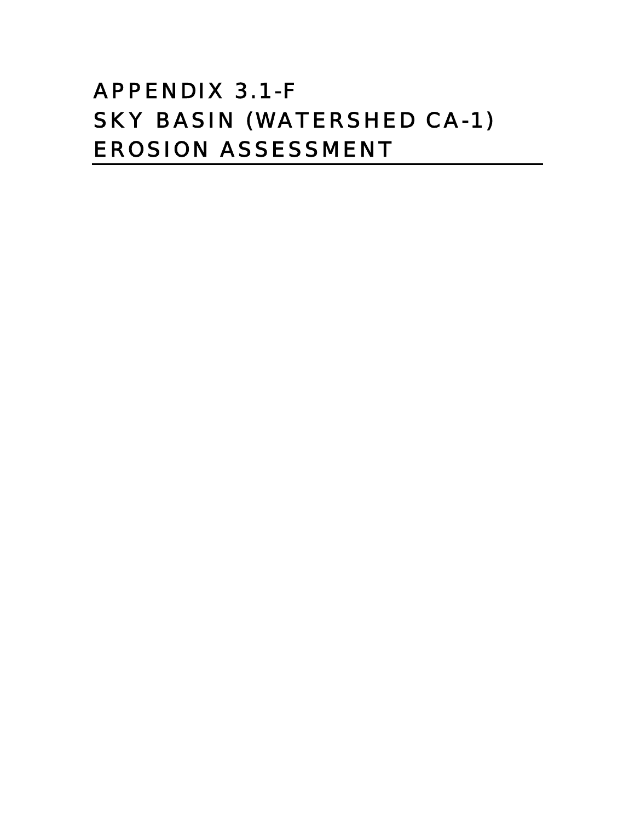# APPENDIX 3.1-F SKY BASIN (WATERSHED CA-1) EROSION ASSESSMENT